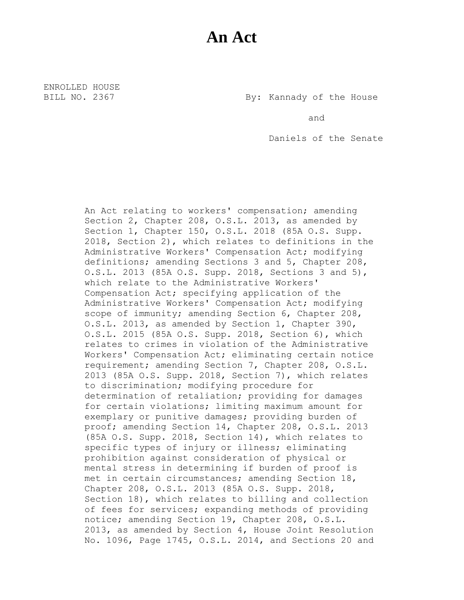## **An Act**

ENROLLED HOUSE

BILL NO. 2367 By: Kannady of the House

and

Daniels of the Senate

An Act relating to workers' compensation; amending Section 2, Chapter 208, O.S.L. 2013, as amended by Section 1, Chapter 150, O.S.L. 2018 (85A O.S. Supp. 2018, Section 2), which relates to definitions in the Administrative Workers' Compensation Act; modifying definitions; amending Sections 3 and 5, Chapter 208, O.S.L. 2013 (85A O.S. Supp. 2018, Sections 3 and 5), which relate to the Administrative Workers' Compensation Act; specifying application of the Administrative Workers' Compensation Act; modifying scope of immunity; amending Section 6, Chapter 208, O.S.L. 2013, as amended by Section 1, Chapter 390, O.S.L. 2015 (85A O.S. Supp. 2018, Section 6), which relates to crimes in violation of the Administrative Workers' Compensation Act; eliminating certain notice requirement; amending Section 7, Chapter 208, O.S.L. 2013 (85A O.S. Supp. 2018, Section 7), which relates to discrimination; modifying procedure for determination of retaliation; providing for damages for certain violations; limiting maximum amount for exemplary or punitive damages; providing burden of proof; amending Section 14, Chapter 208, O.S.L. 2013 (85A O.S. Supp. 2018, Section 14), which relates to specific types of injury or illness; eliminating prohibition against consideration of physical or mental stress in determining if burden of proof is met in certain circumstances; amending Section 18, Chapter 208, O.S.L. 2013 (85A O.S. Supp. 2018, Section 18), which relates to billing and collection of fees for services; expanding methods of providing notice; amending Section 19, Chapter 208, O.S.L. 2013, as amended by Section 4, House Joint Resolution No. 1096, Page 1745, O.S.L. 2014, and Sections 20 and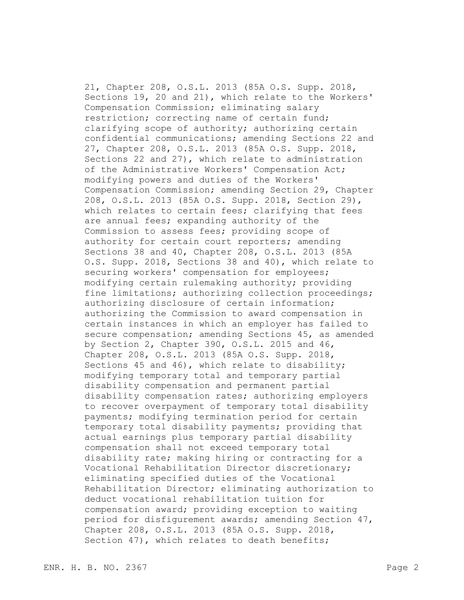21, Chapter 208, O.S.L. 2013 (85A O.S. Supp. 2018, Sections 19, 20 and 21), which relate to the Workers' Compensation Commission; eliminating salary restriction; correcting name of certain fund; clarifying scope of authority; authorizing certain confidential communications; amending Sections 22 and 27, Chapter 208, O.S.L. 2013 (85A O.S. Supp. 2018, Sections 22 and 27), which relate to administration of the Administrative Workers' Compensation Act; modifying powers and duties of the Workers' Compensation Commission; amending Section 29, Chapter 208, O.S.L. 2013 (85A O.S. Supp. 2018, Section 29), which relates to certain fees; clarifying that fees are annual fees; expanding authority of the Commission to assess fees; providing scope of authority for certain court reporters; amending Sections 38 and 40, Chapter 208, O.S.L. 2013 (85A O.S. Supp. 2018, Sections 38 and 40), which relate to securing workers' compensation for employees; modifying certain rulemaking authority; providing fine limitations; authorizing collection proceedings; authorizing disclosure of certain information; authorizing the Commission to award compensation in certain instances in which an employer has failed to secure compensation; amending Sections 45, as amended by Section 2, Chapter 390, O.S.L. 2015 and 46, Chapter 208, O.S.L. 2013 (85A O.S. Supp. 2018, Sections 45 and 46), which relate to disability; modifying temporary total and temporary partial disability compensation and permanent partial disability compensation rates; authorizing employers to recover overpayment of temporary total disability payments; modifying termination period for certain temporary total disability payments; providing that actual earnings plus temporary partial disability compensation shall not exceed temporary total disability rate; making hiring or contracting for a Vocational Rehabilitation Director discretionary; eliminating specified duties of the Vocational Rehabilitation Director; eliminating authorization to deduct vocational rehabilitation tuition for compensation award; providing exception to waiting period for disfigurement awards; amending Section 47, Chapter 208, O.S.L. 2013 (85A O.S. Supp. 2018, Section 47), which relates to death benefits;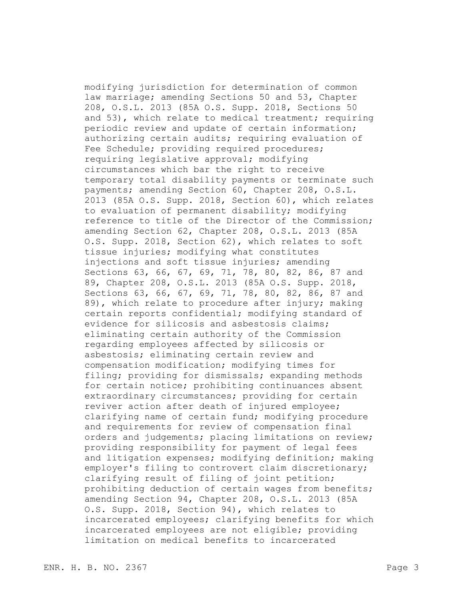modifying jurisdiction for determination of common law marriage; amending Sections 50 and 53, Chapter 208, O.S.L. 2013 (85A O.S. Supp. 2018, Sections 50 and 53), which relate to medical treatment; requiring periodic review and update of certain information; authorizing certain audits; requiring evaluation of Fee Schedule; providing required procedures; requiring legislative approval; modifying circumstances which bar the right to receive temporary total disability payments or terminate such payments; amending Section 60, Chapter 208, O.S.L. 2013 (85A O.S. Supp. 2018, Section 60), which relates to evaluation of permanent disability; modifying reference to title of the Director of the Commission; amending Section 62, Chapter 208, O.S.L. 2013 (85A O.S. Supp. 2018, Section 62), which relates to soft tissue injuries; modifying what constitutes injections and soft tissue injuries; amending Sections 63, 66, 67, 69, 71, 78, 80, 82, 86, 87 and 89, Chapter 208, O.S.L. 2013 (85A O.S. Supp. 2018, Sections 63, 66, 67, 69, 71, 78, 80, 82, 86, 87 and 89), which relate to procedure after injury; making certain reports confidential; modifying standard of evidence for silicosis and asbestosis claims; eliminating certain authority of the Commission regarding employees affected by silicosis or asbestosis; eliminating certain review and compensation modification; modifying times for filing; providing for dismissals; expanding methods for certain notice; prohibiting continuances absent extraordinary circumstances; providing for certain reviver action after death of injured employee; clarifying name of certain fund; modifying procedure and requirements for review of compensation final orders and judgements; placing limitations on review; providing responsibility for payment of legal fees and litigation expenses; modifying definition; making employer's filing to controvert claim discretionary; clarifying result of filing of joint petition; prohibiting deduction of certain wages from benefits; amending Section 94, Chapter 208, O.S.L. 2013 (85A O.S. Supp. 2018, Section 94), which relates to incarcerated employees; clarifying benefits for which incarcerated employees are not eligible; providing limitation on medical benefits to incarcerated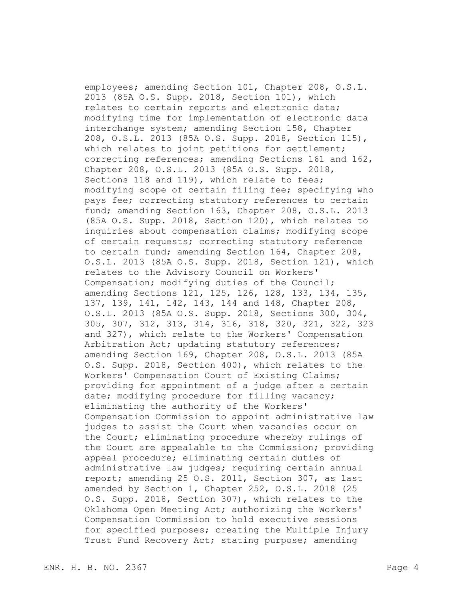employees; amending Section 101, Chapter 208, O.S.L. 2013 (85A O.S. Supp. 2018, Section 101), which relates to certain reports and electronic data; modifying time for implementation of electronic data interchange system; amending Section 158, Chapter 208, O.S.L. 2013 (85A O.S. Supp. 2018, Section 115), which relates to joint petitions for settlement; correcting references; amending Sections 161 and 162, Chapter 208, O.S.L. 2013 (85A O.S. Supp. 2018, Sections 118 and 119), which relate to fees; modifying scope of certain filing fee; specifying who pays fee; correcting statutory references to certain fund; amending Section 163, Chapter 208, O.S.L. 2013 (85A O.S. Supp. 2018, Section 120), which relates to inquiries about compensation claims; modifying scope of certain requests; correcting statutory reference to certain fund; amending Section 164, Chapter 208, O.S.L. 2013 (85A O.S. Supp. 2018, Section 121), which relates to the Advisory Council on Workers' Compensation; modifying duties of the Council; amending Sections 121, 125, 126, 128, 133, 134, 135, 137, 139, 141, 142, 143, 144 and 148, Chapter 208, O.S.L. 2013 (85A O.S. Supp. 2018, Sections 300, 304, 305, 307, 312, 313, 314, 316, 318, 320, 321, 322, 323 and 327), which relate to the Workers' Compensation Arbitration Act; updating statutory references; amending Section 169, Chapter 208, O.S.L. 2013 (85A O.S. Supp. 2018, Section 400), which relates to the Workers' Compensation Court of Existing Claims; providing for appointment of a judge after a certain date; modifying procedure for filling vacancy; eliminating the authority of the Workers' Compensation Commission to appoint administrative law judges to assist the Court when vacancies occur on the Court; eliminating procedure whereby rulings of the Court are appealable to the Commission; providing appeal procedure; eliminating certain duties of administrative law judges; requiring certain annual report; amending 25 O.S. 2011, Section 307, as last amended by Section 1, Chapter 252, O.S.L. 2018 (25 O.S. Supp. 2018, Section 307), which relates to the Oklahoma Open Meeting Act; authorizing the Workers' Compensation Commission to hold executive sessions for specified purposes; creating the Multiple Injury Trust Fund Recovery Act; stating purpose; amending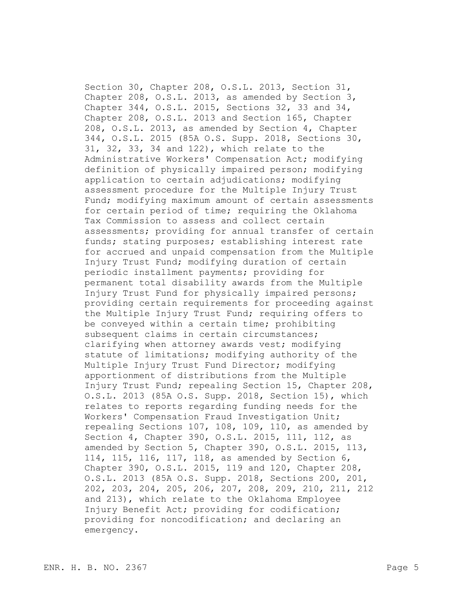Section 30, Chapter 208, O.S.L. 2013, Section 31, Chapter 208, O.S.L. 2013, as amended by Section 3, Chapter 344, O.S.L. 2015, Sections 32, 33 and 34, Chapter 208, O.S.L. 2013 and Section 165, Chapter 208, O.S.L. 2013, as amended by Section 4, Chapter 344, O.S.L. 2015 (85A O.S. Supp. 2018, Sections 30, 31, 32, 33, 34 and 122), which relate to the Administrative Workers' Compensation Act; modifying definition of physically impaired person; modifying application to certain adjudications; modifying assessment procedure for the Multiple Injury Trust Fund; modifying maximum amount of certain assessments for certain period of time; requiring the Oklahoma Tax Commission to assess and collect certain assessments; providing for annual transfer of certain funds; stating purposes; establishing interest rate for accrued and unpaid compensation from the Multiple Injury Trust Fund; modifying duration of certain periodic installment payments; providing for permanent total disability awards from the Multiple Injury Trust Fund for physically impaired persons; providing certain requirements for proceeding against the Multiple Injury Trust Fund; requiring offers to be conveyed within a certain time; prohibiting subsequent claims in certain circumstances; clarifying when attorney awards vest; modifying statute of limitations; modifying authority of the Multiple Injury Trust Fund Director; modifying apportionment of distributions from the Multiple Injury Trust Fund; repealing Section 15, Chapter 208, O.S.L. 2013 (85A O.S. Supp. 2018, Section 15), which relates to reports regarding funding needs for the Workers' Compensation Fraud Investigation Unit; repealing Sections 107, 108, 109, 110, as amended by Section 4, Chapter 390, O.S.L. 2015, 111, 112, as amended by Section 5, Chapter 390, O.S.L. 2015, 113, 114, 115, 116, 117, 118, as amended by Section 6, Chapter 390, O.S.L. 2015, 119 and 120, Chapter 208, O.S.L. 2013 (85A O.S. Supp. 2018, Sections 200, 201, 202, 203, 204, 205, 206, 207, 208, 209, 210, 211, 212 and 213), which relate to the Oklahoma Employee Injury Benefit Act; providing for codification; providing for noncodification; and declaring an emergency.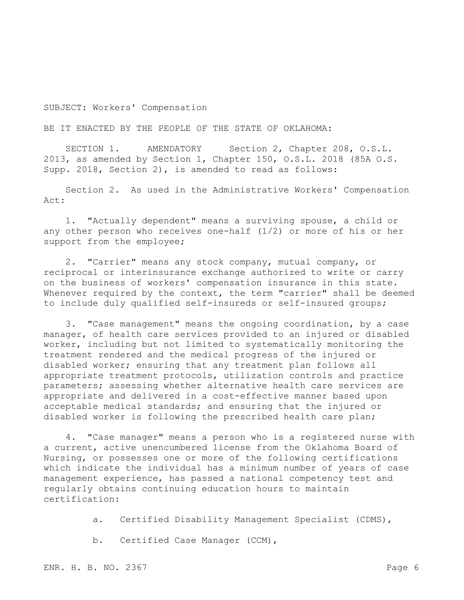SUBJECT: Workers' Compensation

BE IT ENACTED BY THE PEOPLE OF THE STATE OF OKLAHOMA:

SECTION 1. AMENDATORY Section 2, Chapter 208, O.S.L. 2013, as amended by Section 1, Chapter 150, O.S.L. 2018 (85A O.S. Supp. 2018, Section 2), is amended to read as follows:

Section 2. As used in the Administrative Workers' Compensation Act:

1. "Actually dependent" means a surviving spouse, a child or any other person who receives one-half (1/2) or more of his or her support from the employee;

2. "Carrier" means any stock company, mutual company, or reciprocal or interinsurance exchange authorized to write or carry on the business of workers' compensation insurance in this state. Whenever required by the context, the term "carrier" shall be deemed to include duly qualified self-insureds or self-insured groups;

3. "Case management" means the ongoing coordination, by a case manager, of health care services provided to an injured or disabled worker, including but not limited to systematically monitoring the treatment rendered and the medical progress of the injured or disabled worker; ensuring that any treatment plan follows all appropriate treatment protocols, utilization controls and practice parameters; assessing whether alternative health care services are appropriate and delivered in a cost-effective manner based upon acceptable medical standards; and ensuring that the injured or disabled worker is following the prescribed health care plan;

4. "Case manager" means a person who is a registered nurse with a current, active unencumbered license from the Oklahoma Board of Nursing, or possesses one or more of the following certifications which indicate the individual has a minimum number of years of case management experience, has passed a national competency test and regularly obtains continuing education hours to maintain certification:

a. Certified Disability Management Specialist (CDMS),

b. Certified Case Manager (CCM),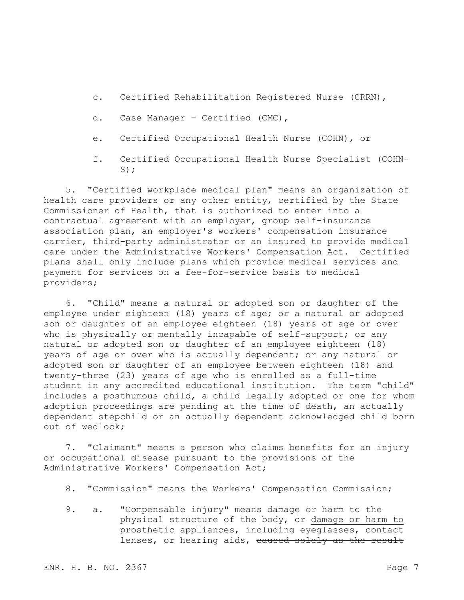- c. Certified Rehabilitation Registered Nurse (CRRN),
- d. Case Manager Certified (CMC),
- e. Certified Occupational Health Nurse (COHN), or
- f. Certified Occupational Health Nurse Specialist (COHN- $S)$ ;

5. "Certified workplace medical plan" means an organization of health care providers or any other entity, certified by the State Commissioner of Health, that is authorized to enter into a contractual agreement with an employer, group self-insurance association plan, an employer's workers' compensation insurance carrier, third-party administrator or an insured to provide medical care under the Administrative Workers' Compensation Act. Certified plans shall only include plans which provide medical services and payment for services on a fee-for-service basis to medical providers;

6. "Child" means a natural or adopted son or daughter of the employee under eighteen (18) years of age; or a natural or adopted son or daughter of an employee eighteen (18) years of age or over who is physically or mentally incapable of self-support; or any natural or adopted son or daughter of an employee eighteen (18) years of age or over who is actually dependent; or any natural or adopted son or daughter of an employee between eighteen (18) and twenty-three (23) years of age who is enrolled as a full-time student in any accredited educational institution. The term "child" includes a posthumous child, a child legally adopted or one for whom adoption proceedings are pending at the time of death, an actually dependent stepchild or an actually dependent acknowledged child born out of wedlock;

7. "Claimant" means a person who claims benefits for an injury or occupational disease pursuant to the provisions of the Administrative Workers' Compensation Act;

- 8. "Commission" means the Workers' Compensation Commission;
- 9. a. "Compensable injury" means damage or harm to the physical structure of the body, or damage or harm to prosthetic appliances, including eyeglasses, contact lenses, or hearing aids, caused solely as the result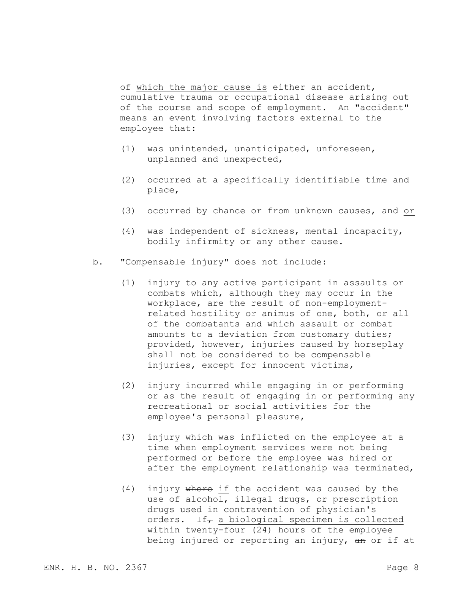of which the major cause is either an accident, cumulative trauma or occupational disease arising out of the course and scope of employment. An "accident" means an event involving factors external to the employee that:

- (1) was unintended, unanticipated, unforeseen, unplanned and unexpected,
- (2) occurred at a specifically identifiable time and place,
- (3) occurred by chance or from unknown causes, and or
- (4) was independent of sickness, mental incapacity, bodily infirmity or any other cause.
- b. "Compensable injury" does not include:
	- (1) injury to any active participant in assaults or combats which, although they may occur in the workplace, are the result of non-employmentrelated hostility or animus of one, both, or all of the combatants and which assault or combat amounts to a deviation from customary duties; provided, however, injuries caused by horseplay shall not be considered to be compensable injuries, except for innocent victims,
	- (2) injury incurred while engaging in or performing or as the result of engaging in or performing any recreational or social activities for the employee's personal pleasure,
	- (3) injury which was inflicted on the employee at a time when employment services were not being performed or before the employee was hired or after the employment relationship was terminated,
	- (4) injury where if the accident was caused by the use of alcohol, illegal drugs, or prescription drugs used in contravention of physician's orders. If<sub> $\tau$ </sub> a biological specimen is collected within twenty-four (24) hours of the employee being injured or reporting an injury, an or if at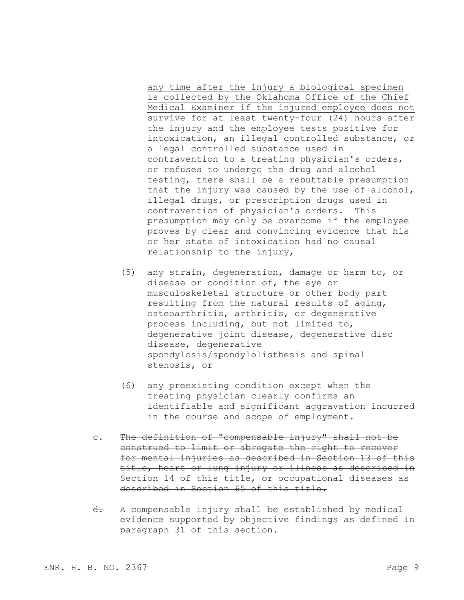any time after the injury a biological specimen is collected by the Oklahoma Office of the Chief Medical Examiner if the injured employee does not survive for at least twenty-four (24) hours after the injury and the employee tests positive for intoxication, an illegal controlled substance, or a legal controlled substance used in contravention to a treating physician's orders, or refuses to undergo the drug and alcohol testing, there shall be a rebuttable presumption that the injury was caused by the use of alcohol, illegal drugs, or prescription drugs used in contravention of physician's orders. This presumption may only be overcome if the employee proves by clear and convincing evidence that his or her state of intoxication had no causal relationship to the injury,

- (5) any strain, degeneration, damage or harm to, or disease or condition of, the eye or musculoskeletal structure or other body part resulting from the natural results of aging, osteoarthritis, arthritis, or degenerative process including, but not limited to, degenerative joint disease, degenerative disc disease, degenerative spondylosis/spondylolisthesis and spinal stenosis, or
- (6) any preexisting condition except when the treating physician clearly confirms an identifiable and significant aggravation incurred in the course and scope of employment.
- c. The definition of "compensable injury" shall not be construed to limit or abrogate the right to recover for mental injuries as described in Section 13 of this title, heart or lung injury or illness as described in Section 14 of this title, or occupational diseases as described in Section 65 of this title.
- d. A compensable injury shall be established by medical evidence supported by objective findings as defined in paragraph 31 of this section.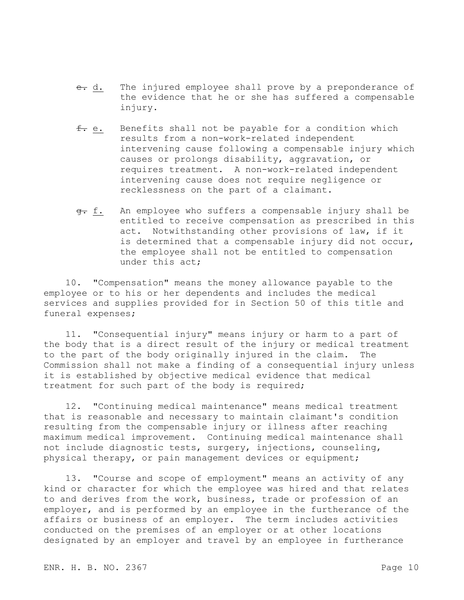- e. d. The injured employee shall prove by a preponderance of the evidence that he or she has suffered a compensable injury.
- f. e. Benefits shall not be payable for a condition which results from a non-work-related independent intervening cause following a compensable injury which causes or prolongs disability, aggravation, or requires treatment. A non-work-related independent intervening cause does not require negligence or recklessness on the part of a claimant.
- g. f. An employee who suffers a compensable injury shall be entitled to receive compensation as prescribed in this act. Notwithstanding other provisions of law, if it is determined that a compensable injury did not occur, the employee shall not be entitled to compensation under this act;

10. "Compensation" means the money allowance payable to the employee or to his or her dependents and includes the medical services and supplies provided for in Section 50 of this title and funeral expenses;

11. "Consequential injury" means injury or harm to a part of the body that is a direct result of the injury or medical treatment to the part of the body originally injured in the claim. The Commission shall not make a finding of a consequential injury unless it is established by objective medical evidence that medical treatment for such part of the body is required;

12. "Continuing medical maintenance" means medical treatment that is reasonable and necessary to maintain claimant's condition resulting from the compensable injury or illness after reaching maximum medical improvement. Continuing medical maintenance shall not include diagnostic tests, surgery, injections, counseling, physical therapy, or pain management devices or equipment;

13. "Course and scope of employment" means an activity of any kind or character for which the employee was hired and that relates to and derives from the work, business, trade or profession of an employer, and is performed by an employee in the furtherance of the affairs or business of an employer. The term includes activities conducted on the premises of an employer or at other locations designated by an employer and travel by an employee in furtherance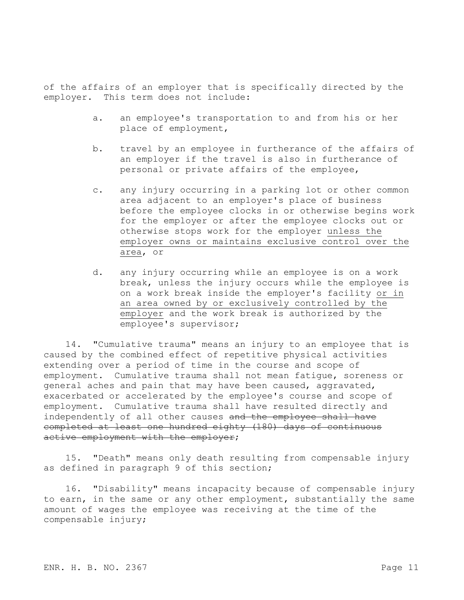of the affairs of an employer that is specifically directed by the employer. This term does not include:

- a. an employee's transportation to and from his or her place of employment,
- b. travel by an employee in furtherance of the affairs of an employer if the travel is also in furtherance of personal or private affairs of the employee,
- c. any injury occurring in a parking lot or other common area adjacent to an employer's place of business before the employee clocks in or otherwise begins work for the employer or after the employee clocks out or otherwise stops work for the employer unless the employer owns or maintains exclusive control over the area, or
- d. any injury occurring while an employee is on a work break, unless the injury occurs while the employee is on a work break inside the employer's facility or in an area owned by or exclusively controlled by the employer and the work break is authorized by the employee's supervisor;

14. "Cumulative trauma" means an injury to an employee that is caused by the combined effect of repetitive physical activities extending over a period of time in the course and scope of employment. Cumulative trauma shall not mean fatigue, soreness or general aches and pain that may have been caused, aggravated, exacerbated or accelerated by the employee's course and scope of employment. Cumulative trauma shall have resulted directly and independently of all other causes and the employee shall have completed at least one hundred eighty (180) days of continuous active employment with the employer;

15. "Death" means only death resulting from compensable injury as defined in paragraph 9 of this section;

16. "Disability" means incapacity because of compensable injury to earn, in the same or any other employment, substantially the same amount of wages the employee was receiving at the time of the compensable injury;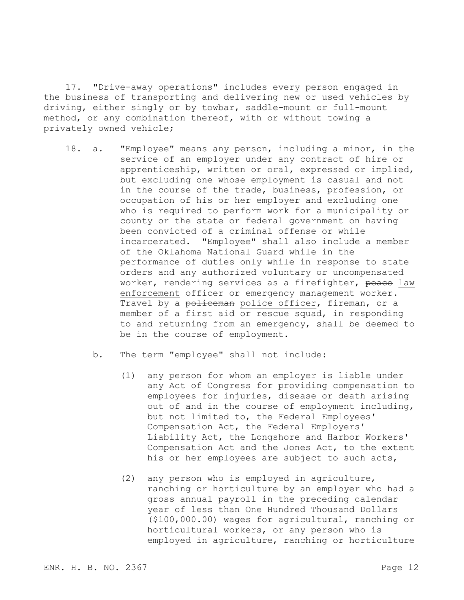17. "Drive-away operations" includes every person engaged in the business of transporting and delivering new or used vehicles by driving, either singly or by towbar, saddle-mount or full-mount method, or any combination thereof, with or without towing a privately owned vehicle;

- 18. a. "Employee" means any person, including a minor, in the service of an employer under any contract of hire or apprenticeship, written or oral, expressed or implied, but excluding one whose employment is casual and not in the course of the trade, business, profession, or occupation of his or her employer and excluding one who is required to perform work for a municipality or county or the state or federal government on having been convicted of a criminal offense or while incarcerated. "Employee" shall also include a member of the Oklahoma National Guard while in the performance of duties only while in response to state orders and any authorized voluntary or uncompensated worker, rendering services as a firefighter, peace law enforcement officer or emergency management worker. Travel by a policeman police officer, fireman, or a member of a first aid or rescue squad, in responding to and returning from an emergency, shall be deemed to be in the course of employment.
	- b. The term "employee" shall not include:
		- (1) any person for whom an employer is liable under any Act of Congress for providing compensation to employees for injuries, disease or death arising out of and in the course of employment including, but not limited to, the Federal Employees' Compensation Act, the Federal Employers' Liability Act, the Longshore and Harbor Workers' Compensation Act and the Jones Act, to the extent his or her employees are subject to such acts,
		- (2) any person who is employed in agriculture, ranching or horticulture by an employer who had a gross annual payroll in the preceding calendar year of less than One Hundred Thousand Dollars (\$100,000.00) wages for agricultural, ranching or horticultural workers, or any person who is employed in agriculture, ranching or horticulture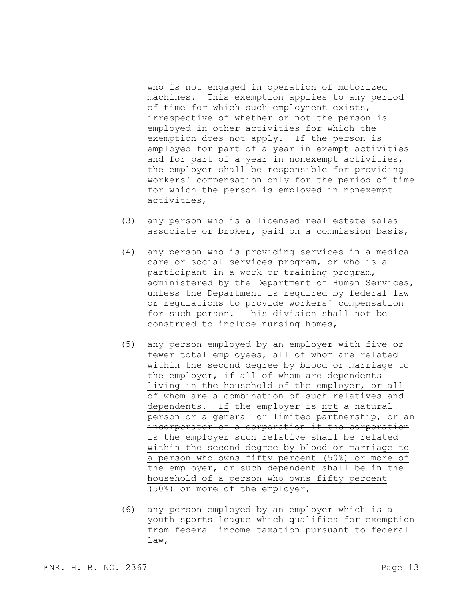who is not engaged in operation of motorized machines. This exemption applies to any period of time for which such employment exists, irrespective of whether or not the person is employed in other activities for which the exemption does not apply. If the person is employed for part of a year in exempt activities and for part of a year in nonexempt activities, the employer shall be responsible for providing workers' compensation only for the period of time for which the person is employed in nonexempt activities,

- (3) any person who is a licensed real estate sales associate or broker, paid on a commission basis,
- (4) any person who is providing services in a medical care or social services program, or who is a participant in a work or training program, administered by the Department of Human Services, unless the Department is required by federal law or regulations to provide workers' compensation for such person. This division shall not be construed to include nursing homes,
- (5) any person employed by an employer with five or fewer total employees, all of whom are related within the second degree by blood or marriage to the employer,  $\frac{1}{1}$  all of whom are dependents living in the household of the employer, or all of whom are a combination of such relatives and dependents. If the employer is not a natural person or a general or limited partnership, or an incorporator of a corporation if the corporation is the employer such relative shall be related within the second degree by blood or marriage to a person who owns fifty percent (50%) or more of the employer, or such dependent shall be in the household of a person who owns fifty percent (50%) or more of the employer,
- (6) any person employed by an employer which is a youth sports league which qualifies for exemption from federal income taxation pursuant to federal law,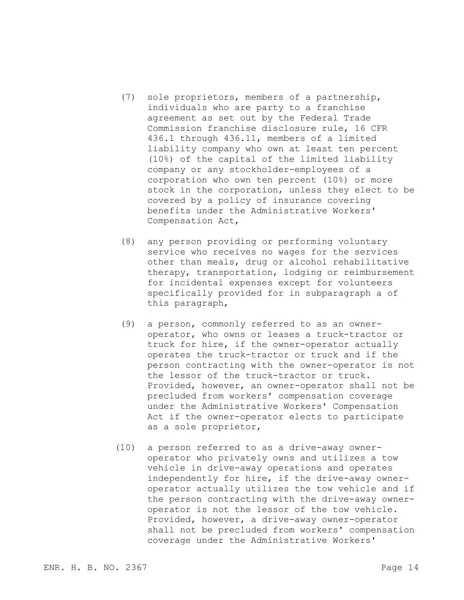- (7) sole proprietors, members of a partnership, individuals who are party to a franchise agreement as set out by the Federal Trade Commission franchise disclosure rule, 16 CFR 436.1 through 436.11, members of a limited liability company who own at least ten percent (10%) of the capital of the limited liability company or any stockholder-employees of a corporation who own ten percent (10%) or more stock in the corporation, unless they elect to be covered by a policy of insurance covering benefits under the Administrative Workers' Compensation Act,
- (8) any person providing or performing voluntary service who receives no wages for the services other than meals, drug or alcohol rehabilitative therapy, transportation, lodging or reimbursement for incidental expenses except for volunteers specifically provided for in subparagraph a of this paragraph,
- (9) a person, commonly referred to as an owneroperator, who owns or leases a truck-tractor or truck for hire, if the owner-operator actually operates the truck-tractor or truck and if the person contracting with the owner-operator is not the lessor of the truck-tractor or truck. Provided, however, an owner-operator shall not be precluded from workers' compensation coverage under the Administrative Workers' Compensation Act if the owner-operator elects to participate as a sole proprietor,
- (10) a person referred to as a drive-away owneroperator who privately owns and utilizes a tow vehicle in drive-away operations and operates independently for hire, if the drive-away owneroperator actually utilizes the tow vehicle and if the person contracting with the drive-away owneroperator is not the lessor of the tow vehicle. Provided, however, a drive-away owner-operator shall not be precluded from workers' compensation coverage under the Administrative Workers'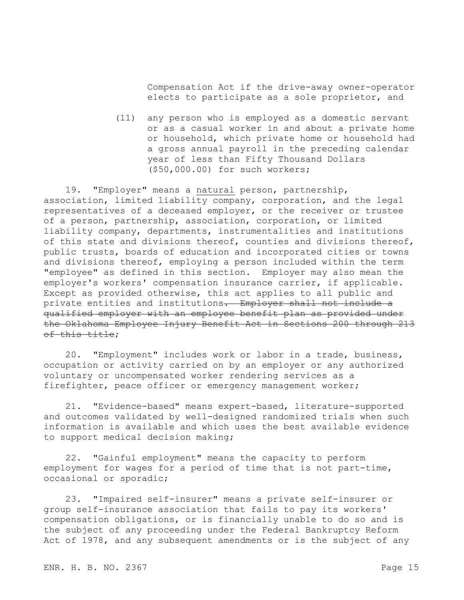Compensation Act if the drive-away owner-operator elects to participate as a sole proprietor, and

(11) any person who is employed as a domestic servant or as a casual worker in and about a private home or household, which private home or household had a gross annual payroll in the preceding calendar year of less than Fifty Thousand Dollars (\$50,000.00) for such workers;

19. "Employer" means a natural person, partnership, association, limited liability company, corporation, and the legal representatives of a deceased employer, or the receiver or trustee of a person, partnership, association, corporation, or limited liability company, departments, instrumentalities and institutions of this state and divisions thereof, counties and divisions thereof, public trusts, boards of education and incorporated cities or towns and divisions thereof, employing a person included within the term "employee" as defined in this section. Employer may also mean the employer's workers' compensation insurance carrier, if applicable. Except as provided otherwise, this act applies to all public and private entities and institutions. Employer shall not include a qualified employer with an employee benefit plan as provided under the Oklahoma Employee Injury Benefit Act in Sections 200 through 213 of this title;

20. "Employment" includes work or labor in a trade, business, occupation or activity carried on by an employer or any authorized voluntary or uncompensated worker rendering services as a firefighter, peace officer or emergency management worker;

21. "Evidence-based" means expert-based, literature-supported and outcomes validated by well-designed randomized trials when such information is available and which uses the best available evidence to support medical decision making;

22. "Gainful employment" means the capacity to perform employment for wages for a period of time that is not part-time, occasional or sporadic;

23. "Impaired self-insurer" means a private self-insurer or group self-insurance association that fails to pay its workers' compensation obligations, or is financially unable to do so and is the subject of any proceeding under the Federal Bankruptcy Reform Act of 1978, and any subsequent amendments or is the subject of any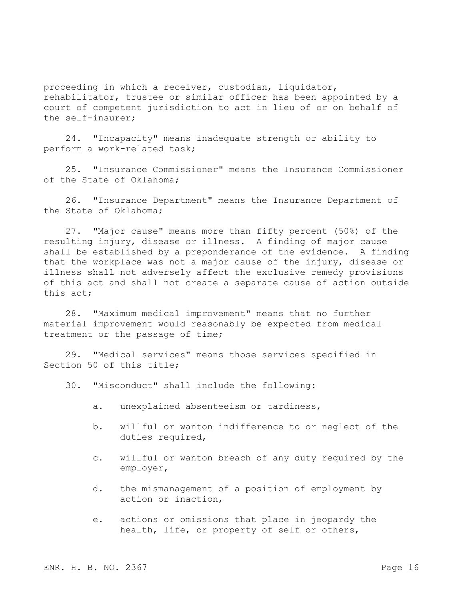proceeding in which a receiver, custodian, liquidator, rehabilitator, trustee or similar officer has been appointed by a court of competent jurisdiction to act in lieu of or on behalf of the self-insurer;

24. "Incapacity" means inadequate strength or ability to perform a work-related task;

25. "Insurance Commissioner" means the Insurance Commissioner of the State of Oklahoma;

26. "Insurance Department" means the Insurance Department of the State of Oklahoma;

27. "Major cause" means more than fifty percent (50%) of the resulting injury, disease or illness. A finding of major cause shall be established by a preponderance of the evidence. A finding that the workplace was not a major cause of the injury, disease or illness shall not adversely affect the exclusive remedy provisions of this act and shall not create a separate cause of action outside this act;

28. "Maximum medical improvement" means that no further material improvement would reasonably be expected from medical treatment or the passage of time;

29. "Medical services" means those services specified in Section 50 of this title;

30. "Misconduct" shall include the following:

- a. unexplained absenteeism or tardiness,
- b. willful or wanton indifference to or neglect of the duties required,
- c. willful or wanton breach of any duty required by the employer,
- d. the mismanagement of a position of employment by action or inaction,
- e. actions or omissions that place in jeopardy the health, life, or property of self or others,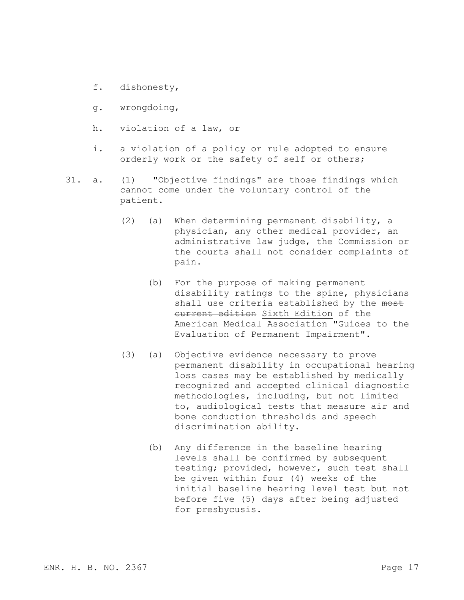- f. dishonesty,
- g. wrongdoing,
- h. violation of a law, or
- i. a violation of a policy or rule adopted to ensure orderly work or the safety of self or others;
- 31. a. (1) "Objective findings" are those findings which cannot come under the voluntary control of the patient.
	- (2) (a) When determining permanent disability, a physician, any other medical provider, an administrative law judge, the Commission or the courts shall not consider complaints of pain.
		- (b) For the purpose of making permanent disability ratings to the spine, physicians shall use criteria established by the most current edition Sixth Edition of the American Medical Association "Guides to the Evaluation of Permanent Impairment".
	- (3) (a) Objective evidence necessary to prove permanent disability in occupational hearing loss cases may be established by medically recognized and accepted clinical diagnostic methodologies, including, but not limited to, audiological tests that measure air and bone conduction thresholds and speech discrimination ability.
		- (b) Any difference in the baseline hearing levels shall be confirmed by subsequent testing; provided, however, such test shall be given within four (4) weeks of the initial baseline hearing level test but not before five (5) days after being adjusted for presbycusis.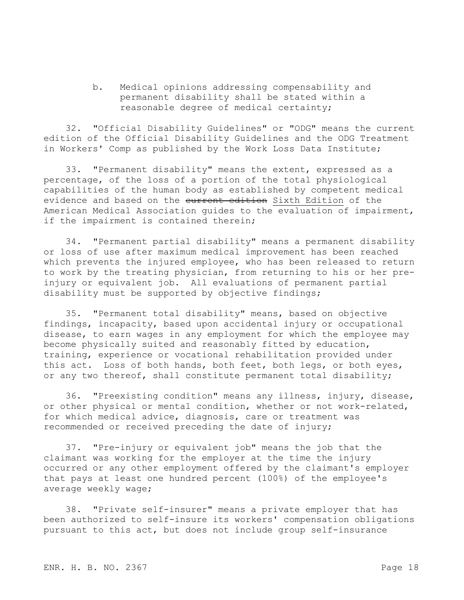b. Medical opinions addressing compensability and permanent disability shall be stated within a reasonable degree of medical certainty;

32. "Official Disability Guidelines" or "ODG" means the current edition of the Official Disability Guidelines and the ODG Treatment in Workers' Comp as published by the Work Loss Data Institute;

33. "Permanent disability" means the extent, expressed as a percentage, of the loss of a portion of the total physiological capabilities of the human body as established by competent medical evidence and based on the eurrent edition Sixth Edition of the American Medical Association guides to the evaluation of impairment, if the impairment is contained therein;

34. "Permanent partial disability" means a permanent disability or loss of use after maximum medical improvement has been reached which prevents the injured employee, who has been released to return to work by the treating physician, from returning to his or her preinjury or equivalent job. All evaluations of permanent partial disability must be supported by objective findings;

35. "Permanent total disability" means, based on objective findings, incapacity, based upon accidental injury or occupational disease, to earn wages in any employment for which the employee may become physically suited and reasonably fitted by education, training, experience or vocational rehabilitation provided under this act. Loss of both hands, both feet, both legs, or both eyes, or any two thereof, shall constitute permanent total disability;

36. "Preexisting condition" means any illness, injury, disease, or other physical or mental condition, whether or not work-related, for which medical advice, diagnosis, care or treatment was recommended or received preceding the date of injury;

37. "Pre-injury or equivalent job" means the job that the claimant was working for the employer at the time the injury occurred or any other employment offered by the claimant's employer that pays at least one hundred percent (100%) of the employee's average weekly wage;

38. "Private self-insurer" means a private employer that has been authorized to self-insure its workers' compensation obligations pursuant to this act, but does not include group self-insurance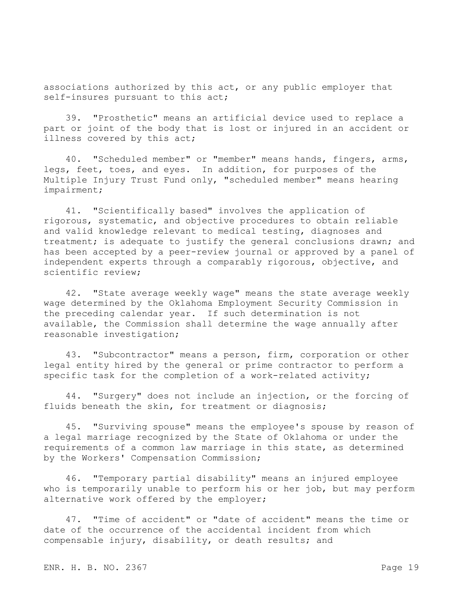associations authorized by this act, or any public employer that self-insures pursuant to this act;

39. "Prosthetic" means an artificial device used to replace a part or joint of the body that is lost or injured in an accident or illness covered by this act;

40. "Scheduled member" or "member" means hands, fingers, arms, legs, feet, toes, and eyes. In addition, for purposes of the Multiple Injury Trust Fund only, "scheduled member" means hearing impairment;

41. "Scientifically based" involves the application of rigorous, systematic, and objective procedures to obtain reliable and valid knowledge relevant to medical testing, diagnoses and treatment; is adequate to justify the general conclusions drawn; and has been accepted by a peer-review journal or approved by a panel of independent experts through a comparably rigorous, objective, and scientific review;

42. "State average weekly wage" means the state average weekly wage determined by the Oklahoma Employment Security Commission in the preceding calendar year. If such determination is not available, the Commission shall determine the wage annually after reasonable investigation;

43. "Subcontractor" means a person, firm, corporation or other legal entity hired by the general or prime contractor to perform a specific task for the completion of a work-related activity;

44. "Surgery" does not include an injection, or the forcing of fluids beneath the skin, for treatment or diagnosis;

45. "Surviving spouse" means the employee's spouse by reason of a legal marriage recognized by the State of Oklahoma or under the requirements of a common law marriage in this state, as determined by the Workers' Compensation Commission;

46. "Temporary partial disability" means an injured employee who is temporarily unable to perform his or her job, but may perform alternative work offered by the employer;

47. "Time of accident" or "date of accident" means the time or date of the occurrence of the accidental incident from which compensable injury, disability, or death results; and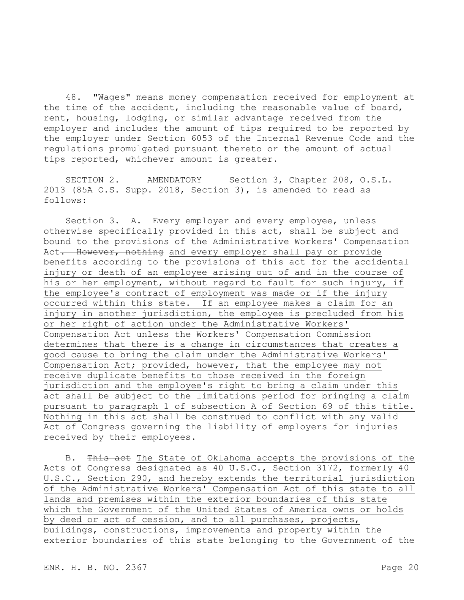48. "Wages" means money compensation received for employment at the time of the accident, including the reasonable value of board, rent, housing, lodging, or similar advantage received from the employer and includes the amount of tips required to be reported by the employer under Section 6053 of the Internal Revenue Code and the regulations promulgated pursuant thereto or the amount of actual tips reported, whichever amount is greater.

SECTION 2. AMENDATORY Section 3, Chapter 208, O.S.L. 2013 (85A O.S. Supp. 2018, Section 3), is amended to read as follows:

Section 3. A. Every employer and every employee, unless otherwise specifically provided in this act, shall be subject and bound to the provisions of the Administrative Workers' Compensation Act. However, nothing and every employer shall pay or provide benefits according to the provisions of this act for the accidental injury or death of an employee arising out of and in the course of his or her employment, without regard to fault for such injury, if the employee's contract of employment was made or if the injury occurred within this state. If an employee makes a claim for an injury in another jurisdiction, the employee is precluded from his or her right of action under the Administrative Workers' Compensation Act unless the Workers' Compensation Commission determines that there is a change in circumstances that creates a good cause to bring the claim under the Administrative Workers' Compensation Act; provided, however, that the employee may not receive duplicate benefits to those received in the foreign jurisdiction and the employee's right to bring a claim under this act shall be subject to the limitations period for bringing a claim pursuant to paragraph 1 of subsection A of Section 69 of this title. Nothing in this act shall be construed to conflict with any valid Act of Congress governing the liability of employers for injuries received by their employees.

B. This act The State of Oklahoma accepts the provisions of the Acts of Congress designated as 40 U.S.C., Section 3172, formerly 40 U.S.C., Section 290, and hereby extends the territorial jurisdiction of the Administrative Workers' Compensation Act of this state to all lands and premises within the exterior boundaries of this state which the Government of the United States of America owns or holds by deed or act of cession, and to all purchases, projects, buildings, constructions, improvements and property within the exterior boundaries of this state belonging to the Government of the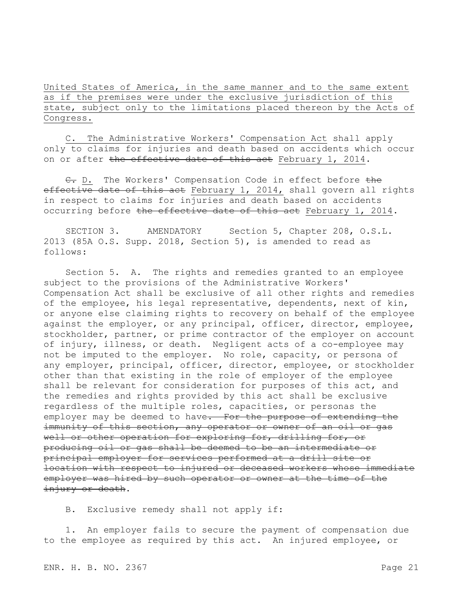United States of America, in the same manner and to the same extent as if the premises were under the exclusive jurisdiction of this state, subject only to the limitations placed thereon by the Acts of Congress.

C. The Administrative Workers' Compensation Act shall apply only to claims for injuries and death based on accidents which occur on or after the effective date of this act February 1, 2014.

C. D. The Workers' Compensation Code in effect before the effective date of this act February 1, 2014, shall govern all rights in respect to claims for injuries and death based on accidents occurring before the effective date of this act February 1, 2014.

SECTION 3. AMENDATORY Section 5, Chapter 208, O.S.L. 2013 (85A O.S. Supp. 2018, Section 5), is amended to read as follows:

Section 5. A. The rights and remedies granted to an employee subject to the provisions of the Administrative Workers' Compensation Act shall be exclusive of all other rights and remedies of the employee, his legal representative, dependents, next of kin, or anyone else claiming rights to recovery on behalf of the employee against the employer, or any principal, officer, director, employee, stockholder, partner, or prime contractor of the employer on account of injury, illness, or death. Negligent acts of a co-employee may not be imputed to the employer. No role, capacity, or persona of any employer, principal, officer, director, employee, or stockholder other than that existing in the role of employer of the employee shall be relevant for consideration for purposes of this act, and the remedies and rights provided by this act shall be exclusive regardless of the multiple roles, capacities, or personas the employer may be deemed to have. For the purpose of extending the immunity of this section, any operator or owner of an oil or gas well or other operation for exploring for, drilling for, or producing oil or gas shall be deemed to be an intermediate or principal employer for services performed at a drill site or location with respect to injured or deceased workers whose immediate employer was hired by such operator or owner at the time of the injury or death.

B. Exclusive remedy shall not apply if:

1. An employer fails to secure the payment of compensation due to the employee as required by this act. An injured employee, or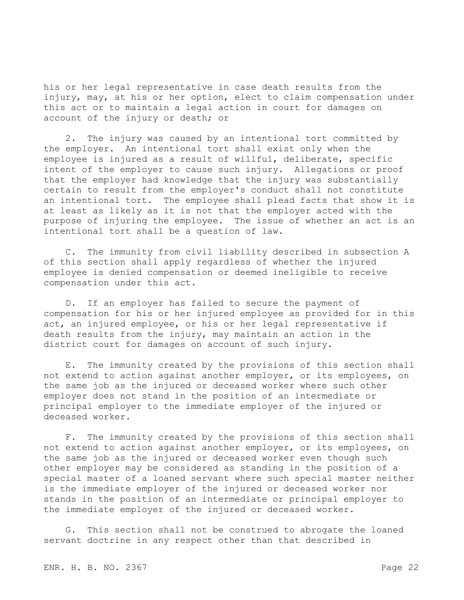his or her legal representative in case death results from the injury, may, at his or her option, elect to claim compensation under this act or to maintain a legal action in court for damages on account of the injury or death; or

2. The injury was caused by an intentional tort committed by the employer. An intentional tort shall exist only when the employee is injured as a result of willful, deliberate, specific intent of the employer to cause such injury. Allegations or proof that the employer had knowledge that the injury was substantially certain to result from the employer's conduct shall not constitute an intentional tort. The employee shall plead facts that show it is at least as likely as it is not that the employer acted with the purpose of injuring the employee. The issue of whether an act is an intentional tort shall be a question of law.

C. The immunity from civil liability described in subsection A of this section shall apply regardless of whether the injured employee is denied compensation or deemed ineligible to receive compensation under this act.

D. If an employer has failed to secure the payment of compensation for his or her injured employee as provided for in this act, an injured employee, or his or her legal representative if death results from the injury, may maintain an action in the district court for damages on account of such injury.

E. The immunity created by the provisions of this section shall not extend to action against another employer, or its employees, on the same job as the injured or deceased worker where such other employer does not stand in the position of an intermediate or principal employer to the immediate employer of the injured or deceased worker.

F. The immunity created by the provisions of this section shall not extend to action against another employer, or its employees, on the same job as the injured or deceased worker even though such other employer may be considered as standing in the position of a special master of a loaned servant where such special master neither is the immediate employer of the injured or deceased worker nor stands in the position of an intermediate or principal employer to the immediate employer of the injured or deceased worker.

G. This section shall not be construed to abrogate the loaned servant doctrine in any respect other than that described in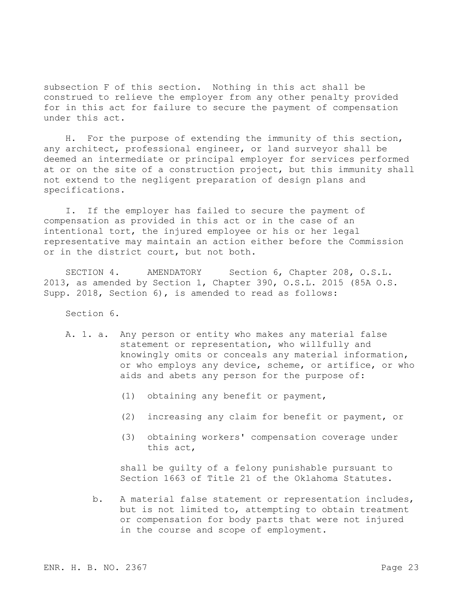subsection F of this section. Nothing in this act shall be construed to relieve the employer from any other penalty provided for in this act for failure to secure the payment of compensation under this act.

H. For the purpose of extending the immunity of this section, any architect, professional engineer, or land surveyor shall be deemed an intermediate or principal employer for services performed at or on the site of a construction project, but this immunity shall not extend to the negligent preparation of design plans and specifications.

I. If the employer has failed to secure the payment of compensation as provided in this act or in the case of an intentional tort, the injured employee or his or her legal representative may maintain an action either before the Commission or in the district court, but not both.

SECTION 4. AMENDATORY Section 6, Chapter 208, O.S.L. 2013, as amended by Section 1, Chapter 390, O.S.L. 2015 (85A O.S. Supp. 2018, Section 6), is amended to read as follows:

Section 6.

- A. 1. a. Any person or entity who makes any material false statement or representation, who willfully and knowingly omits or conceals any material information, or who employs any device, scheme, or artifice, or who aids and abets any person for the purpose of:
	- (1) obtaining any benefit or payment,
	- (2) increasing any claim for benefit or payment, or
	- (3) obtaining workers' compensation coverage under this act,

shall be guilty of a felony punishable pursuant to Section 1663 of Title 21 of the Oklahoma Statutes.

b. A material false statement or representation includes, but is not limited to, attempting to obtain treatment or compensation for body parts that were not injured in the course and scope of employment.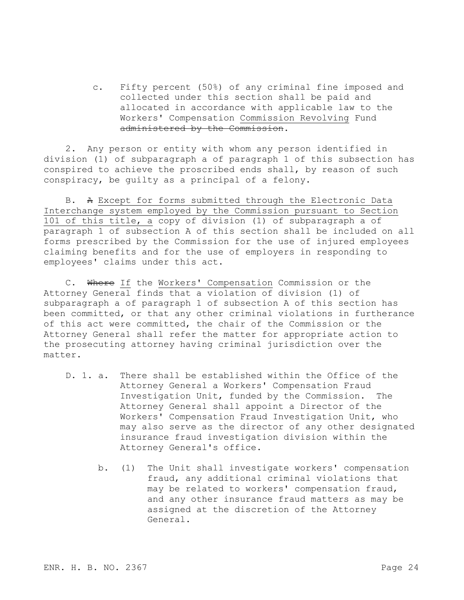c. Fifty percent (50%) of any criminal fine imposed and collected under this section shall be paid and allocated in accordance with applicable law to the Workers' Compensation Commission Revolving Fund administered by the Commission.

2. Any person or entity with whom any person identified in division (1) of subparagraph a of paragraph 1 of this subsection has conspired to achieve the proscribed ends shall, by reason of such conspiracy, be guilty as a principal of a felony.

B. A Except for forms submitted through the Electronic Data Interchange system employed by the Commission pursuant to Section 101 of this title, a copy of division (1) of subparagraph a of paragraph 1 of subsection A of this section shall be included on all forms prescribed by the Commission for the use of injured employees claiming benefits and for the use of employers in responding to employees' claims under this act.

C. Where If the Workers' Compensation Commission or the Attorney General finds that a violation of division (1) of subparagraph a of paragraph 1 of subsection A of this section has been committed, or that any other criminal violations in furtherance of this act were committed, the chair of the Commission or the Attorney General shall refer the matter for appropriate action to the prosecuting attorney having criminal jurisdiction over the matter.

- D. 1. a. There shall be established within the Office of the Attorney General a Workers' Compensation Fraud Investigation Unit, funded by the Commission. The Attorney General shall appoint a Director of the Workers' Compensation Fraud Investigation Unit, who may also serve as the director of any other designated insurance fraud investigation division within the Attorney General's office.
	- b. (1) The Unit shall investigate workers' compensation fraud, any additional criminal violations that may be related to workers' compensation fraud, and any other insurance fraud matters as may be assigned at the discretion of the Attorney General.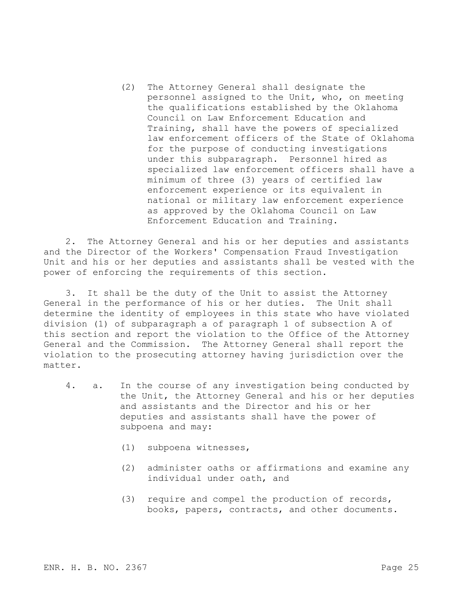(2) The Attorney General shall designate the personnel assigned to the Unit, who, on meeting the qualifications established by the Oklahoma Council on Law Enforcement Education and Training, shall have the powers of specialized law enforcement officers of the State of Oklahoma for the purpose of conducting investigations under this subparagraph. Personnel hired as specialized law enforcement officers shall have a minimum of three (3) years of certified law enforcement experience or its equivalent in national or military law enforcement experience as approved by the Oklahoma Council on Law Enforcement Education and Training.

2. The Attorney General and his or her deputies and assistants and the Director of the Workers' Compensation Fraud Investigation Unit and his or her deputies and assistants shall be vested with the power of enforcing the requirements of this section.

3. It shall be the duty of the Unit to assist the Attorney General in the performance of his or her duties. The Unit shall determine the identity of employees in this state who have violated division (1) of subparagraph a of paragraph 1 of subsection A of this section and report the violation to the Office of the Attorney General and the Commission. The Attorney General shall report the violation to the prosecuting attorney having jurisdiction over the matter.

- 4. a. In the course of any investigation being conducted by the Unit, the Attorney General and his or her deputies and assistants and the Director and his or her deputies and assistants shall have the power of subpoena and may:
	- (1) subpoena witnesses,
	- (2) administer oaths or affirmations and examine any individual under oath, and
	- (3) require and compel the production of records, books, papers, contracts, and other documents.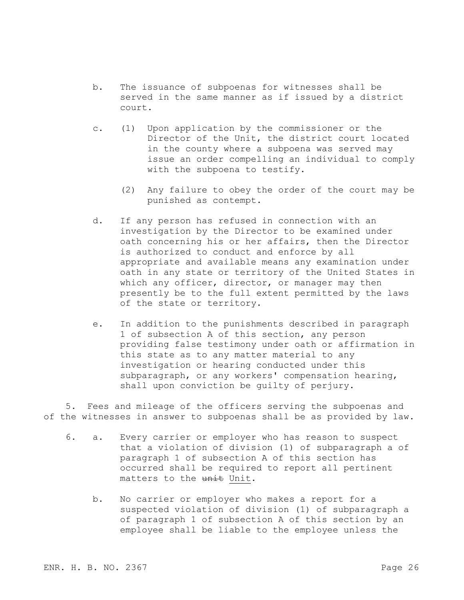- b. The issuance of subpoenas for witnesses shall be served in the same manner as if issued by a district court.
- c. (1) Upon application by the commissioner or the Director of the Unit, the district court located in the county where a subpoena was served may issue an order compelling an individual to comply with the subpoena to testify.
	- (2) Any failure to obey the order of the court may be punished as contempt.
- d. If any person has refused in connection with an investigation by the Director to be examined under oath concerning his or her affairs, then the Director is authorized to conduct and enforce by all appropriate and available means any examination under oath in any state or territory of the United States in which any officer, director, or manager may then presently be to the full extent permitted by the laws of the state or territory.
- e. In addition to the punishments described in paragraph 1 of subsection A of this section, any person providing false testimony under oath or affirmation in this state as to any matter material to any investigation or hearing conducted under this subparagraph, or any workers' compensation hearing, shall upon conviction be guilty of perjury.

5. Fees and mileage of the officers serving the subpoenas and of the witnesses in answer to subpoenas shall be as provided by law.

- 6. a. Every carrier or employer who has reason to suspect that a violation of division (1) of subparagraph a of paragraph 1 of subsection A of this section has occurred shall be required to report all pertinent matters to the unit Unit.
	- b. No carrier or employer who makes a report for a suspected violation of division (1) of subparagraph a of paragraph 1 of subsection A of this section by an employee shall be liable to the employee unless the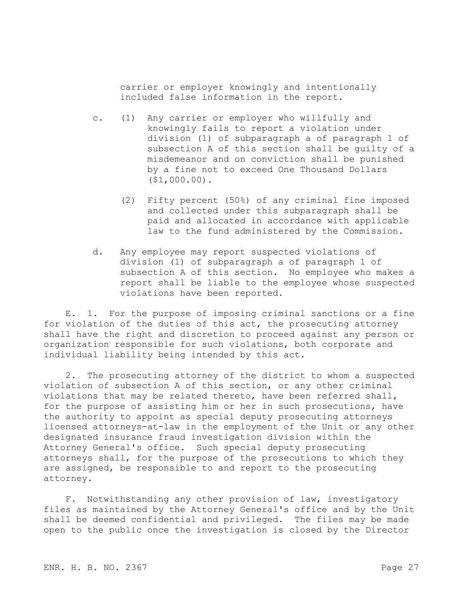carrier or employer knowingly and intentionally included false information in the report.

- c. (1) Any carrier or employer who willfully and knowingly fails to report a violation under division (1) of subparagraph a of paragraph 1 of subsection A of this section shall be guilty of a misdemeanor and on conviction shall be punished by a fine not to exceed One Thousand Dollars (\$1,000.00).
	- (2) Fifty percent (50%) of any criminal fine imposed and collected under this subparagraph shall be paid and allocated in accordance with applicable law to the fund administered by the Commission.
- d. Any employee may report suspected violations of division (1) of subparagraph a of paragraph 1 of subsection A of this section. No employee who makes a report shall be liable to the employee whose suspected violations have been reported.

E. 1. For the purpose of imposing criminal sanctions or a fine for violation of the duties of this act, the prosecuting attorney shall have the right and discretion to proceed against any person or organization responsible for such violations, both corporate and individual liability being intended by this act.

2. The prosecuting attorney of the district to whom a suspected violation of subsection A of this section, or any other criminal violations that may be related thereto, have been referred shall, for the purpose of assisting him or her in such prosecutions, have the authority to appoint as special deputy prosecuting attorneys licensed attorneys-at-law in the employment of the Unit or any other designated insurance fraud investigation division within the Attorney General's office. Such special deputy prosecuting attorneys shall, for the purpose of the prosecutions to which they are assigned, be responsible to and report to the prosecuting attorney.

F. Notwithstanding any other provision of law, investigatory files as maintained by the Attorney General's office and by the Unit shall be deemed confidential and privileged. The files may be made open to the public once the investigation is closed by the Director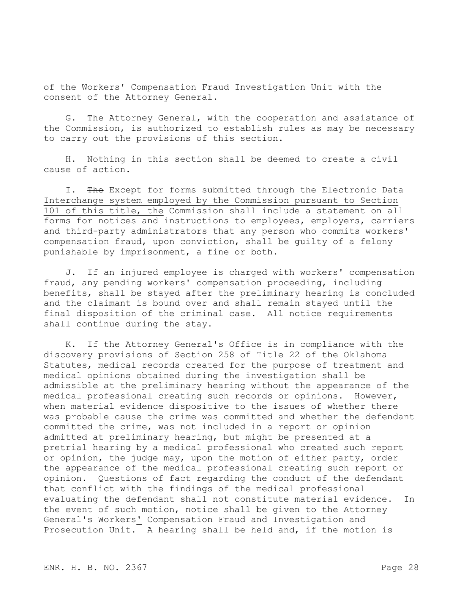of the Workers' Compensation Fraud Investigation Unit with the consent of the Attorney General.

G. The Attorney General, with the cooperation and assistance of the Commission, is authorized to establish rules as may be necessary to carry out the provisions of this section.

H. Nothing in this section shall be deemed to create a civil cause of action.

I. The Except for forms submitted through the Electronic Data Interchange system employed by the Commission pursuant to Section 101 of this title, the Commission shall include a statement on all forms for notices and instructions to employees, employers, carriers and third-party administrators that any person who commits workers' compensation fraud, upon conviction, shall be guilty of a felony punishable by imprisonment, a fine or both.

J. If an injured employee is charged with workers' compensation fraud, any pending workers' compensation proceeding, including benefits, shall be stayed after the preliminary hearing is concluded and the claimant is bound over and shall remain stayed until the final disposition of the criminal case. All notice requirements shall continue during the stay.

K. If the Attorney General's Office is in compliance with the discovery provisions of Section 258 of Title 22 of the Oklahoma Statutes, medical records created for the purpose of treatment and medical opinions obtained during the investigation shall be admissible at the preliminary hearing without the appearance of the medical professional creating such records or opinions. However, when material evidence dispositive to the issues of whether there was probable cause the crime was committed and whether the defendant committed the crime, was not included in a report or opinion admitted at preliminary hearing, but might be presented at a pretrial hearing by a medical professional who created such report or opinion, the judge may, upon the motion of either party, order the appearance of the medical professional creating such report or opinion. Questions of fact regarding the conduct of the defendant that conflict with the findings of the medical professional evaluating the defendant shall not constitute material evidence. In the event of such motion, notice shall be given to the Attorney General's Workers' Compensation Fraud and Investigation and Prosecution Unit. A hearing shall be held and, if the motion is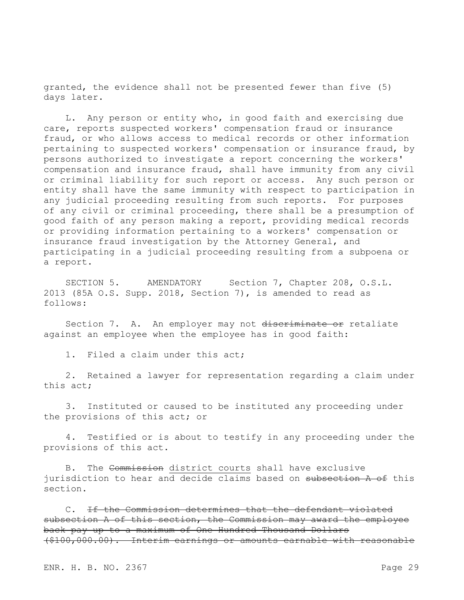granted, the evidence shall not be presented fewer than five (5) days later.

L. Any person or entity who, in good faith and exercising due care, reports suspected workers' compensation fraud or insurance fraud, or who allows access to medical records or other information pertaining to suspected workers' compensation or insurance fraud, by persons authorized to investigate a report concerning the workers' compensation and insurance fraud, shall have immunity from any civil or criminal liability for such report or access. Any such person or entity shall have the same immunity with respect to participation in any judicial proceeding resulting from such reports. For purposes of any civil or criminal proceeding, there shall be a presumption of good faith of any person making a report, providing medical records or providing information pertaining to a workers' compensation or insurance fraud investigation by the Attorney General, and participating in a judicial proceeding resulting from a subpoena or a report.

SECTION 5. AMENDATORY Section 7, Chapter 208, O.S.L. 2013 (85A O.S. Supp. 2018, Section 7), is amended to read as follows:

Section 7. A. An employer may not discriminate or retaliate against an employee when the employee has in good faith:

1. Filed a claim under this act;

2. Retained a lawyer for representation regarding a claim under this act;

3. Instituted or caused to be instituted any proceeding under the provisions of this act; or

4. Testified or is about to testify in any proceeding under the provisions of this act.

B. The Commission district courts shall have exclusive jurisdiction to hear and decide claims based on subsection A of this section.

C. If the Commission determines that the defendant violated subsection A of this section, the Commission may award the employee back pay up to a maximum of One Hundred Thousand Dollars (\$100,000.00). Interim earnings or amounts earnable with reasonable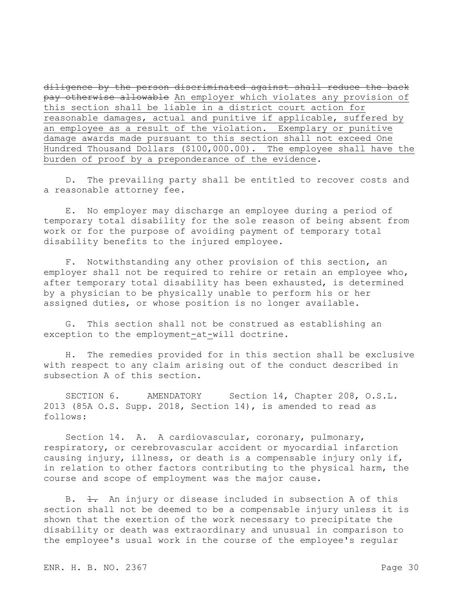diligence by the person discriminated against shall reduce the back pay otherwise allowable An employer which violates any provision of this section shall be liable in a district court action for reasonable damages, actual and punitive if applicable, suffered by an employee as a result of the violation. Exemplary or punitive damage awards made pursuant to this section shall not exceed One Hundred Thousand Dollars (\$100,000.00). The employee shall have the burden of proof by a preponderance of the evidence.

D. The prevailing party shall be entitled to recover costs and a reasonable attorney fee.

E. No employer may discharge an employee during a period of temporary total disability for the sole reason of being absent from work or for the purpose of avoiding payment of temporary total disability benefits to the injured employee.

F. Notwithstanding any other provision of this section, an employer shall not be required to rehire or retain an employee who, after temporary total disability has been exhausted, is determined by a physician to be physically unable to perform his or her assigned duties, or whose position is no longer available.

G. This section shall not be construed as establishing an exception to the employment-at-will doctrine.

H. The remedies provided for in this section shall be exclusive with respect to any claim arising out of the conduct described in subsection A of this section.

SECTION 6. AMENDATORY Section 14, Chapter 208, O.S.L. 2013 (85A O.S. Supp. 2018, Section 14), is amended to read as follows:

Section 14. A. A cardiovascular, coronary, pulmonary, respiratory, or cerebrovascular accident or myocardial infarction causing injury, illness, or death is a compensable injury only if, in relation to other factors contributing to the physical harm, the course and scope of employment was the major cause.

B.  $\pm$ . An injury or disease included in subsection A of this section shall not be deemed to be a compensable injury unless it is shown that the exertion of the work necessary to precipitate the disability or death was extraordinary and unusual in comparison to the employee's usual work in the course of the employee's regular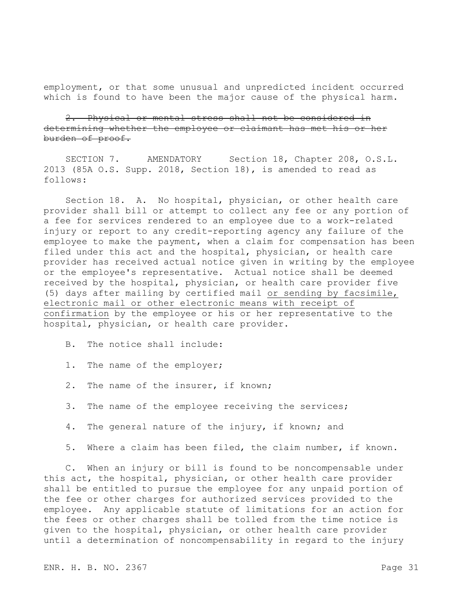employment, or that some unusual and unpredicted incident occurred which is found to have been the major cause of the physical harm.

2. Physical or mental stress shall not be considered in determining whether the employee or claimant has met his or her burden of proof.

SECTION 7. AMENDATORY Section 18, Chapter 208, O.S.L. 2013 (85A O.S. Supp. 2018, Section 18), is amended to read as follows:

Section 18. A. No hospital, physician, or other health care provider shall bill or attempt to collect any fee or any portion of a fee for services rendered to an employee due to a work-related injury or report to any credit-reporting agency any failure of the employee to make the payment, when a claim for compensation has been filed under this act and the hospital, physician, or health care provider has received actual notice given in writing by the employee or the employee's representative. Actual notice shall be deemed received by the hospital, physician, or health care provider five (5) days after mailing by certified mail or sending by facsimile, electronic mail or other electronic means with receipt of confirmation by the employee or his or her representative to the hospital, physician, or health care provider.

- B. The notice shall include:
- 1. The name of the employer;
- 2. The name of the insurer, if known;
- 3. The name of the employee receiving the services;
- 4. The general nature of the injury, if known; and
- 5. Where a claim has been filed, the claim number, if known.

C. When an injury or bill is found to be noncompensable under this act, the hospital, physician, or other health care provider shall be entitled to pursue the employee for any unpaid portion of the fee or other charges for authorized services provided to the employee. Any applicable statute of limitations for an action for the fees or other charges shall be tolled from the time notice is given to the hospital, physician, or other health care provider until a determination of noncompensability in regard to the injury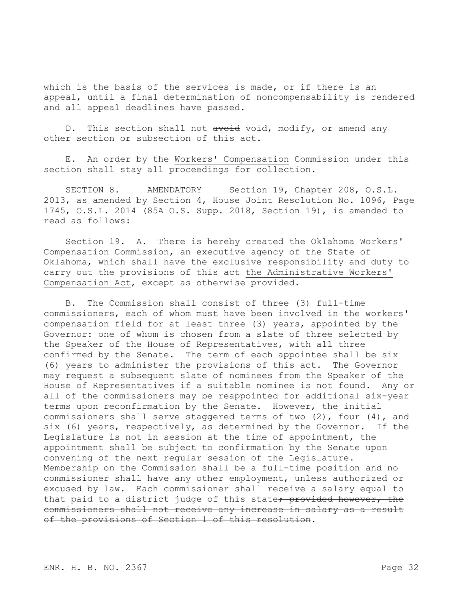which is the basis of the services is made, or if there is an appeal, until a final determination of noncompensability is rendered and all appeal deadlines have passed.

D. This section shall not avoid void, modify, or amend any other section or subsection of this act.

E. An order by the Workers' Compensation Commission under this section shall stay all proceedings for collection.

SECTION 8. AMENDATORY Section 19, Chapter 208, O.S.L. 2013, as amended by Section 4, House Joint Resolution No. 1096, Page 1745, O.S.L. 2014 (85A O.S. Supp. 2018, Section 19), is amended to read as follows:

Section 19. A. There is hereby created the Oklahoma Workers' Compensation Commission, an executive agency of the State of Oklahoma, which shall have the exclusive responsibility and duty to carry out the provisions of this aet the Administrative Workers' Compensation Act, except as otherwise provided.

B. The Commission shall consist of three (3) full-time commissioners, each of whom must have been involved in the workers' compensation field for at least three (3) years, appointed by the Governor: one of whom is chosen from a slate of three selected by the Speaker of the House of Representatives, with all three confirmed by the Senate. The term of each appointee shall be six (6) years to administer the provisions of this act. The Governor may request a subsequent slate of nominees from the Speaker of the House of Representatives if a suitable nominee is not found. Any or all of the commissioners may be reappointed for additional six-year terms upon reconfirmation by the Senate. However, the initial commissioners shall serve staggered terms of two (2), four (4), and six (6) years, respectively, as determined by the Governor. If the Legislature is not in session at the time of appointment, the appointment shall be subject to confirmation by the Senate upon convening of the next regular session of the Legislature. Membership on the Commission shall be a full-time position and no commissioner shall have any other employment, unless authorized or excused by law. Each commissioner shall receive a salary equal to that paid to a district judge of this state<del>; provided however, the</del> commissioners shall not receive any increase in salary as a result of the provisions of Section 1 of this resolution.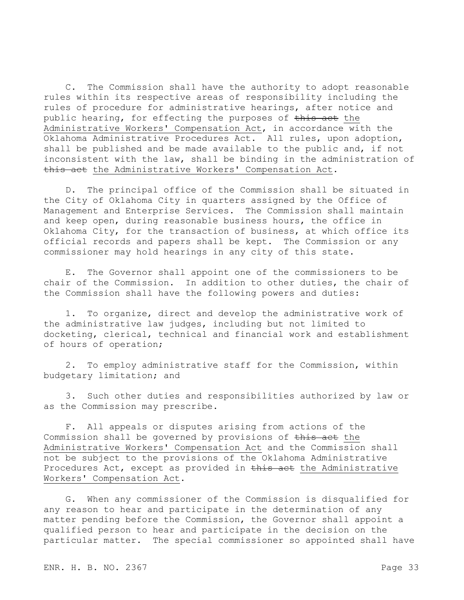C. The Commission shall have the authority to adopt reasonable rules within its respective areas of responsibility including the rules of procedure for administrative hearings, after notice and public hearing, for effecting the purposes of this act the Administrative Workers' Compensation Act, in accordance with the Oklahoma Administrative Procedures Act. All rules, upon adoption, shall be published and be made available to the public and, if not inconsistent with the law, shall be binding in the administration of this act the Administrative Workers' Compensation Act.

D. The principal office of the Commission shall be situated in the City of Oklahoma City in quarters assigned by the Office of Management and Enterprise Services. The Commission shall maintain and keep open, during reasonable business hours, the office in Oklahoma City, for the transaction of business, at which office its official records and papers shall be kept. The Commission or any commissioner may hold hearings in any city of this state.

E. The Governor shall appoint one of the commissioners to be chair of the Commission. In addition to other duties, the chair of the Commission shall have the following powers and duties:

1. To organize, direct and develop the administrative work of the administrative law judges, including but not limited to docketing, clerical, technical and financial work and establishment of hours of operation;

2. To employ administrative staff for the Commission, within budgetary limitation; and

3. Such other duties and responsibilities authorized by law or as the Commission may prescribe.

F. All appeals or disputes arising from actions of the Commission shall be governed by provisions of this act the Administrative Workers' Compensation Act and the Commission shall not be subject to the provisions of the Oklahoma Administrative Procedures Act, except as provided in this act the Administrative Workers' Compensation Act.

G. When any commissioner of the Commission is disqualified for any reason to hear and participate in the determination of any matter pending before the Commission, the Governor shall appoint a qualified person to hear and participate in the decision on the particular matter. The special commissioner so appointed shall have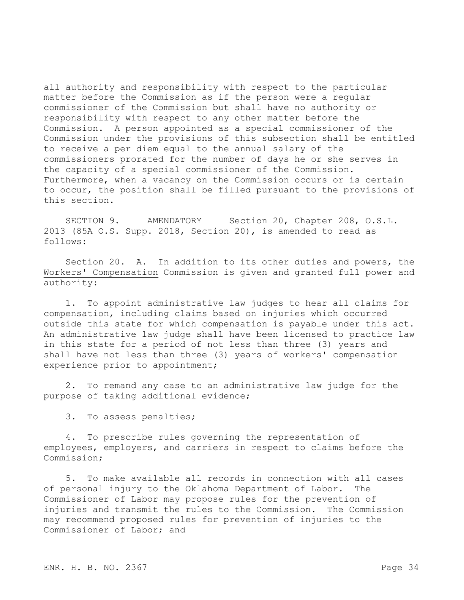all authority and responsibility with respect to the particular matter before the Commission as if the person were a regular commissioner of the Commission but shall have no authority or responsibility with respect to any other matter before the Commission. A person appointed as a special commissioner of the Commission under the provisions of this subsection shall be entitled to receive a per diem equal to the annual salary of the commissioners prorated for the number of days he or she serves in the capacity of a special commissioner of the Commission. Furthermore, when a vacancy on the Commission occurs or is certain to occur, the position shall be filled pursuant to the provisions of this section.

SECTION 9. AMENDATORY Section 20, Chapter 208, O.S.L. 2013 (85A O.S. Supp. 2018, Section 20), is amended to read as follows:

Section 20. A. In addition to its other duties and powers, the Workers' Compensation Commission is given and granted full power and authority:

1. To appoint administrative law judges to hear all claims for compensation, including claims based on injuries which occurred outside this state for which compensation is payable under this act. An administrative law judge shall have been licensed to practice law in this state for a period of not less than three (3) years and shall have not less than three (3) years of workers' compensation experience prior to appointment;

2. To remand any case to an administrative law judge for the purpose of taking additional evidence;

3. To assess penalties;

4. To prescribe rules governing the representation of employees, employers, and carriers in respect to claims before the Commission;

5. To make available all records in connection with all cases of personal injury to the Oklahoma Department of Labor. The Commissioner of Labor may propose rules for the prevention of injuries and transmit the rules to the Commission. The Commission may recommend proposed rules for prevention of injuries to the Commissioner of Labor; and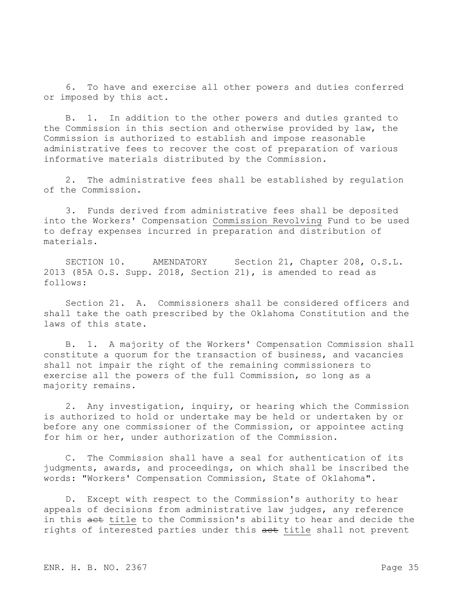6. To have and exercise all other powers and duties conferred or imposed by this act.

B. 1. In addition to the other powers and duties granted to the Commission in this section and otherwise provided by law, the Commission is authorized to establish and impose reasonable administrative fees to recover the cost of preparation of various informative materials distributed by the Commission.

2. The administrative fees shall be established by regulation of the Commission.

3. Funds derived from administrative fees shall be deposited into the Workers' Compensation Commission Revolving Fund to be used to defray expenses incurred in preparation and distribution of materials.

SECTION 10. AMENDATORY Section 21, Chapter 208, O.S.L. 2013 (85A O.S. Supp. 2018, Section 21), is amended to read as follows:

Section 21. A. Commissioners shall be considered officers and shall take the oath prescribed by the Oklahoma Constitution and the laws of this state.

B. 1. A majority of the Workers' Compensation Commission shall constitute a quorum for the transaction of business, and vacancies shall not impair the right of the remaining commissioners to exercise all the powers of the full Commission, so long as a majority remains.

2. Any investigation, inquiry, or hearing which the Commission is authorized to hold or undertake may be held or undertaken by or before any one commissioner of the Commission, or appointee acting for him or her, under authorization of the Commission.

C. The Commission shall have a seal for authentication of its judgments, awards, and proceedings, on which shall be inscribed the words: "Workers' Compensation Commission, State of Oklahoma".

D. Except with respect to the Commission's authority to hear appeals of decisions from administrative law judges, any reference in this act title to the Commission's ability to hear and decide the rights of interested parties under this aet title shall not prevent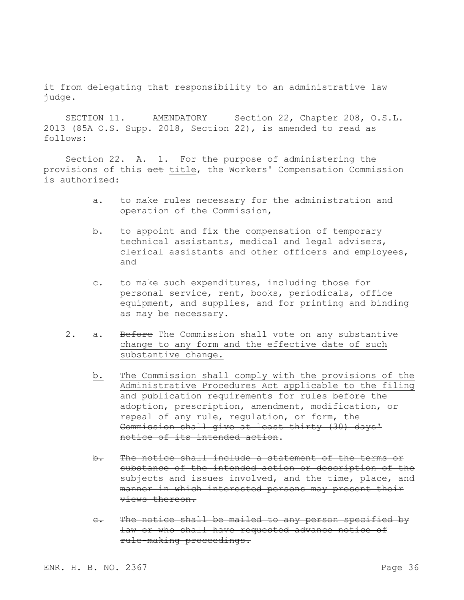it from delegating that responsibility to an administrative law judge.

SECTION 11. AMENDATORY Section 22, Chapter 208, O.S.L. 2013 (85A O.S. Supp. 2018, Section 22), is amended to read as follows:

Section 22. A. 1. For the purpose of administering the provisions of this act title, the Workers' Compensation Commission is authorized:

- a. to make rules necessary for the administration and operation of the Commission,
- b. to appoint and fix the compensation of temporary technical assistants, medical and legal advisers, clerical assistants and other officers and employees, and
- c. to make such expenditures, including those for personal service, rent, books, periodicals, office equipment, and supplies, and for printing and binding as may be necessary.
- 2. a. Before The Commission shall vote on any substantive change to any form and the effective date of such substantive change.
	- b. The Commission shall comply with the provisions of the Administrative Procedures Act applicable to the filing and publication requirements for rules before the adoption, prescription, amendment, modification, or repeal of any rule, regulation, or form, the Commission shall give at least thirty (30) days' notice of its intended action.
	- b. The notice shall include a statement of the terms or substance of the intended action or description of the subjects and issues involved, and the time, place, and manner in which interested persons may present their views thereon.
	- c. The notice shall be mailed to any person specified by law or who shall have requested advance notice of rule-making proceedings.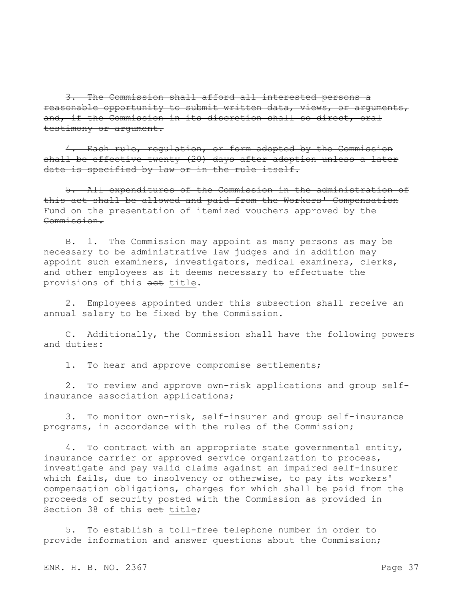3. The Commission shall afford all interested persons a reasonable opportunity to submit written data, views, or arguments, and, if the Commission in its discretion shall so direct, oral testimony or argument.

4. Each rule, regulation, or form adopted by the Commission shall be effective twenty (20) days after adoption unless a later date is specified by law or in the rule itself.

5. All expenditures of the Commission in the administration of this act shall be allowed and paid from the Workers' Compensation Fund on the presentation of itemized vouchers approved by the Commission.

B. 1. The Commission may appoint as many persons as may be necessary to be administrative law judges and in addition may appoint such examiners, investigators, medical examiners, clerks, and other employees as it deems necessary to effectuate the provisions of this act title.

2. Employees appointed under this subsection shall receive an annual salary to be fixed by the Commission.

C. Additionally, the Commission shall have the following powers and duties:

1. To hear and approve compromise settlements;

2. To review and approve own-risk applications and group selfinsurance association applications;

3. To monitor own-risk, self-insurer and group self-insurance programs, in accordance with the rules of the Commission;

4. To contract with an appropriate state governmental entity, insurance carrier or approved service organization to process, investigate and pay valid claims against an impaired self-insurer which fails, due to insolvency or otherwise, to pay its workers' compensation obligations, charges for which shall be paid from the proceeds of security posted with the Commission as provided in Section 38 of this aet title;

5. To establish a toll-free telephone number in order to provide information and answer questions about the Commission;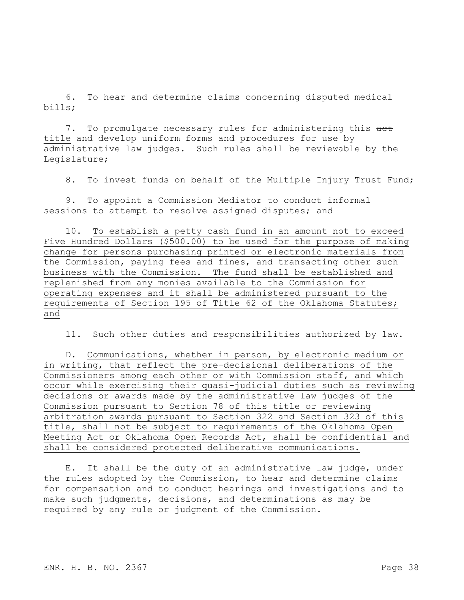6. To hear and determine claims concerning disputed medical bills;

7. To promulgate necessary rules for administering this aet title and develop uniform forms and procedures for use by administrative law judges. Such rules shall be reviewable by the Legislature;

8. To invest funds on behalf of the Multiple Injury Trust Fund;

9. To appoint a Commission Mediator to conduct informal sessions to attempt to resolve assigned disputes; and

10. To establish a petty cash fund in an amount not to exceed Five Hundred Dollars (\$500.00) to be used for the purpose of making change for persons purchasing printed or electronic materials from the Commission, paying fees and fines, and transacting other such business with the Commission. The fund shall be established and replenished from any monies available to the Commission for operating expenses and it shall be administered pursuant to the requirements of Section 195 of Title 62 of the Oklahoma Statutes; and

11. Such other duties and responsibilities authorized by law.

D. Communications, whether in person, by electronic medium or in writing, that reflect the pre-decisional deliberations of the Commissioners among each other or with Commission staff, and which occur while exercising their quasi-judicial duties such as reviewing decisions or awards made by the administrative law judges of the Commission pursuant to Section 78 of this title or reviewing arbitration awards pursuant to Section 322 and Section 323 of this title, shall not be subject to requirements of the Oklahoma Open Meeting Act or Oklahoma Open Records Act, shall be confidential and shall be considered protected deliberative communications.

E. It shall be the duty of an administrative law judge, under the rules adopted by the Commission, to hear and determine claims for compensation and to conduct hearings and investigations and to make such judgments, decisions, and determinations as may be required by any rule or judgment of the Commission.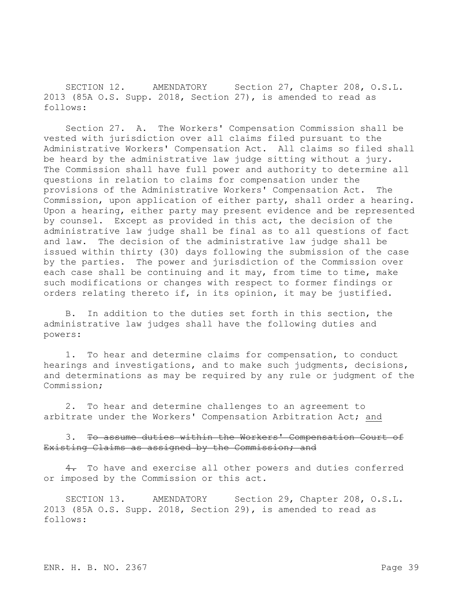SECTION 12. AMENDATORY Section 27, Chapter 208, O.S.L. 2013 (85A O.S. Supp. 2018, Section 27), is amended to read as follows:

Section 27. A. The Workers' Compensation Commission shall be vested with jurisdiction over all claims filed pursuant to the Administrative Workers' Compensation Act. All claims so filed shall be heard by the administrative law judge sitting without a jury. The Commission shall have full power and authority to determine all questions in relation to claims for compensation under the provisions of the Administrative Workers' Compensation Act. The Commission, upon application of either party, shall order a hearing. Upon a hearing, either party may present evidence and be represented by counsel. Except as provided in this act, the decision of the administrative law judge shall be final as to all questions of fact and law. The decision of the administrative law judge shall be issued within thirty (30) days following the submission of the case by the parties. The power and jurisdiction of the Commission over each case shall be continuing and it may, from time to time, make such modifications or changes with respect to former findings or orders relating thereto if, in its opinion, it may be justified.

B. In addition to the duties set forth in this section, the administrative law judges shall have the following duties and powers:

1. To hear and determine claims for compensation, to conduct hearings and investigations, and to make such judgments, decisions, and determinations as may be required by any rule or judgment of the Commission;

2. To hear and determine challenges to an agreement to arbitrate under the Workers' Compensation Arbitration Act; and

3. To assume duties within the Workers' Compensation Court of Existing Claims as assigned by the Commission; and

4. To have and exercise all other powers and duties conferred or imposed by the Commission or this act.

SECTION 13. AMENDATORY Section 29, Chapter 208, O.S.L. 2013 (85A O.S. Supp. 2018, Section 29), is amended to read as follows: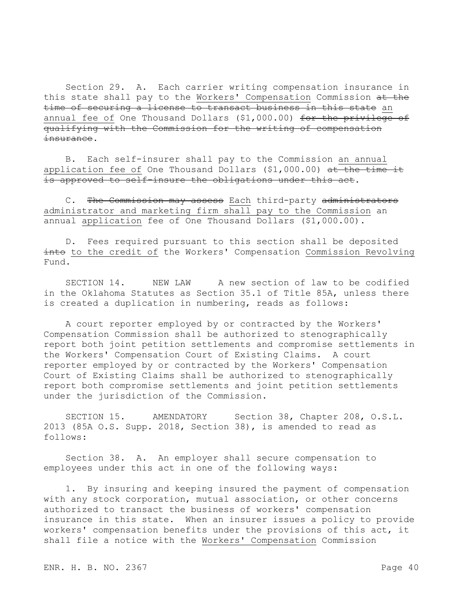Section 29. A. Each carrier writing compensation insurance in this state shall pay to the Workers' Compensation Commission at the time of securing a license to transact business in this state an annual fee of One Thousand Dollars (\$1,000.00) for the privilege of qualifying with the Commission for the writing of compensation insurance.

B. Each self-insurer shall pay to the Commission an annual application fee of One Thousand Dollars (\$1,000.00) at the time it is approved to self-insure the obligations under this act.

C. The Commission may assess Each third-party administrators administrator and marketing firm shall pay to the Commission an annual application fee of One Thousand Dollars (\$1,000.00).

D. Fees required pursuant to this section shall be deposited into to the credit of the Workers' Compensation Commission Revolving Fund.

SECTION 14. NEW LAW A new section of law to be codified in the Oklahoma Statutes as Section 35.1 of Title 85A, unless there is created a duplication in numbering, reads as follows:

A court reporter employed by or contracted by the Workers' Compensation Commission shall be authorized to stenographically report both joint petition settlements and compromise settlements in the Workers' Compensation Court of Existing Claims. A court reporter employed by or contracted by the Workers' Compensation Court of Existing Claims shall be authorized to stenographically report both compromise settlements and joint petition settlements under the jurisdiction of the Commission.

SECTION 15. AMENDATORY Section 38, Chapter 208, O.S.L. 2013 (85A O.S. Supp. 2018, Section 38), is amended to read as follows:

Section 38. A. An employer shall secure compensation to employees under this act in one of the following ways:

1. By insuring and keeping insured the payment of compensation with any stock corporation, mutual association, or other concerns authorized to transact the business of workers' compensation insurance in this state. When an insurer issues a policy to provide workers' compensation benefits under the provisions of this act, it shall file a notice with the Workers' Compensation Commission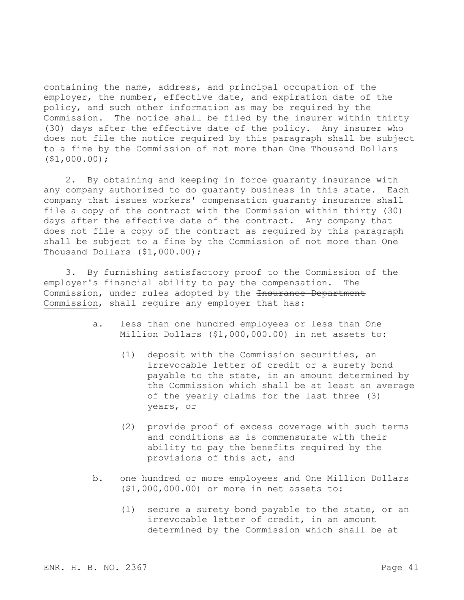containing the name, address, and principal occupation of the employer, the number, effective date, and expiration date of the policy, and such other information as may be required by the Commission. The notice shall be filed by the insurer within thirty (30) days after the effective date of the policy. Any insurer who does not file the notice required by this paragraph shall be subject to a fine by the Commission of not more than One Thousand Dollars (\$1,000.00);

2. By obtaining and keeping in force guaranty insurance with any company authorized to do guaranty business in this state. Each company that issues workers' compensation guaranty insurance shall file a copy of the contract with the Commission within thirty (30) days after the effective date of the contract. Any company that does not file a copy of the contract as required by this paragraph shall be subject to a fine by the Commission of not more than One Thousand Dollars (\$1,000.00);

3. By furnishing satisfactory proof to the Commission of the employer's financial ability to pay the compensation. The Commission, under rules adopted by the <del>Insurance Department</del> Commission, shall require any employer that has:

- a. less than one hundred employees or less than One Million Dollars (\$1,000,000.00) in net assets to:
	- (1) deposit with the Commission securities, an irrevocable letter of credit or a surety bond payable to the state, in an amount determined by the Commission which shall be at least an average of the yearly claims for the last three (3) years, or
	- (2) provide proof of excess coverage with such terms and conditions as is commensurate with their ability to pay the benefits required by the provisions of this act, and
- b. one hundred or more employees and One Million Dollars (\$1,000,000.00) or more in net assets to:
	- (1) secure a surety bond payable to the state, or an irrevocable letter of credit, in an amount determined by the Commission which shall be at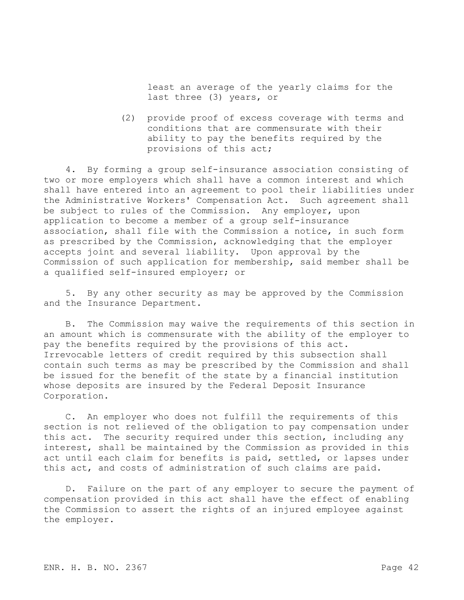least an average of the yearly claims for the last three (3) years, or

(2) provide proof of excess coverage with terms and conditions that are commensurate with their ability to pay the benefits required by the provisions of this act;

4. By forming a group self-insurance association consisting of two or more employers which shall have a common interest and which shall have entered into an agreement to pool their liabilities under the Administrative Workers' Compensation Act. Such agreement shall be subject to rules of the Commission. Any employer, upon application to become a member of a group self-insurance association, shall file with the Commission a notice, in such form as prescribed by the Commission, acknowledging that the employer accepts joint and several liability. Upon approval by the Commission of such application for membership, said member shall be a qualified self-insured employer; or

5. By any other security as may be approved by the Commission and the Insurance Department.

B. The Commission may waive the requirements of this section in an amount which is commensurate with the ability of the employer to pay the benefits required by the provisions of this act. Irrevocable letters of credit required by this subsection shall contain such terms as may be prescribed by the Commission and shall be issued for the benefit of the state by a financial institution whose deposits are insured by the Federal Deposit Insurance Corporation.

C. An employer who does not fulfill the requirements of this section is not relieved of the obligation to pay compensation under this act. The security required under this section, including any interest, shall be maintained by the Commission as provided in this act until each claim for benefits is paid, settled, or lapses under this act, and costs of administration of such claims are paid.

D. Failure on the part of any employer to secure the payment of compensation provided in this act shall have the effect of enabling the Commission to assert the rights of an injured employee against the employer.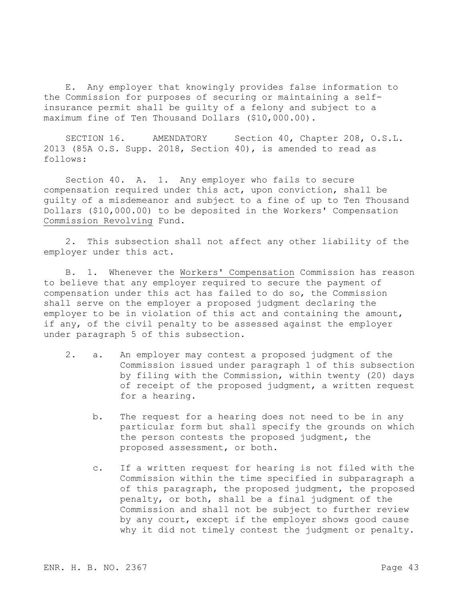E. Any employer that knowingly provides false information to the Commission for purposes of securing or maintaining a selfinsurance permit shall be guilty of a felony and subject to a maximum fine of Ten Thousand Dollars (\$10,000.00).

SECTION 16. AMENDATORY Section 40, Chapter 208, O.S.L. 2013 (85A O.S. Supp. 2018, Section 40), is amended to read as follows:

Section 40. A. 1. Any employer who fails to secure compensation required under this act, upon conviction, shall be guilty of a misdemeanor and subject to a fine of up to Ten Thousand Dollars (\$10,000.00) to be deposited in the Workers' Compensation Commission Revolving Fund.

2. This subsection shall not affect any other liability of the employer under this act.

B. 1. Whenever the Workers' Compensation Commission has reason to believe that any employer required to secure the payment of compensation under this act has failed to do so, the Commission shall serve on the employer a proposed judgment declaring the employer to be in violation of this act and containing the amount, if any, of the civil penalty to be assessed against the employer under paragraph 5 of this subsection.

- 2. a. An employer may contest a proposed judgment of the Commission issued under paragraph 1 of this subsection by filing with the Commission, within twenty (20) days of receipt of the proposed judgment, a written request for a hearing.
	- b. The request for a hearing does not need to be in any particular form but shall specify the grounds on which the person contests the proposed judgment, the proposed assessment, or both.
	- c. If a written request for hearing is not filed with the Commission within the time specified in subparagraph a of this paragraph, the proposed judgment, the proposed penalty, or both, shall be a final judgment of the Commission and shall not be subject to further review by any court, except if the employer shows good cause why it did not timely contest the judgment or penalty.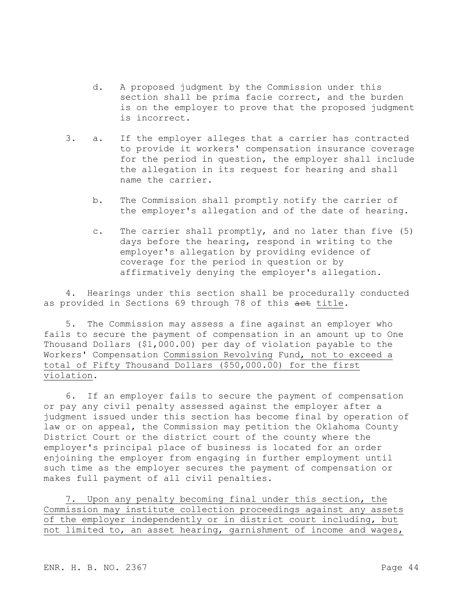- d. A proposed judgment by the Commission under this section shall be prima facie correct, and the burden is on the employer to prove that the proposed judgment is incorrect.
- 3. a. If the employer alleges that a carrier has contracted to provide it workers' compensation insurance coverage for the period in question, the employer shall include the allegation in its request for hearing and shall name the carrier.
	- b. The Commission shall promptly notify the carrier of the employer's allegation and of the date of hearing.
	- c. The carrier shall promptly, and no later than five (5) days before the hearing, respond in writing to the employer's allegation by providing evidence of coverage for the period in question or by affirmatively denying the employer's allegation.

4. Hearings under this section shall be procedurally conducted as provided in Sections 69 through 78 of this aet title.

5. The Commission may assess a fine against an employer who fails to secure the payment of compensation in an amount up to One Thousand Dollars (\$1,000.00) per day of violation payable to the Workers' Compensation Commission Revolving Fund, not to exceed a total of Fifty Thousand Dollars (\$50,000.00) for the first violation.

6. If an employer fails to secure the payment of compensation or pay any civil penalty assessed against the employer after a judgment issued under this section has become final by operation of law or on appeal, the Commission may petition the Oklahoma County District Court or the district court of the county where the employer's principal place of business is located for an order enjoining the employer from engaging in further employment until such time as the employer secures the payment of compensation or makes full payment of all civil penalties.

7. Upon any penalty becoming final under this section, the Commission may institute collection proceedings against any assets of the employer independently or in district court including, but not limited to, an asset hearing, garnishment of income and wages,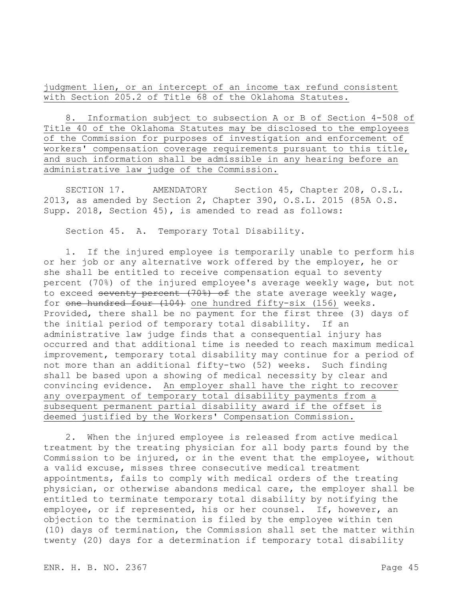judgment lien, or an intercept of an income tax refund consistent with Section 205.2 of Title 68 of the Oklahoma Statutes.

8. Information subject to subsection A or B of Section 4-508 of Title 40 of the Oklahoma Statutes may be disclosed to the employees of the Commission for purposes of investigation and enforcement of workers' compensation coverage requirements pursuant to this title, and such information shall be admissible in any hearing before an administrative law judge of the Commission.

SECTION 17. AMENDATORY Section 45, Chapter 208, O.S.L. 2013, as amended by Section 2, Chapter 390, O.S.L. 2015 (85A O.S. Supp. 2018, Section 45), is amended to read as follows:

Section 45. A. Temporary Total Disability.

1. If the injured employee is temporarily unable to perform his or her job or any alternative work offered by the employer, he or she shall be entitled to receive compensation equal to seventy percent (70%) of the injured employee's average weekly wage, but not to exceed seventy percent (70%) of the state average weekly wage, for one hundred four (104) one hundred fifty-six (156) weeks. Provided, there shall be no payment for the first three (3) days of the initial period of temporary total disability. If an administrative law judge finds that a consequential injury has occurred and that additional time is needed to reach maximum medical improvement, temporary total disability may continue for a period of not more than an additional fifty-two (52) weeks. Such finding shall be based upon a showing of medical necessity by clear and convincing evidence. An employer shall have the right to recover any overpayment of temporary total disability payments from a subsequent permanent partial disability award if the offset is deemed justified by the Workers' Compensation Commission.

2. When the injured employee is released from active medical treatment by the treating physician for all body parts found by the Commission to be injured, or in the event that the employee, without a valid excuse, misses three consecutive medical treatment appointments, fails to comply with medical orders of the treating physician, or otherwise abandons medical care, the employer shall be entitled to terminate temporary total disability by notifying the employee, or if represented, his or her counsel. If, however, an objection to the termination is filed by the employee within ten (10) days of termination, the Commission shall set the matter within twenty (20) days for a determination if temporary total disability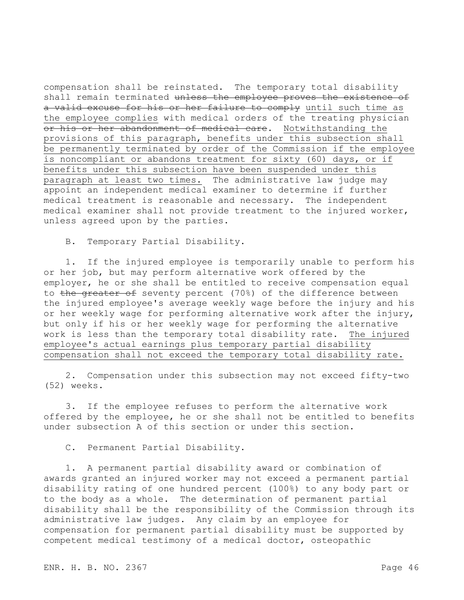compensation shall be reinstated. The temporary total disability shall remain terminated unless the employee proves the existence of a valid excuse for his or her failure to comply until such time as the employee complies with medical orders of the treating physician or his or her abandonment of medical care. Notwithstanding the provisions of this paragraph, benefits under this subsection shall be permanently terminated by order of the Commission if the employee is noncompliant or abandons treatment for sixty (60) days, or if benefits under this subsection have been suspended under this paragraph at least two times. The administrative law judge may appoint an independent medical examiner to determine if further medical treatment is reasonable and necessary. The independent medical examiner shall not provide treatment to the injured worker, unless agreed upon by the parties.

B. Temporary Partial Disability.

1. If the injured employee is temporarily unable to perform his or her job, but may perform alternative work offered by the employer, he or she shall be entitled to receive compensation equal to the greater of seventy percent (70%) of the difference between the injured employee's average weekly wage before the injury and his or her weekly wage for performing alternative work after the injury, but only if his or her weekly wage for performing the alternative work is less than the temporary total disability rate. The injured employee's actual earnings plus temporary partial disability compensation shall not exceed the temporary total disability rate.

2. Compensation under this subsection may not exceed fifty-two (52) weeks.

3. If the employee refuses to perform the alternative work offered by the employee, he or she shall not be entitled to benefits under subsection A of this section or under this section.

C. Permanent Partial Disability.

1. A permanent partial disability award or combination of awards granted an injured worker may not exceed a permanent partial disability rating of one hundred percent (100%) to any body part or to the body as a whole. The determination of permanent partial disability shall be the responsibility of the Commission through its administrative law judges. Any claim by an employee for compensation for permanent partial disability must be supported by competent medical testimony of a medical doctor, osteopathic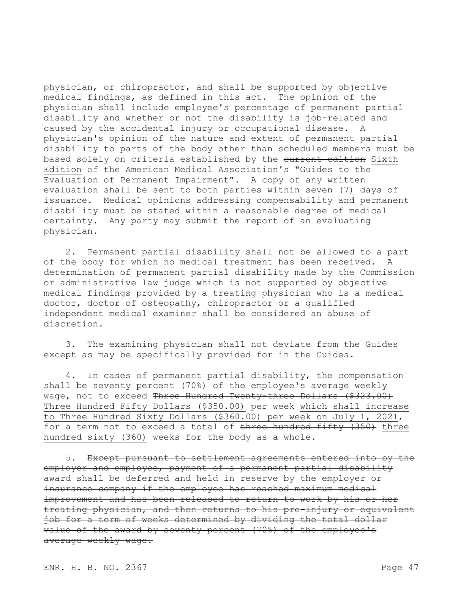physician, or chiropractor, and shall be supported by objective medical findings, as defined in this act. The opinion of the physician shall include employee's percentage of permanent partial disability and whether or not the disability is job-related and caused by the accidental injury or occupational disease. A physician's opinion of the nature and extent of permanent partial disability to parts of the body other than scheduled members must be based solely on criteria established by the current edition Sixth Edition of the American Medical Association's "Guides to the Evaluation of Permanent Impairment". A copy of any written evaluation shall be sent to both parties within seven (7) days of issuance. Medical opinions addressing compensability and permanent disability must be stated within a reasonable degree of medical certainty. Any party may submit the report of an evaluating physician.

2. Permanent partial disability shall not be allowed to a part of the body for which no medical treatment has been received. A determination of permanent partial disability made by the Commission or administrative law judge which is not supported by objective medical findings provided by a treating physician who is a medical doctor, doctor of osteopathy, chiropractor or a qualified independent medical examiner shall be considered an abuse of discretion.

3. The examining physician shall not deviate from the Guides except as may be specifically provided for in the Guides.

4. In cases of permanent partial disability, the compensation shall be seventy percent (70%) of the employee's average weekly wage, not to exceed Three Hundred Twenty-three Dollars (\$323.00) Three Hundred Fifty Dollars (\$350.00) per week which shall increase to Three Hundred Sixty Dollars (\$360.00) per week on July 1, 2021, for a term not to exceed a total of three hundred fifty (350) three hundred sixty (360) weeks for the body as a whole.

5. Except pursuant to settlement agreements entered into by the employer and employee, payment of a permanent partial disability award shall be deferred and held in reserve by the employer or insurance company if the employee has reached maximum medical improvement and has been released to return to work by his or her treating physician, and then returns to his pre-injury or equivalent job for a term of weeks determined by dividing the total dollar value of the award by seventy percent (70%) of the employee's average weekly wage.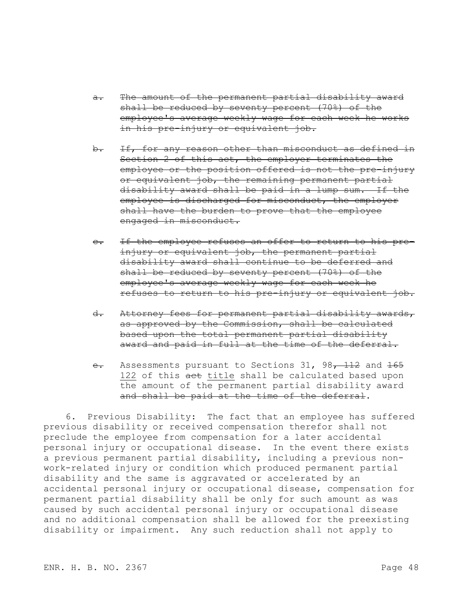- a. The amount of the permanent partial disability award shall be reduced by seventy percent (70%) of the employee's average weekly wage for each week he works in his pre-injury or equivalent job.
- b. If, for any reason other than misconduct as defined in Section 2 of this act, the employer terminates the employee or the position offered is not the pre-injury or equivalent job, the remaining permanent partial disability award shall be paid in a lump sum. If the employee is discharged for misconduct, the employer shall have the burden to prove that the employee engaged in misconduct.
- c. If the employee refuses an offer to return to his preinjury or equivalent job, the permanent partial disability award shall continue to be deferred and shall be reduced by seventy percent (70%) of the employee's average weekly wage for each week he refuses to return to his pre-injury or equivalent job.
- d. Attorney fees for permanent partial disability awards, as approved by the Commission, shall be calculated based upon the total permanent partial disability award and paid in full at the time of the deferral.
- e. Assessments pursuant to Sections 31, 98, 112 and 165 122 of this act title shall be calculated based upon the amount of the permanent partial disability award and shall be paid at the time of the deferral.

6. Previous Disability: The fact that an employee has suffered previous disability or received compensation therefor shall not preclude the employee from compensation for a later accidental personal injury or occupational disease. In the event there exists a previous permanent partial disability, including a previous nonwork-related injury or condition which produced permanent partial disability and the same is aggravated or accelerated by an accidental personal injury or occupational disease, compensation for permanent partial disability shall be only for such amount as was caused by such accidental personal injury or occupational disease and no additional compensation shall be allowed for the preexisting disability or impairment. Any such reduction shall not apply to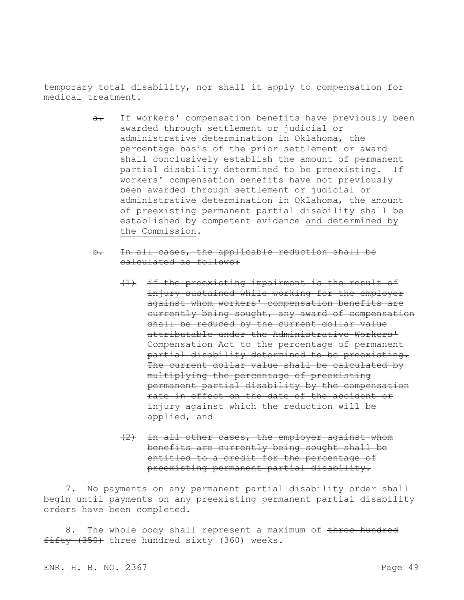temporary total disability, nor shall it apply to compensation for medical treatment.

- a. If workers' compensation benefits have previously been awarded through settlement or judicial or administrative determination in Oklahoma, the percentage basis of the prior settlement or award shall conclusively establish the amount of permanent partial disability determined to be preexisting. If workers' compensation benefits have not previously been awarded through settlement or judicial or administrative determination in Oklahoma, the amount of preexisting permanent partial disability shall be established by competent evidence and determined by the Commission.
- b. In all cases, the applicable reduction shall be calculated as follows:
	- (1) if the preexisting impairment is the result of injury sustained while working for the employer against whom workers' compensation benefits are currently being sought, any award of compensation shall be reduced by the current dollar value attributable under the Administrative Workers' Compensation Act to the percentage of permanent partial disability determined to be preexisting. The current dollar value shall be calculated by multiplying the percentage of preexisting permanent partial disability by the compensation rate in effect on the date of the accident or injury against which the reduction will be applied, and
	- (2) in all other cases, the employer against whom benefits are currently being sought shall be entitled to a credit for the percentage of preexisting permanent partial disability.

7. No payments on any permanent partial disability order shall begin until payments on any preexisting permanent partial disability orders have been completed.

8. The whole body shall represent a maximum of three hundred fifty (350) three hundred sixty (360) weeks.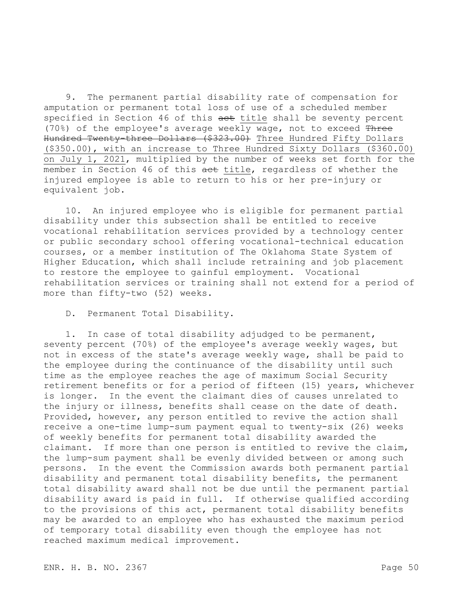9. The permanent partial disability rate of compensation for amputation or permanent total loss of use of a scheduled member specified in Section 46 of this aet title shall be seventy percent (70%) of the employee's average weekly wage, not to exceed Three Hundred Twenty-three Dollars (\$323.00) Three Hundred Fifty Dollars (\$350.00), with an increase to Three Hundred Sixty Dollars (\$360.00) on July 1, 2021, multiplied by the number of weeks set forth for the member in Section 46 of this aet title, regardless of whether the injured employee is able to return to his or her pre-injury or equivalent job.

10. An injured employee who is eligible for permanent partial disability under this subsection shall be entitled to receive vocational rehabilitation services provided by a technology center or public secondary school offering vocational-technical education courses, or a member institution of The Oklahoma State System of Higher Education, which shall include retraining and job placement to restore the employee to gainful employment. Vocational rehabilitation services or training shall not extend for a period of more than fifty-two (52) weeks.

D. Permanent Total Disability.

1. In case of total disability adjudged to be permanent, seventy percent (70%) of the employee's average weekly wages, but not in excess of the state's average weekly wage, shall be paid to the employee during the continuance of the disability until such time as the employee reaches the age of maximum Social Security retirement benefits or for a period of fifteen (15) years, whichever is longer. In the event the claimant dies of causes unrelated to the injury or illness, benefits shall cease on the date of death. Provided, however, any person entitled to revive the action shall receive a one-time lump-sum payment equal to twenty-six (26) weeks of weekly benefits for permanent total disability awarded the claimant. If more than one person is entitled to revive the claim, the lump-sum payment shall be evenly divided between or among such persons. In the event the Commission awards both permanent partial disability and permanent total disability benefits, the permanent total disability award shall not be due until the permanent partial disability award is paid in full. If otherwise qualified according to the provisions of this act, permanent total disability benefits may be awarded to an employee who has exhausted the maximum period of temporary total disability even though the employee has not reached maximum medical improvement.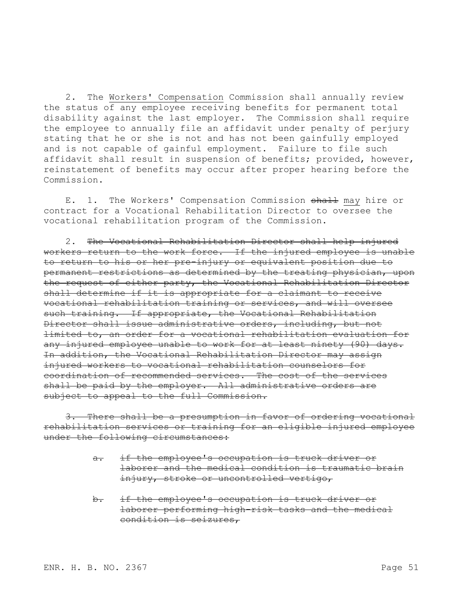2. The Workers' Compensation Commission shall annually review the status of any employee receiving benefits for permanent total disability against the last employer. The Commission shall require the employee to annually file an affidavit under penalty of perjury stating that he or she is not and has not been gainfully employed and is not capable of gainful employment. Failure to file such affidavit shall result in suspension of benefits; provided, however, reinstatement of benefits may occur after proper hearing before the Commission.

E. 1. The Workers' Compensation Commission shall may hire or contract for a Vocational Rehabilitation Director to oversee the vocational rehabilitation program of the Commission.

2. The Vocational Rehabilitation Director shall help injured workers return to the work force. If the injured employee is unable to return to his or her pre-injury or equivalent position due to permanent restrictions as determined by the treating physician, upon the request of either party, the Vocational Rehabilitation Director shall determine if it is appropriate for a claimant to receive vocational rehabilitation training or services, and will oversee such training. If appropriate, the Vocational Rehabilitation Director shall issue administrative orders, including, but not limited to, an order for a vocational rehabilitation evaluation for any injured employee unable to work for at least ninety (90) days. In addition, the Vocational Rehabilitation Director may assign injured workers to vocational rehabilitation counselors for coordination of recommended services. The cost of the services shall be paid by the employer. All administrative orders are subject to appeal to the full Commission.

3. There shall be a presumption in favor of ordering vocational rehabilitation services or training for an eligible injured employee under the following circumstances:

- a. if the employee's occupation is truck driver or laborer and the medical condition is traumatic brain injury, stroke or uncontrolled vertigo,
- b. if the employee's occupation is truck driver or laborer performing high-risk tasks and the medical condition is seizures,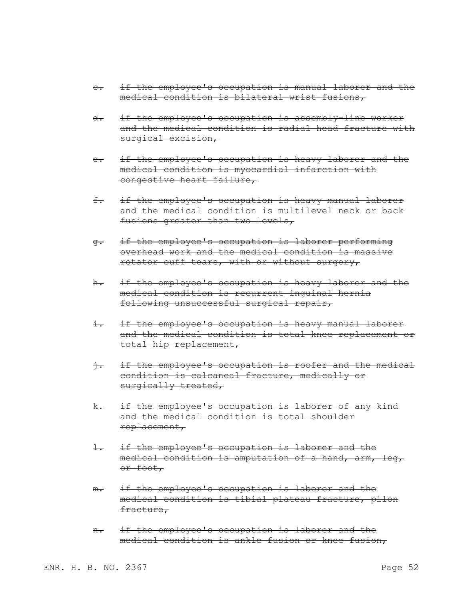- c. if the employee's occupation is manual laborer and the medical condition is bilateral wrist fusions,
- d. if the employee's occupation is assembly-line worker and the medical condition is radial head fracture with surgical excision,
- e. if the employee's occupation is heavy laborer and the medical condition is myocardial infarction with congestive heart failure,
- f. if the employee's occupation is heavy manual laborer and the medical condition is multilevel neck or back fusions greater than two levels,
- g. if the employee's occupation is laborer performing overhead work and the medical condition is massive rotator cuff tears, with or without surgery,
- h. if the employee's occupation is heavy laborer and the medical condition is recurrent inguinal hernia following unsuccessful surgical repair,
- i. if the employee's occupation is heavy manual laborer and the medical condition is total knee replacement or total hip replacement,
- j. if the employee's occupation is roofer and the medical condition is calcaneal fracture, medically or surgically treated,
- k. if the employee's occupation is laborer of any kind and the medical condition is total shoulder replacement,
- l. if the employee's occupation is laborer and the medical condition is amputation of a hand, arm, leg, or foot,
- m. if the employee's occupation is laborer and the medical condition is tibial plateau fracture, pilon fracture,
- n. if the employee's occupation is laborer and the medical condition is ankle fusion or knee fusion,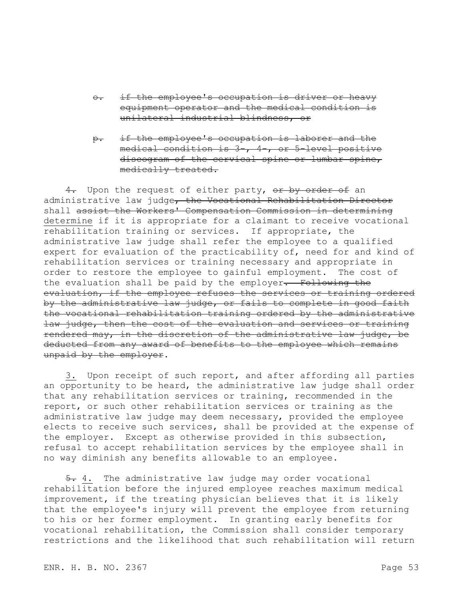- o. if the employee's occupation is driver or heavy equipment operator and the medical condition is unilateral industrial blindness, or
- p. if the employee's occupation is laborer and the medical condition is 3-, 4-, or 5-level positive discogram of the cervical spine or lumbar spine, medically treated.

4. Upon the request of either party, or by order of an administrative law judge, the Vocational Rehabilitation Director shall assist the Workers' Compensation Commission in determining determine if it is appropriate for a claimant to receive vocational rehabilitation training or services. If appropriate, the administrative law judge shall refer the employee to a qualified expert for evaluation of the practicability of, need for and kind of rehabilitation services or training necessary and appropriate in order to restore the employee to gainful employment. The cost of the evaluation shall be paid by the employer. Following the evaluation, if the employee refuses the services or training ordered by the administrative law judge, or fails to complete in good faith the vocational rehabilitation training ordered by the administrative law judge, then the cost of the evaluation and services or training rendered may, in the discretion of the administrative law judge, be deducted from any award of benefits to the employee which remains unpaid by the employer.

3. Upon receipt of such report, and after affording all parties an opportunity to be heard, the administrative law judge shall order that any rehabilitation services or training, recommended in the report, or such other rehabilitation services or training as the administrative law judge may deem necessary, provided the employee elects to receive such services, shall be provided at the expense of the employer. Except as otherwise provided in this subsection, refusal to accept rehabilitation services by the employee shall in no way diminish any benefits allowable to an employee.

5. 4. The administrative law judge may order vocational rehabilitation before the injured employee reaches maximum medical improvement, if the treating physician believes that it is likely that the employee's injury will prevent the employee from returning to his or her former employment. In granting early benefits for vocational rehabilitation, the Commission shall consider temporary restrictions and the likelihood that such rehabilitation will return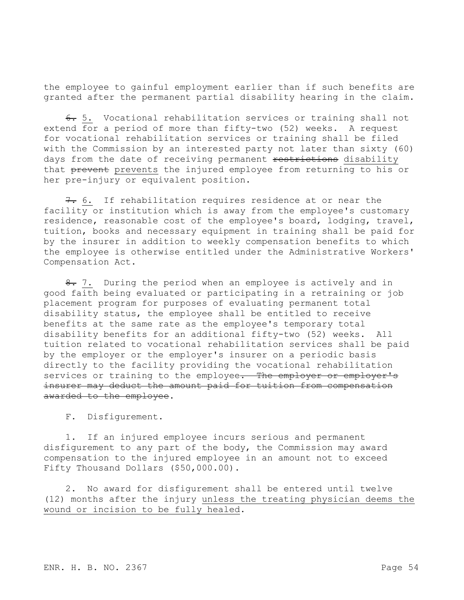the employee to gainful employment earlier than if such benefits are granted after the permanent partial disability hearing in the claim.

6. 5. Vocational rehabilitation services or training shall not extend for a period of more than fifty-two (52) weeks. A request for vocational rehabilitation services or training shall be filed with the Commission by an interested party not later than sixty (60) days from the date of receiving permanent restrictions disability that prevent prevents the injured employee from returning to his or her pre-injury or equivalent position.

7. 6. If rehabilitation requires residence at or near the facility or institution which is away from the employee's customary residence, reasonable cost of the employee's board, lodging, travel, tuition, books and necessary equipment in training shall be paid for by the insurer in addition to weekly compensation benefits to which the employee is otherwise entitled under the Administrative Workers' Compensation Act.

8. 7. During the period when an employee is actively and in good faith being evaluated or participating in a retraining or job placement program for purposes of evaluating permanent total disability status, the employee shall be entitled to receive benefits at the same rate as the employee's temporary total disability benefits for an additional fifty-two (52) weeks. All tuition related to vocational rehabilitation services shall be paid by the employer or the employer's insurer on a periodic basis directly to the facility providing the vocational rehabilitation services or training to the employee. The employer or employer's insurer may deduct the amount paid for tuition from compensation awarded to the employee.

F. Disfigurement.

1. If an injured employee incurs serious and permanent disfigurement to any part of the body, the Commission may award compensation to the injured employee in an amount not to exceed Fifty Thousand Dollars (\$50,000.00).

2. No award for disfigurement shall be entered until twelve (12) months after the injury unless the treating physician deems the wound or incision to be fully healed.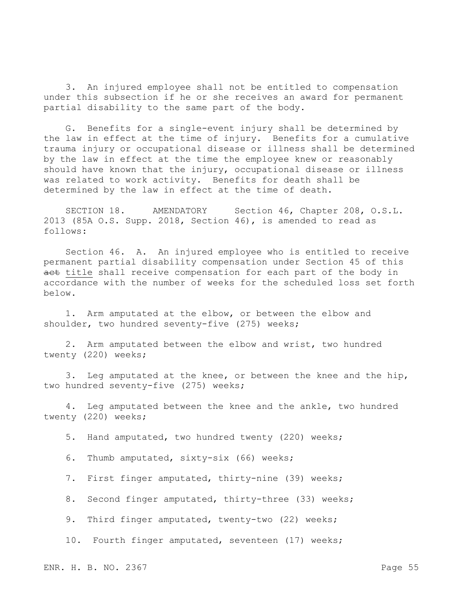3. An injured employee shall not be entitled to compensation under this subsection if he or she receives an award for permanent partial disability to the same part of the body.

G. Benefits for a single-event injury shall be determined by the law in effect at the time of injury. Benefits for a cumulative trauma injury or occupational disease or illness shall be determined by the law in effect at the time the employee knew or reasonably should have known that the injury, occupational disease or illness was related to work activity. Benefits for death shall be determined by the law in effect at the time of death.

SECTION 18. AMENDATORY Section 46, Chapter 208, O.S.L. 2013 (85A O.S. Supp. 2018, Section 46), is amended to read as follows:

Section 46. A. An injured employee who is entitled to receive permanent partial disability compensation under Section 45 of this act title shall receive compensation for each part of the body in accordance with the number of weeks for the scheduled loss set forth below.

1. Arm amputated at the elbow, or between the elbow and shoulder, two hundred seventy-five (275) weeks;

2. Arm amputated between the elbow and wrist, two hundred twenty (220) weeks;

3. Leg amputated at the knee, or between the knee and the hip, two hundred seventy-five (275) weeks;

4. Leg amputated between the knee and the ankle, two hundred twenty (220) weeks;

5. Hand amputated, two hundred twenty (220) weeks;

6. Thumb amputated, sixty-six (66) weeks;

7. First finger amputated, thirty-nine (39) weeks;

8. Second finger amputated, thirty-three (33) weeks;

9. Third finger amputated, twenty-two (22) weeks;

10. Fourth finger amputated, seventeen (17) weeks;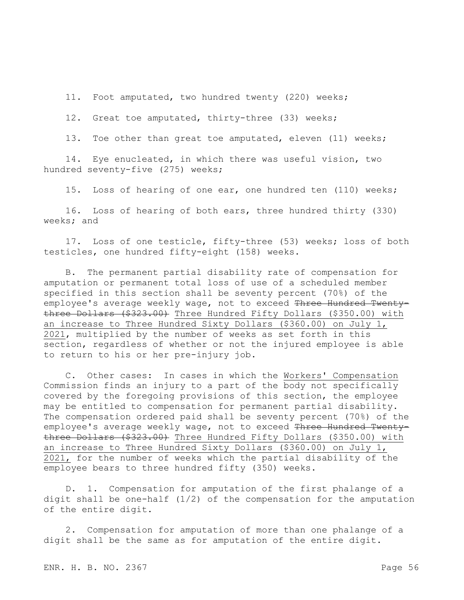11. Foot amputated, two hundred twenty (220) weeks;

12. Great toe amputated, thirty-three (33) weeks;

13. Toe other than great toe amputated, eleven (11) weeks;

14. Eye enucleated, in which there was useful vision, two hundred seventy-five (275) weeks;

15. Loss of hearing of one ear, one hundred ten (110) weeks;

16. Loss of hearing of both ears, three hundred thirty (330) weeks; and

17. Loss of one testicle, fifty-three (53) weeks; loss of both testicles, one hundred fifty-eight (158) weeks.

B. The permanent partial disability rate of compensation for amputation or permanent total loss of use of a scheduled member specified in this section shall be seventy percent (70%) of the employee's average weekly wage, not to exceed Three Hundred Twentythree Dollars (\$323.00) Three Hundred Fifty Dollars (\$350.00) with an increase to Three Hundred Sixty Dollars (\$360.00) on July 1, 2021, multiplied by the number of weeks as set forth in this section, regardless of whether or not the injured employee is able to return to his or her pre-injury job.

C. Other cases: In cases in which the Workers' Compensation Commission finds an injury to a part of the body not specifically covered by the foregoing provisions of this section, the employee may be entitled to compensation for permanent partial disability. The compensation ordered paid shall be seventy percent (70%) of the employee's average weekly wage, not to exceed Three Hundred Twentythree Dollars (\$323.00) Three Hundred Fifty Dollars (\$350.00) with an increase to Three Hundred Sixty Dollars (\$360.00) on July 1, 2021, for the number of weeks which the partial disability of the employee bears to three hundred fifty (350) weeks.

D. 1. Compensation for amputation of the first phalange of a digit shall be one-half  $(1/2)$  of the compensation for the amputation of the entire digit.

2. Compensation for amputation of more than one phalange of a digit shall be the same as for amputation of the entire digit.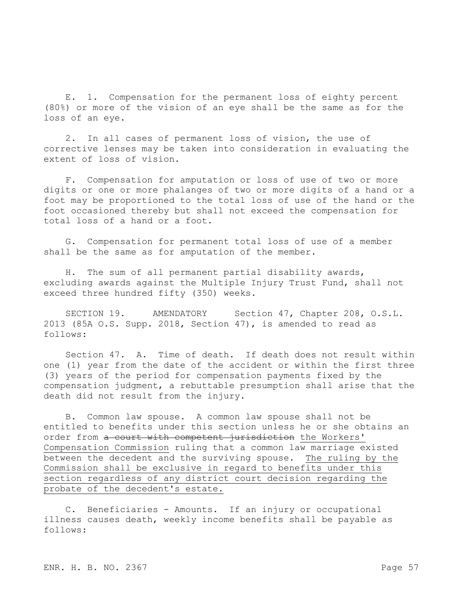E. 1. Compensation for the permanent loss of eighty percent (80%) or more of the vision of an eye shall be the same as for the loss of an eye.

2. In all cases of permanent loss of vision, the use of corrective lenses may be taken into consideration in evaluating the extent of loss of vision.

F. Compensation for amputation or loss of use of two or more digits or one or more phalanges of two or more digits of a hand or a foot may be proportioned to the total loss of use of the hand or the foot occasioned thereby but shall not exceed the compensation for total loss of a hand or a foot.

G. Compensation for permanent total loss of use of a member shall be the same as for amputation of the member.

H. The sum of all permanent partial disability awards, excluding awards against the Multiple Injury Trust Fund, shall not exceed three hundred fifty (350) weeks.

SECTION 19. AMENDATORY Section 47, Chapter 208, O.S.L. 2013 (85A O.S. Supp. 2018, Section 47), is amended to read as follows:

Section 47. A. Time of death. If death does not result within one (1) year from the date of the accident or within the first three (3) years of the period for compensation payments fixed by the compensation judgment, a rebuttable presumption shall arise that the death did not result from the injury.

B. Common law spouse. A common law spouse shall not be entitled to benefits under this section unless he or she obtains an order from a court with competent jurisdiction the Workers' Compensation Commission ruling that a common law marriage existed between the decedent and the surviving spouse. The ruling by the Commission shall be exclusive in regard to benefits under this section regardless of any district court decision regarding the probate of the decedent's estate.

C. Beneficiaries - Amounts. If an injury or occupational illness causes death, weekly income benefits shall be payable as follows: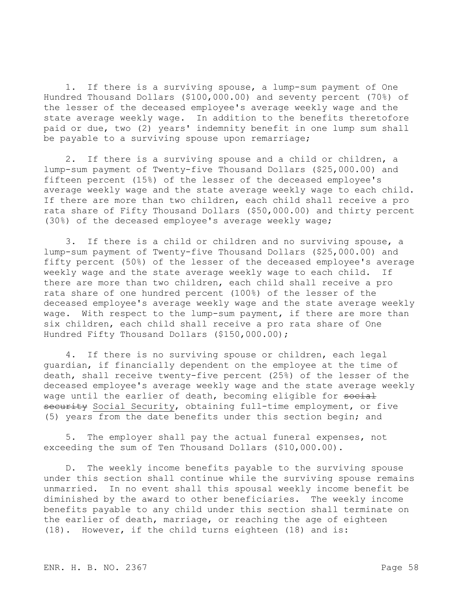1. If there is a surviving spouse, a lump-sum payment of One Hundred Thousand Dollars (\$100,000.00) and seventy percent (70%) of the lesser of the deceased employee's average weekly wage and the state average weekly wage. In addition to the benefits theretofore paid or due, two (2) years' indemnity benefit in one lump sum shall be payable to a surviving spouse upon remarriage;

2. If there is a surviving spouse and a child or children, a lump-sum payment of Twenty-five Thousand Dollars (\$25,000.00) and fifteen percent (15%) of the lesser of the deceased employee's average weekly wage and the state average weekly wage to each child. If there are more than two children, each child shall receive a pro rata share of Fifty Thousand Dollars (\$50,000.00) and thirty percent (30%) of the deceased employee's average weekly wage;

3. If there is a child or children and no surviving spouse, a lump-sum payment of Twenty-five Thousand Dollars (\$25,000.00) and fifty percent (50%) of the lesser of the deceased employee's average weekly wage and the state average weekly wage to each child. If there are more than two children, each child shall receive a pro rata share of one hundred percent (100%) of the lesser of the deceased employee's average weekly wage and the state average weekly wage. With respect to the lump-sum payment, if there are more than six children, each child shall receive a pro rata share of One Hundred Fifty Thousand Dollars (\$150,000.00);

4. If there is no surviving spouse or children, each legal guardian, if financially dependent on the employee at the time of death, shall receive twenty-five percent (25%) of the lesser of the deceased employee's average weekly wage and the state average weekly wage until the earlier of death, becoming eligible for social security Social Security, obtaining full-time employment, or five (5) years from the date benefits under this section begin; and

5. The employer shall pay the actual funeral expenses, not exceeding the sum of Ten Thousand Dollars (\$10,000.00).

D. The weekly income benefits payable to the surviving spouse under this section shall continue while the surviving spouse remains unmarried. In no event shall this spousal weekly income benefit be diminished by the award to other beneficiaries. The weekly income benefits payable to any child under this section shall terminate on the earlier of death, marriage, or reaching the age of eighteen (18). However, if the child turns eighteen (18) and is: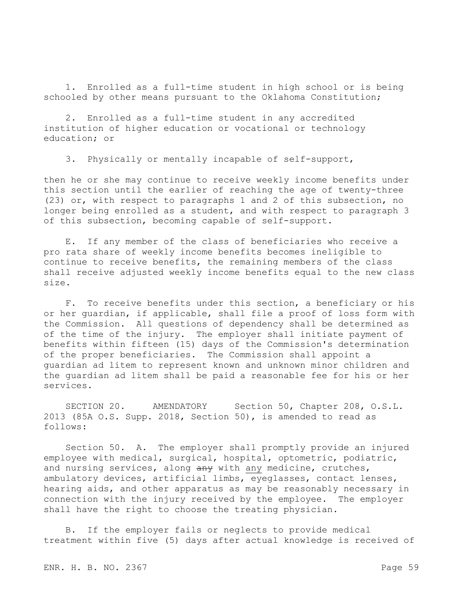1. Enrolled as a full-time student in high school or is being schooled by other means pursuant to the Oklahoma Constitution;

2. Enrolled as a full-time student in any accredited institution of higher education or vocational or technology education; or

3. Physically or mentally incapable of self-support,

then he or she may continue to receive weekly income benefits under this section until the earlier of reaching the age of twenty-three (23) or, with respect to paragraphs 1 and 2 of this subsection, no longer being enrolled as a student, and with respect to paragraph 3 of this subsection, becoming capable of self-support.

E. If any member of the class of beneficiaries who receive a pro rata share of weekly income benefits becomes ineligible to continue to receive benefits, the remaining members of the class shall receive adjusted weekly income benefits equal to the new class size.

F. To receive benefits under this section, a beneficiary or his or her guardian, if applicable, shall file a proof of loss form with the Commission. All questions of dependency shall be determined as of the time of the injury. The employer shall initiate payment of benefits within fifteen (15) days of the Commission's determination of the proper beneficiaries. The Commission shall appoint a guardian ad litem to represent known and unknown minor children and the guardian ad litem shall be paid a reasonable fee for his or her services.

SECTION 20. AMENDATORY Section 50, Chapter 208, O.S.L. 2013 (85A O.S. Supp. 2018, Section 50), is amended to read as follows:

Section 50. A. The employer shall promptly provide an injured employee with medical, surgical, hospital, optometric, podiatric, and nursing services, along any with any medicine, crutches, ambulatory devices, artificial limbs, eyeglasses, contact lenses, hearing aids, and other apparatus as may be reasonably necessary in connection with the injury received by the employee. The employer shall have the right to choose the treating physician.

B. If the employer fails or neglects to provide medical treatment within five (5) days after actual knowledge is received of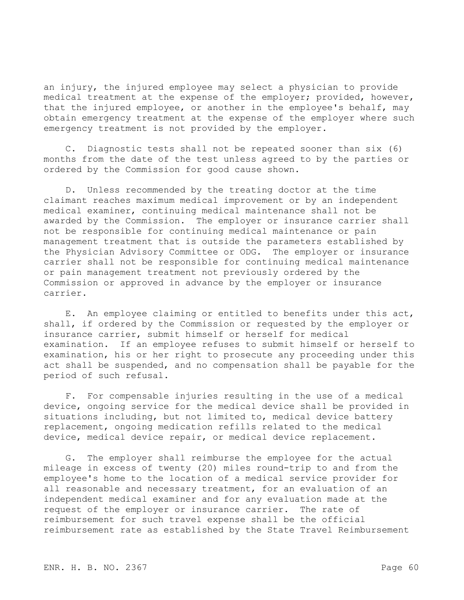an injury, the injured employee may select a physician to provide medical treatment at the expense of the employer; provided, however, that the injured employee, or another in the employee's behalf, may obtain emergency treatment at the expense of the employer where such emergency treatment is not provided by the employer.

C. Diagnostic tests shall not be repeated sooner than six (6) months from the date of the test unless agreed to by the parties or ordered by the Commission for good cause shown.

D. Unless recommended by the treating doctor at the time claimant reaches maximum medical improvement or by an independent medical examiner, continuing medical maintenance shall not be awarded by the Commission. The employer or insurance carrier shall not be responsible for continuing medical maintenance or pain management treatment that is outside the parameters established by the Physician Advisory Committee or ODG. The employer or insurance carrier shall not be responsible for continuing medical maintenance or pain management treatment not previously ordered by the Commission or approved in advance by the employer or insurance carrier.

E. An employee claiming or entitled to benefits under this act, shall, if ordered by the Commission or requested by the employer or insurance carrier, submit himself or herself for medical examination. If an employee refuses to submit himself or herself to examination, his or her right to prosecute any proceeding under this act shall be suspended, and no compensation shall be payable for the period of such refusal.

F. For compensable injuries resulting in the use of a medical device, ongoing service for the medical device shall be provided in situations including, but not limited to, medical device battery replacement, ongoing medication refills related to the medical device, medical device repair, or medical device replacement.

G. The employer shall reimburse the employee for the actual mileage in excess of twenty (20) miles round-trip to and from the employee's home to the location of a medical service provider for all reasonable and necessary treatment, for an evaluation of an independent medical examiner and for any evaluation made at the request of the employer or insurance carrier. The rate of reimbursement for such travel expense shall be the official reimbursement rate as established by the State Travel Reimbursement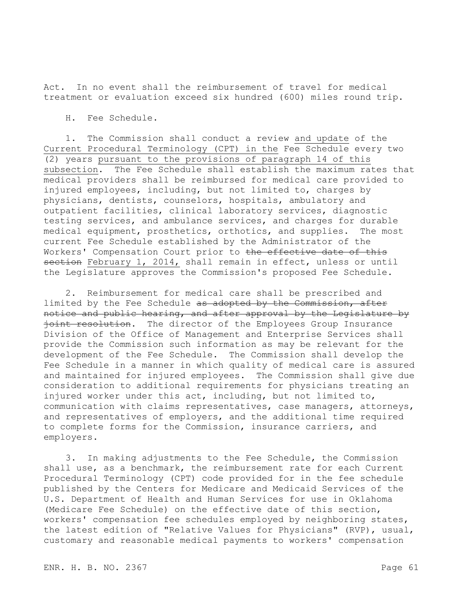Act. In no event shall the reimbursement of travel for medical treatment or evaluation exceed six hundred (600) miles round trip.

H. Fee Schedule.

1. The Commission shall conduct a review and update of the Current Procedural Terminology (CPT) in the Fee Schedule every two (2) years pursuant to the provisions of paragraph 14 of this subsection. The Fee Schedule shall establish the maximum rates that medical providers shall be reimbursed for medical care provided to injured employees, including, but not limited to, charges by physicians, dentists, counselors, hospitals, ambulatory and outpatient facilities, clinical laboratory services, diagnostic testing services, and ambulance services, and charges for durable medical equipment, prosthetics, orthotics, and supplies. The most current Fee Schedule established by the Administrator of the Workers' Compensation Court prior to the effective date of this section February 1, 2014, shall remain in effect, unless or until the Legislature approves the Commission's proposed Fee Schedule.

2. Reimbursement for medical care shall be prescribed and limited by the Fee Schedule as adopted by the Commission, after notice and public hearing, and after approval by the Legislature by joint resolution. The director of the Employees Group Insurance Division of the Office of Management and Enterprise Services shall provide the Commission such information as may be relevant for the development of the Fee Schedule. The Commission shall develop the Fee Schedule in a manner in which quality of medical care is assured and maintained for injured employees. The Commission shall give due consideration to additional requirements for physicians treating an injured worker under this act, including, but not limited to, communication with claims representatives, case managers, attorneys, and representatives of employers, and the additional time required to complete forms for the Commission, insurance carriers, and employers.

3. In making adjustments to the Fee Schedule, the Commission shall use, as a benchmark, the reimbursement rate for each Current Procedural Terminology (CPT) code provided for in the fee schedule published by the Centers for Medicare and Medicaid Services of the U.S. Department of Health and Human Services for use in Oklahoma (Medicare Fee Schedule) on the effective date of this section, workers' compensation fee schedules employed by neighboring states, the latest edition of "Relative Values for Physicians" (RVP), usual, customary and reasonable medical payments to workers' compensation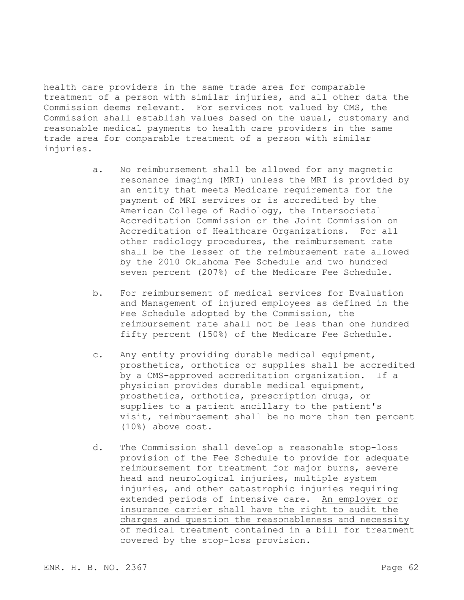health care providers in the same trade area for comparable treatment of a person with similar injuries, and all other data the Commission deems relevant. For services not valued by CMS, the Commission shall establish values based on the usual, customary and reasonable medical payments to health care providers in the same trade area for comparable treatment of a person with similar injuries.

- a. No reimbursement shall be allowed for any magnetic resonance imaging (MRI) unless the MRI is provided by an entity that meets Medicare requirements for the payment of MRI services or is accredited by the American College of Radiology, the Intersocietal Accreditation Commission or the Joint Commission on Accreditation of Healthcare Organizations. For all other radiology procedures, the reimbursement rate shall be the lesser of the reimbursement rate allowed by the 2010 Oklahoma Fee Schedule and two hundred seven percent (207%) of the Medicare Fee Schedule.
- b. For reimbursement of medical services for Evaluation and Management of injured employees as defined in the Fee Schedule adopted by the Commission, the reimbursement rate shall not be less than one hundred fifty percent (150%) of the Medicare Fee Schedule.
- c. Any entity providing durable medical equipment, prosthetics, orthotics or supplies shall be accredited by a CMS-approved accreditation organization. If a physician provides durable medical equipment, prosthetics, orthotics, prescription drugs, or supplies to a patient ancillary to the patient's visit, reimbursement shall be no more than ten percent (10%) above cost.
- d. The Commission shall develop a reasonable stop-loss provision of the Fee Schedule to provide for adequate reimbursement for treatment for major burns, severe head and neurological injuries, multiple system injuries, and other catastrophic injuries requiring extended periods of intensive care. An employer or insurance carrier shall have the right to audit the charges and question the reasonableness and necessity of medical treatment contained in a bill for treatment covered by the stop-loss provision.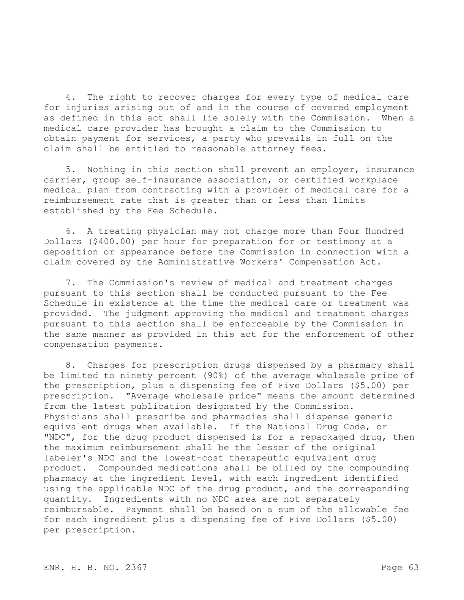4. The right to recover charges for every type of medical care for injuries arising out of and in the course of covered employment as defined in this act shall lie solely with the Commission. When a medical care provider has brought a claim to the Commission to obtain payment for services, a party who prevails in full on the claim shall be entitled to reasonable attorney fees.

5. Nothing in this section shall prevent an employer, insurance carrier, group self-insurance association, or certified workplace medical plan from contracting with a provider of medical care for a reimbursement rate that is greater than or less than limits established by the Fee Schedule.

6. A treating physician may not charge more than Four Hundred Dollars (\$400.00) per hour for preparation for or testimony at a deposition or appearance before the Commission in connection with a claim covered by the Administrative Workers' Compensation Act.

7. The Commission's review of medical and treatment charges pursuant to this section shall be conducted pursuant to the Fee Schedule in existence at the time the medical care or treatment was provided. The judgment approving the medical and treatment charges pursuant to this section shall be enforceable by the Commission in the same manner as provided in this act for the enforcement of other compensation payments.

8. Charges for prescription drugs dispensed by a pharmacy shall be limited to ninety percent (90%) of the average wholesale price of the prescription, plus a dispensing fee of Five Dollars (\$5.00) per prescription. "Average wholesale price" means the amount determined from the latest publication designated by the Commission. Physicians shall prescribe and pharmacies shall dispense generic equivalent drugs when available. If the National Drug Code, or "NDC", for the drug product dispensed is for a repackaged drug, then the maximum reimbursement shall be the lesser of the original labeler's NDC and the lowest-cost therapeutic equivalent drug product. Compounded medications shall be billed by the compounding pharmacy at the ingredient level, with each ingredient identified using the applicable NDC of the drug product, and the corresponding quantity. Ingredients with no NDC area are not separately reimbursable. Payment shall be based on a sum of the allowable fee for each ingredient plus a dispensing fee of Five Dollars (\$5.00) per prescription.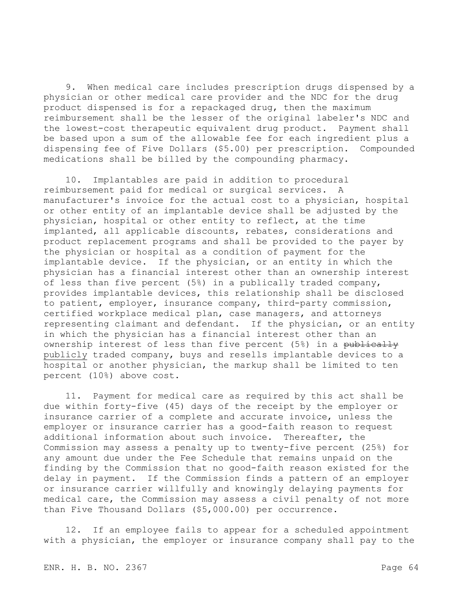9. When medical care includes prescription drugs dispensed by a physician or other medical care provider and the NDC for the drug product dispensed is for a repackaged drug, then the maximum reimbursement shall be the lesser of the original labeler's NDC and the lowest-cost therapeutic equivalent drug product. Payment shall be based upon a sum of the allowable fee for each ingredient plus a dispensing fee of Five Dollars (\$5.00) per prescription. Compounded medications shall be billed by the compounding pharmacy.

10. Implantables are paid in addition to procedural reimbursement paid for medical or surgical services. A manufacturer's invoice for the actual cost to a physician, hospital or other entity of an implantable device shall be adjusted by the physician, hospital or other entity to reflect, at the time implanted, all applicable discounts, rebates, considerations and product replacement programs and shall be provided to the payer by the physician or hospital as a condition of payment for the implantable device. If the physician, or an entity in which the physician has a financial interest other than an ownership interest of less than five percent (5%) in a publically traded company, provides implantable devices, this relationship shall be disclosed to patient, employer, insurance company, third-party commission, certified workplace medical plan, case managers, and attorneys representing claimant and defendant. If the physician, or an entity in which the physician has a financial interest other than an ownership interest of less than five percent (5%) in a publically publicly traded company, buys and resells implantable devices to a hospital or another physician, the markup shall be limited to ten percent (10%) above cost.

11. Payment for medical care as required by this act shall be due within forty-five (45) days of the receipt by the employer or insurance carrier of a complete and accurate invoice, unless the employer or insurance carrier has a good-faith reason to request additional information about such invoice. Thereafter, the Commission may assess a penalty up to twenty-five percent (25%) for any amount due under the Fee Schedule that remains unpaid on the finding by the Commission that no good-faith reason existed for the delay in payment. If the Commission finds a pattern of an employer or insurance carrier willfully and knowingly delaying payments for medical care, the Commission may assess a civil penalty of not more than Five Thousand Dollars (\$5,000.00) per occurrence.

12. If an employee fails to appear for a scheduled appointment with a physician, the employer or insurance company shall pay to the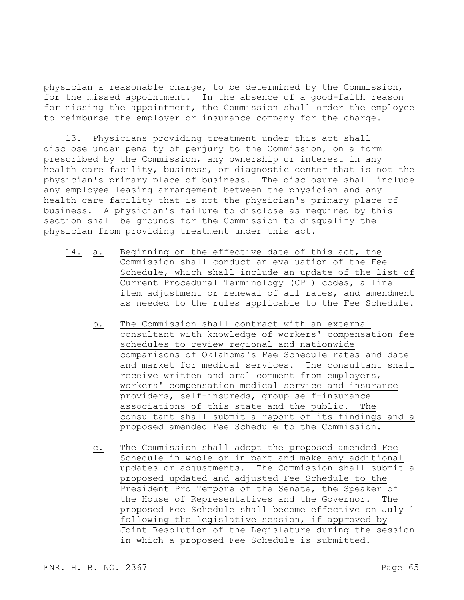physician a reasonable charge, to be determined by the Commission, for the missed appointment. In the absence of a good-faith reason for missing the appointment, the Commission shall order the employee to reimburse the employer or insurance company for the charge.

13. Physicians providing treatment under this act shall disclose under penalty of perjury to the Commission, on a form prescribed by the Commission, any ownership or interest in any health care facility, business, or diagnostic center that is not the physician's primary place of business. The disclosure shall include any employee leasing arrangement between the physician and any health care facility that is not the physician's primary place of business. A physician's failure to disclose as required by this section shall be grounds for the Commission to disqualify the physician from providing treatment under this act.

- 14. a. Beginning on the effective date of this act, the Commission shall conduct an evaluation of the Fee Schedule, which shall include an update of the list of Current Procedural Terminology (CPT) codes, a line item adjustment or renewal of all rates, and amendment as needed to the rules applicable to the Fee Schedule.
	- b. The Commission shall contract with an external consultant with knowledge of workers' compensation fee schedules to review regional and nationwide comparisons of Oklahoma's Fee Schedule rates and date and market for medical services. The consultant shall receive written and oral comment from employers, workers' compensation medical service and insurance providers, self-insureds, group self-insurance associations of this state and the public. The consultant shall submit a report of its findings and a proposed amended Fee Schedule to the Commission.
	- c. The Commission shall adopt the proposed amended Fee Schedule in whole or in part and make any additional updates or adjustments. The Commission shall submit a proposed updated and adjusted Fee Schedule to the President Pro Tempore of the Senate, the Speaker of the House of Representatives and the Governor. The proposed Fee Schedule shall become effective on July 1 following the legislative session, if approved by Joint Resolution of the Legislature during the session in which a proposed Fee Schedule is submitted.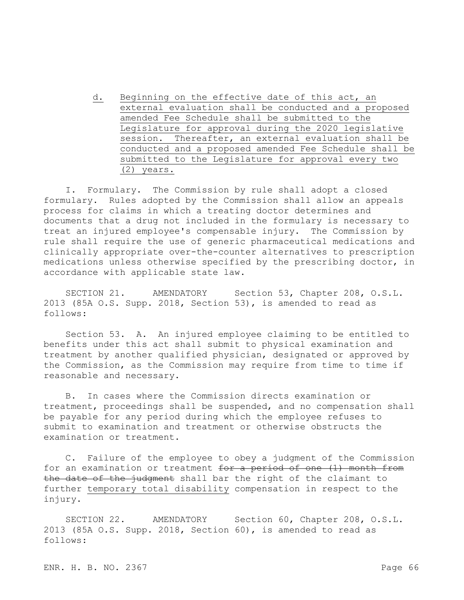d. Beginning on the effective date of this act, an external evaluation shall be conducted and a proposed amended Fee Schedule shall be submitted to the Legislature for approval during the 2020 legislative session. Thereafter, an external evaluation shall be conducted and a proposed amended Fee Schedule shall be submitted to the Legislature for approval every two (2) years.

I. Formulary. The Commission by rule shall adopt a closed formulary. Rules adopted by the Commission shall allow an appeals process for claims in which a treating doctor determines and documents that a drug not included in the formulary is necessary to treat an injured employee's compensable injury. The Commission by rule shall require the use of generic pharmaceutical medications and clinically appropriate over-the-counter alternatives to prescription medications unless otherwise specified by the prescribing doctor, in accordance with applicable state law.

SECTION 21. AMENDATORY Section 53, Chapter 208, O.S.L. 2013 (85A O.S. Supp. 2018, Section 53), is amended to read as follows:

Section 53. A. An injured employee claiming to be entitled to benefits under this act shall submit to physical examination and treatment by another qualified physician, designated or approved by the Commission, as the Commission may require from time to time if reasonable and necessary.

B. In cases where the Commission directs examination or treatment, proceedings shall be suspended, and no compensation shall be payable for any period during which the employee refuses to submit to examination and treatment or otherwise obstructs the examination or treatment.

C. Failure of the employee to obey a judgment of the Commission for an examination or treatment for a period of one (1) month from the date of the judgment shall bar the right of the claimant to further temporary total disability compensation in respect to the injury.

SECTION 22. AMENDATORY Section 60, Chapter 208, O.S.L. 2013 (85A O.S. Supp. 2018, Section 60), is amended to read as follows: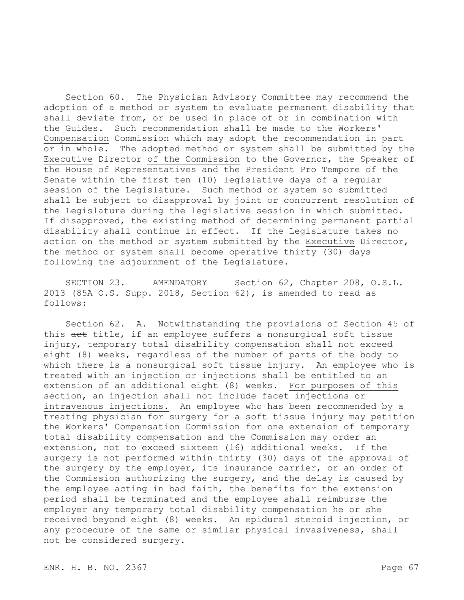Section 60. The Physician Advisory Committee may recommend the adoption of a method or system to evaluate permanent disability that shall deviate from, or be used in place of or in combination with the Guides. Such recommendation shall be made to the Workers' Compensation Commission which may adopt the recommendation in part or in whole. The adopted method or system shall be submitted by the Executive Director of the Commission to the Governor, the Speaker of the House of Representatives and the President Pro Tempore of the Senate within the first ten (10) legislative days of a regular session of the Legislature. Such method or system so submitted shall be subject to disapproval by joint or concurrent resolution of the Legislature during the legislative session in which submitted. If disapproved, the existing method of determining permanent partial disability shall continue in effect. If the Legislature takes no action on the method or system submitted by the Executive Director, the method or system shall become operative thirty (30) days following the adjournment of the Legislature.

SECTION 23. AMENDATORY Section 62, Chapter 208, O.S.L. 2013 (85A O.S. Supp. 2018, Section 62), is amended to read as follows:

Section 62. A. Notwithstanding the provisions of Section 45 of this act title, if an employee suffers a nonsurgical soft tissue injury, temporary total disability compensation shall not exceed eight (8) weeks, regardless of the number of parts of the body to which there is a nonsurgical soft tissue injury. An employee who is treated with an injection or injections shall be entitled to an extension of an additional eight (8) weeks. For purposes of this section, an injection shall not include facet injections or intravenous injections. An employee who has been recommended by a treating physician for surgery for a soft tissue injury may petition the Workers' Compensation Commission for one extension of temporary total disability compensation and the Commission may order an extension, not to exceed sixteen (16) additional weeks. If the surgery is not performed within thirty (30) days of the approval of the surgery by the employer, its insurance carrier, or an order of the Commission authorizing the surgery, and the delay is caused by the employee acting in bad faith, the benefits for the extension period shall be terminated and the employee shall reimburse the employer any temporary total disability compensation he or she received beyond eight (8) weeks. An epidural steroid injection, or any procedure of the same or similar physical invasiveness, shall not be considered surgery.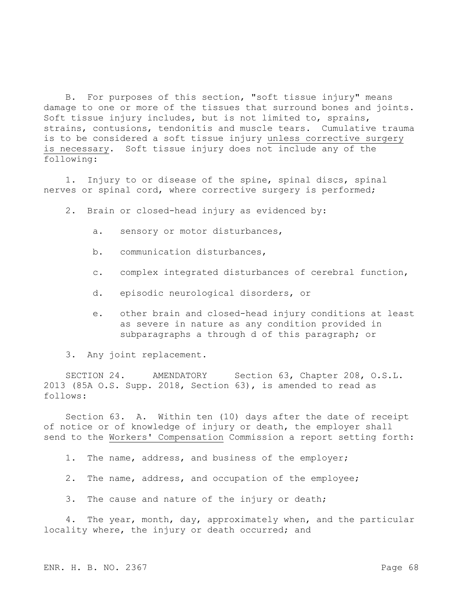B. For purposes of this section, "soft tissue injury" means damage to one or more of the tissues that surround bones and joints. Soft tissue injury includes, but is not limited to, sprains, strains, contusions, tendonitis and muscle tears. Cumulative trauma is to be considered a soft tissue injury unless corrective surgery is necessary. Soft tissue injury does not include any of the following:

1. Injury to or disease of the spine, spinal discs, spinal nerves or spinal cord, where corrective surgery is performed;

2. Brain or closed-head injury as evidenced by:

- a. sensory or motor disturbances,
- b. communication disturbances,
- c. complex integrated disturbances of cerebral function,
- d. episodic neurological disorders, or
- e. other brain and closed-head injury conditions at least as severe in nature as any condition provided in subparagraphs a through d of this paragraph; or

3. Any joint replacement.

SECTION 24. AMENDATORY Section 63, Chapter 208, O.S.L. 2013 (85A O.S. Supp. 2018, Section 63), is amended to read as follows:

Section 63. A. Within ten (10) days after the date of receipt of notice or of knowledge of injury or death, the employer shall send to the Workers' Compensation Commission a report setting forth:

1. The name, address, and business of the employer;

- 2. The name, address, and occupation of the employee;
- 3. The cause and nature of the injury or death;

4. The year, month, day, approximately when, and the particular locality where, the injury or death occurred; and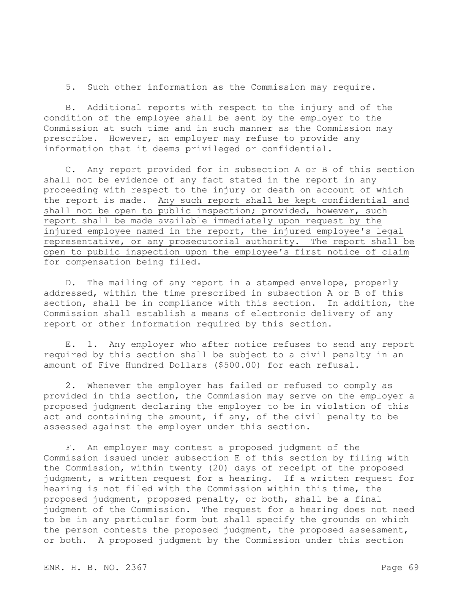5. Such other information as the Commission may require.

B. Additional reports with respect to the injury and of the condition of the employee shall be sent by the employer to the Commission at such time and in such manner as the Commission may prescribe. However, an employer may refuse to provide any information that it deems privileged or confidential.

C. Any report provided for in subsection A or B of this section shall not be evidence of any fact stated in the report in any proceeding with respect to the injury or death on account of which the report is made. Any such report shall be kept confidential and shall not be open to public inspection; provided, however, such report shall be made available immediately upon request by the injured employee named in the report, the injured employee's legal representative, or any prosecutorial authority. The report shall be open to public inspection upon the employee's first notice of claim for compensation being filed.

D. The mailing of any report in a stamped envelope, properly addressed, within the time prescribed in subsection A or B of this section, shall be in compliance with this section. In addition, the Commission shall establish a means of electronic delivery of any report or other information required by this section.

E. 1. Any employer who after notice refuses to send any report required by this section shall be subject to a civil penalty in an amount of Five Hundred Dollars (\$500.00) for each refusal.

2. Whenever the employer has failed or refused to comply as provided in this section, the Commission may serve on the employer a proposed judgment declaring the employer to be in violation of this act and containing the amount, if any, of the civil penalty to be assessed against the employer under this section.

F. An employer may contest a proposed judgment of the Commission issued under subsection E of this section by filing with the Commission, within twenty (20) days of receipt of the proposed judgment, a written request for a hearing. If a written request for hearing is not filed with the Commission within this time, the proposed judgment, proposed penalty, or both, shall be a final judgment of the Commission. The request for a hearing does not need to be in any particular form but shall specify the grounds on which the person contests the proposed judgment, the proposed assessment, or both. A proposed judgment by the Commission under this section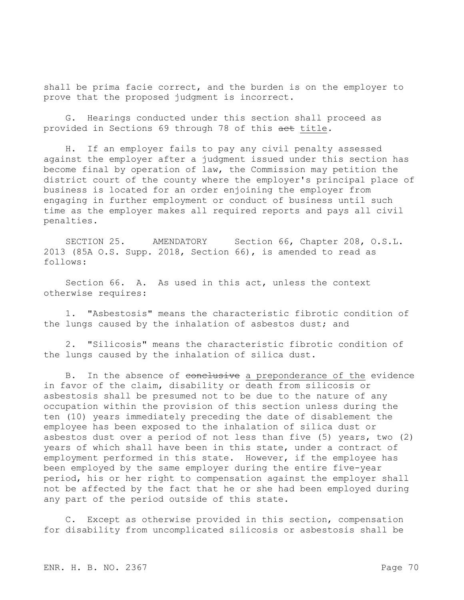shall be prima facie correct, and the burden is on the employer to prove that the proposed judgment is incorrect.

G. Hearings conducted under this section shall proceed as provided in Sections 69 through 78 of this aet title.

H. If an employer fails to pay any civil penalty assessed against the employer after a judgment issued under this section has become final by operation of law, the Commission may petition the district court of the county where the employer's principal place of business is located for an order enjoining the employer from engaging in further employment or conduct of business until such time as the employer makes all required reports and pays all civil penalties.

SECTION 25. AMENDATORY Section 66, Chapter 208, O.S.L. 2013 (85A O.S. Supp. 2018, Section 66), is amended to read as follows:

Section 66. A. As used in this act, unless the context otherwise requires:

1. "Asbestosis" means the characteristic fibrotic condition of the lungs caused by the inhalation of asbestos dust; and

2. "Silicosis" means the characteristic fibrotic condition of the lungs caused by the inhalation of silica dust.

B. In the absence of conclusive a preponderance of the evidence in favor of the claim, disability or death from silicosis or asbestosis shall be presumed not to be due to the nature of any occupation within the provision of this section unless during the ten (10) years immediately preceding the date of disablement the employee has been exposed to the inhalation of silica dust or asbestos dust over a period of not less than five (5) years, two (2) years of which shall have been in this state, under a contract of employment performed in this state. However, if the employee has been employed by the same employer during the entire five-year period, his or her right to compensation against the employer shall not be affected by the fact that he or she had been employed during any part of the period outside of this state.

C. Except as otherwise provided in this section, compensation for disability from uncomplicated silicosis or asbestosis shall be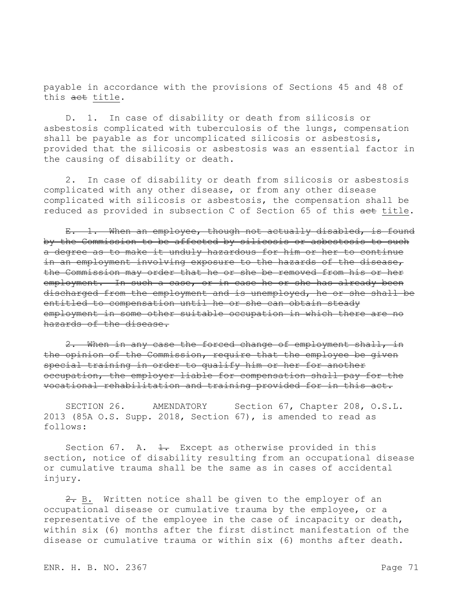payable in accordance with the provisions of Sections 45 and 48 of this act title.

D. 1. In case of disability or death from silicosis or asbestosis complicated with tuberculosis of the lungs, compensation shall be payable as for uncomplicated silicosis or asbestosis, provided that the silicosis or asbestosis was an essential factor in the causing of disability or death.

2. In case of disability or death from silicosis or asbestosis complicated with any other disease, or from any other disease complicated with silicosis or asbestosis, the compensation shall be reduced as provided in subsection C of Section 65 of this aet title.

E. 1. When an employee, though not actually disabled, is found by the Commission to be affected by silicosis or asbestosis to such a degree as to make it unduly hazardous for him or her to continue in an employment involving exposure to the hazards of the disease, the Commission may order that he or she be removed from his or her employment. In such a case, or in case he or she has already been discharged from the employment and is unemployed, he or she shall be entitled to compensation until he or she can obtain steady employment in some other suitable occupation in which there are no hazards of the disease.

When in any case the forced change of employment shall, in the opinion of the Commission, require that the employee be given special training in order to qualify him or her for another occupation, the employer liable for compensation shall pay for the vocational rehabilitation and training provided for in this act.

SECTION 26. AMENDATORY Section 67, Chapter 208, O.S.L. 2013 (85A O.S. Supp. 2018, Section 67), is amended to read as follows:

Section 67. A.  $\frac{1}{1}$ . Except as otherwise provided in this section, notice of disability resulting from an occupational disease or cumulative trauma shall be the same as in cases of accidental injury.

 $2. B.$  Written notice shall be given to the employer of an occupational disease or cumulative trauma by the employee, or a representative of the employee in the case of incapacity or death, within six (6) months after the first distinct manifestation of the disease or cumulative trauma or within six (6) months after death.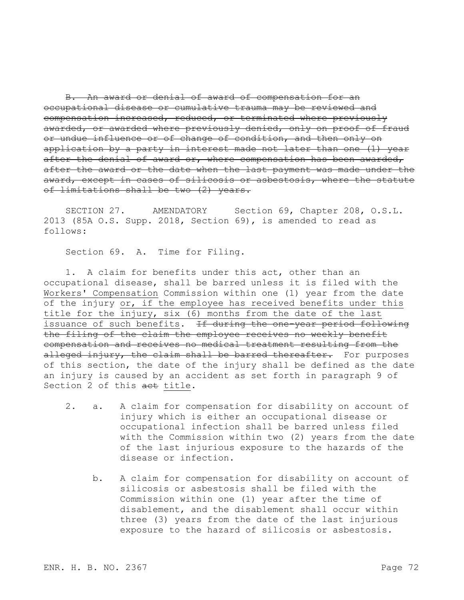B. An award or denial of award of compensation for an occupational disease or cumulative trauma may be reviewed and compensation increased, reduced, or terminated where previously awarded, or awarded where previously denied, only on proof of fraud or undue influence or of change of condition, and then only on application by a party in interest made not later than one (1) year after the denial of award or, where compensation has been awarded, after the award or the date when the last payment was made under the award, except in cases of silicosis or asbestosis, where the statute of limitations shall be two (2) years.

SECTION 27. AMENDATORY Section 69, Chapter 208, O.S.L. 2013 (85A O.S. Supp. 2018, Section 69), is amended to read as follows:

Section 69. A. Time for Filing.

1. A claim for benefits under this act, other than an occupational disease, shall be barred unless it is filed with the Workers' Compensation Commission within one (1) year from the date of the injury or, if the employee has received benefits under this title for the injury, six (6) months from the date of the last issuance of such benefits. If during the one-year period following the filing of the claim the employee receives no weekly benefit compensation and receives no medical treatment resulting from the alleged injury, the claim shall be barred thereafter. For purposes of this section, the date of the injury shall be defined as the date an injury is caused by an accident as set forth in paragraph 9 of Section 2 of this act title.

- 2. a. A claim for compensation for disability on account of injury which is either an occupational disease or occupational infection shall be barred unless filed with the Commission within two (2) years from the date of the last injurious exposure to the hazards of the disease or infection.
	- b. A claim for compensation for disability on account of silicosis or asbestosis shall be filed with the Commission within one (1) year after the time of disablement, and the disablement shall occur within three (3) years from the date of the last injurious exposure to the hazard of silicosis or asbestosis.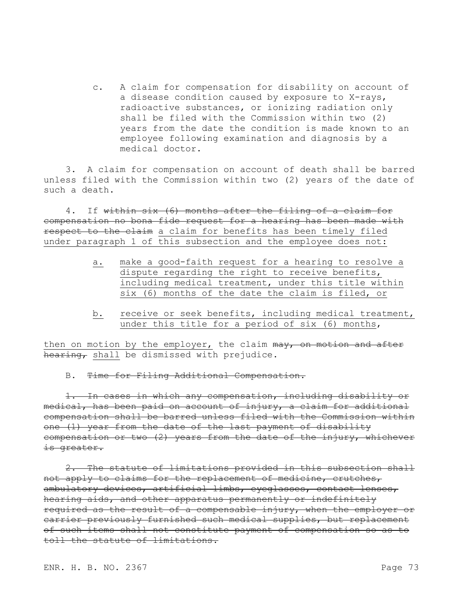c. A claim for compensation for disability on account of a disease condition caused by exposure to X-rays, radioactive substances, or ionizing radiation only shall be filed with the Commission within two (2) years from the date the condition is made known to an employee following examination and diagnosis by a medical doctor.

3. A claim for compensation on account of death shall be barred unless filed with the Commission within two (2) years of the date of such a death.

4. If within six (6) months after the filing of a claim for compensation no bona fide request for a hearing has been made with respect to the claim a claim for benefits has been timely filed under paragraph 1 of this subsection and the employee does not:

- a. make a good-faith request for a hearing to resolve a dispute regarding the right to receive benefits, including medical treatment, under this title within six (6) months of the date the claim is filed, or
- b. receive or seek benefits, including medical treatment, under this title for a period of six (6) months,

then on motion by the employer, the claim may, on motion and after hearing, shall be dismissed with prejudice.

B. Time for Filing Additional Compensation.

1. In cases in which any compensation, including disability or medical, has been paid on account of injury, a claim for additional compensation shall be barred unless filed with the Commission within one (1) year from the date of the last payment of disability compensation or two (2) years from the date of the injury, whichever is greater.

2. The statute of limitations provided in this subsection shall not apply to claims for the replacement of medicine, crutches, ambulatory devices, artificial limbs, eyeglasses, contact lenses, hearing aids, and other apparatus permanently or indefinitely required as the result of a compensable injury, when the employer or carrier previously furnished such medical supplies, but replacement of such items shall not constitute payment of compensation so as to toll the statute of limitations.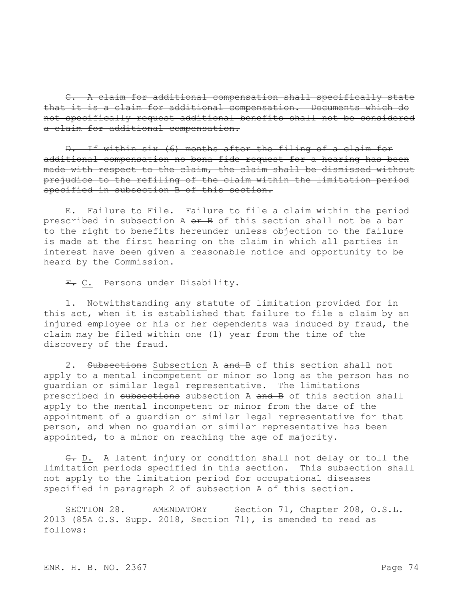C. A claim for additional compensation shall specifically state that it is a claim for additional compensation. Documents which do not specifically request additional benefits shall not be considered a claim for additional compensation.

D. If within six (6) months after the filing of a claim for additional compensation no bona fide request for a hearing has been made with respect to the claim, the claim shall be dismissed without prejudice to the refiling of the claim within the limitation period specified in subsection B of this section.

E. Failure to File. Failure to file a claim within the period prescribed in subsection A or B of this section shall not be a bar to the right to benefits hereunder unless objection to the failure is made at the first hearing on the claim in which all parties in interest have been given a reasonable notice and opportunity to be heard by the Commission.

F. C. Persons under Disability.

1. Notwithstanding any statute of limitation provided for in this act, when it is established that failure to file a claim by an injured employee or his or her dependents was induced by fraud, the claim may be filed within one (1) year from the time of the discovery of the fraud.

2. Subsections Subsection A and B of this section shall not apply to a mental incompetent or minor so long as the person has no guardian or similar legal representative. The limitations prescribed in subsections subsection A and B of this section shall apply to the mental incompetent or minor from the date of the appointment of a guardian or similar legal representative for that person, and when no guardian or similar representative has been appointed, to a minor on reaching the age of majority.

G. D. A latent injury or condition shall not delay or toll the limitation periods specified in this section. This subsection shall not apply to the limitation period for occupational diseases specified in paragraph 2 of subsection A of this section.

SECTION 28. AMENDATORY Section 71, Chapter 208, O.S.L. 2013 (85A O.S. Supp. 2018, Section 71), is amended to read as follows: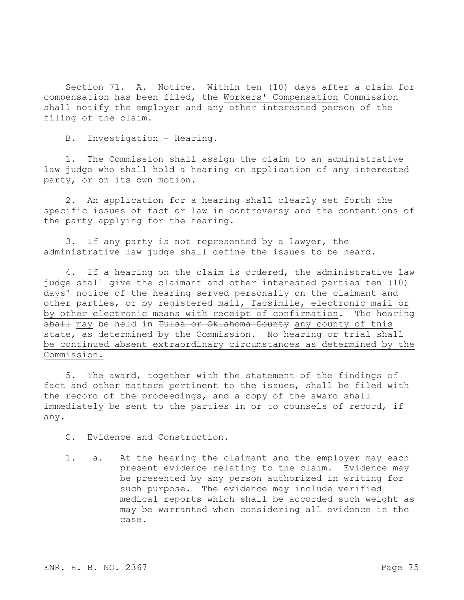Section 71. A. Notice. Within ten (10) days after a claim for compensation has been filed, the Workers' Compensation Commission shall notify the employer and any other interested person of the filing of the claim.

B. Investigation - Hearing.

1. The Commission shall assign the claim to an administrative law judge who shall hold a hearing on application of any interested party, or on its own motion.

2. An application for a hearing shall clearly set forth the specific issues of fact or law in controversy and the contentions of the party applying for the hearing.

3. If any party is not represented by a lawyer, the administrative law judge shall define the issues to be heard.

4. If a hearing on the claim is ordered, the administrative law judge shall give the claimant and other interested parties ten (10) days' notice of the hearing served personally on the claimant and other parties, or by registered mail, facsimile, electronic mail or by other electronic means with receipt of confirmation. The hearing shall may be held in Tulsa or Oklahoma County any county of this state, as determined by the Commission. No hearing or trial shall be continued absent extraordinary circumstances as determined by the Commission.

5. The award, together with the statement of the findings of fact and other matters pertinent to the issues, shall be filed with the record of the proceedings, and a copy of the award shall immediately be sent to the parties in or to counsels of record, if any.

C. Evidence and Construction.

1. a. At the hearing the claimant and the employer may each present evidence relating to the claim. Evidence may be presented by any person authorized in writing for such purpose. The evidence may include verified medical reports which shall be accorded such weight as may be warranted when considering all evidence in the case.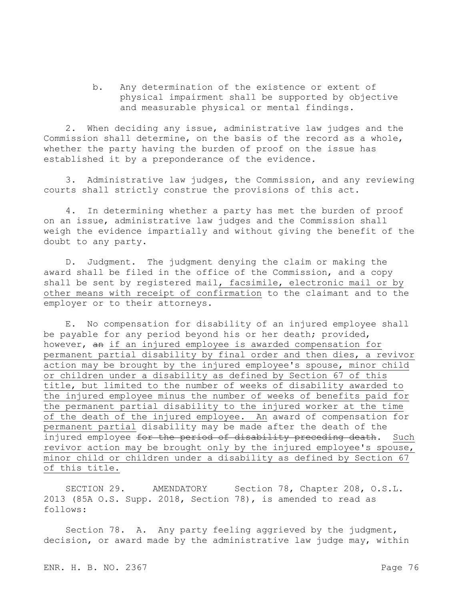b. Any determination of the existence or extent of physical impairment shall be supported by objective and measurable physical or mental findings.

2. When deciding any issue, administrative law judges and the Commission shall determine, on the basis of the record as a whole, whether the party having the burden of proof on the issue has established it by a preponderance of the evidence.

3. Administrative law judges, the Commission, and any reviewing courts shall strictly construe the provisions of this act.

4. In determining whether a party has met the burden of proof on an issue, administrative law judges and the Commission shall weigh the evidence impartially and without giving the benefit of the doubt to any party.

D. Judgment. The judgment denying the claim or making the award shall be filed in the office of the Commission, and a copy shall be sent by registered mail, facsimile, electronic mail or by other means with receipt of confirmation to the claimant and to the employer or to their attorneys.

E. No compensation for disability of an injured employee shall be payable for any period beyond his or her death; provided, however, an if an injured employee is awarded compensation for permanent partial disability by final order and then dies, a revivor action may be brought by the injured employee's spouse, minor child or children under a disability as defined by Section 67 of this title, but limited to the number of weeks of disability awarded to the injured employee minus the number of weeks of benefits paid for the permanent partial disability to the injured worker at the time of the death of the injured employee. An award of compensation for permanent partial disability may be made after the death of the injured employee for the period of disability preceding death. Such revivor action may be brought only by the injured employee's spouse, minor child or children under a disability as defined by Section 67 of this title.

SECTION 29. AMENDATORY Section 78, Chapter 208, O.S.L. 2013 (85A O.S. Supp. 2018, Section 78), is amended to read as follows:

Section 78. A. Any party feeling aggrieved by the judgment, decision, or award made by the administrative law judge may, within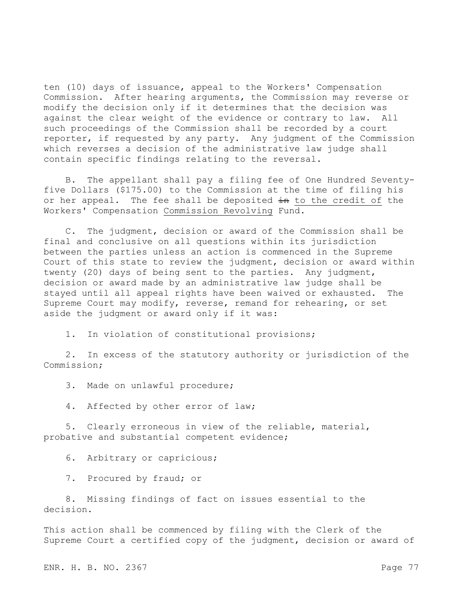ten (10) days of issuance, appeal to the Workers' Compensation Commission. After hearing arguments, the Commission may reverse or modify the decision only if it determines that the decision was against the clear weight of the evidence or contrary to law. All such proceedings of the Commission shall be recorded by a court reporter, if requested by any party. Any judgment of the Commission which reverses a decision of the administrative law judge shall contain specific findings relating to the reversal.

B. The appellant shall pay a filing fee of One Hundred Seventyfive Dollars (\$175.00) to the Commission at the time of filing his or her appeal. The fee shall be deposited in to the credit of the Workers' Compensation Commission Revolving Fund.

C. The judgment, decision or award of the Commission shall be final and conclusive on all questions within its jurisdiction between the parties unless an action is commenced in the Supreme Court of this state to review the judgment, decision or award within twenty (20) days of being sent to the parties. Any judgment, decision or award made by an administrative law judge shall be stayed until all appeal rights have been waived or exhausted. The Supreme Court may modify, reverse, remand for rehearing, or set aside the judgment or award only if it was:

1. In violation of constitutional provisions;

2. In excess of the statutory authority or jurisdiction of the Commission;

3. Made on unlawful procedure;

4. Affected by other error of law;

5. Clearly erroneous in view of the reliable, material, probative and substantial competent evidence;

6. Arbitrary or capricious;

7. Procured by fraud; or

8. Missing findings of fact on issues essential to the decision.

This action shall be commenced by filing with the Clerk of the Supreme Court a certified copy of the judgment, decision or award of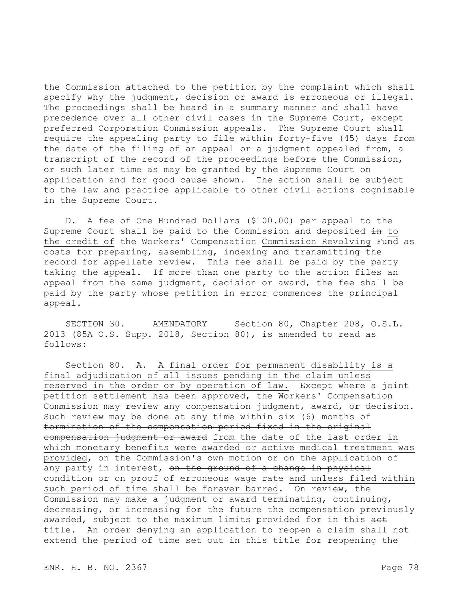the Commission attached to the petition by the complaint which shall specify why the judgment, decision or award is erroneous or illegal. The proceedings shall be heard in a summary manner and shall have precedence over all other civil cases in the Supreme Court, except preferred Corporation Commission appeals. The Supreme Court shall require the appealing party to file within forty-five (45) days from the date of the filing of an appeal or a judgment appealed from, a transcript of the record of the proceedings before the Commission, or such later time as may be granted by the Supreme Court on application and for good cause shown. The action shall be subject to the law and practice applicable to other civil actions cognizable in the Supreme Court.

D. A fee of One Hundred Dollars (\$100.00) per appeal to the Supreme Court shall be paid to the Commission and deposited  $\pm n$  to the credit of the Workers' Compensation Commission Revolving Fund as costs for preparing, assembling, indexing and transmitting the record for appellate review. This fee shall be paid by the party taking the appeal. If more than one party to the action files an appeal from the same judgment, decision or award, the fee shall be paid by the party whose petition in error commences the principal appeal.

SECTION 30. AMENDATORY Section 80, Chapter 208, O.S.L. 2013 (85A O.S. Supp. 2018, Section 80), is amended to read as follows:

Section 80. A. A final order for permanent disability is a final adjudication of all issues pending in the claim unless reserved in the order or by operation of law. Except where a joint petition settlement has been approved, the Workers' Compensation Commission may review any compensation judgment, award, or decision. Such review may be done at any time within six (6) months  $\theta$ f termination of the compensation period fixed in the original compensation judgment or award from the date of the last order in which monetary benefits were awarded or active medical treatment was provided, on the Commission's own motion or on the application of any party in interest, on the ground of a change in physical eondition or on proof of erroneous wage rate and unless filed within such period of time shall be forever barred. On review, the Commission may make a judgment or award terminating, continuing, decreasing, or increasing for the future the compensation previously awarded, subject to the maximum limits provided for in this aet title. An order denying an application to reopen a claim shall not extend the period of time set out in this title for reopening the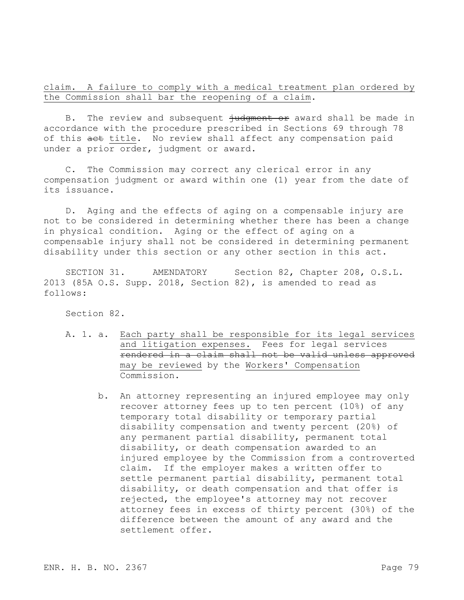claim. A failure to comply with a medical treatment plan ordered by the Commission shall bar the reopening of a claim.

B. The review and subsequent  $\frac{1}{2}$  in the mand shall be made in accordance with the procedure prescribed in Sections 69 through 78 of this act title. No review shall affect any compensation paid under a prior order, judgment or award.

C. The Commission may correct any clerical error in any compensation judgment or award within one (1) year from the date of its issuance.

D. Aging and the effects of aging on a compensable injury are not to be considered in determining whether there has been a change in physical condition. Aging or the effect of aging on a compensable injury shall not be considered in determining permanent disability under this section or any other section in this act.

SECTION 31. AMENDATORY Section 82, Chapter 208, O.S.L. 2013 (85A O.S. Supp. 2018, Section 82), is amended to read as follows:

Section 82.

- A. 1. a. Each party shall be responsible for its legal services and litigation expenses. Fees for legal services rendered in a claim shall not be valid unless approved may be reviewed by the Workers' Compensation Commission.
	- b. An attorney representing an injured employee may only recover attorney fees up to ten percent (10%) of any temporary total disability or temporary partial disability compensation and twenty percent (20%) of any permanent partial disability, permanent total disability, or death compensation awarded to an injured employee by the Commission from a controverted claim. If the employer makes a written offer to settle permanent partial disability, permanent total disability, or death compensation and that offer is rejected, the employee's attorney may not recover attorney fees in excess of thirty percent (30%) of the difference between the amount of any award and the settlement offer.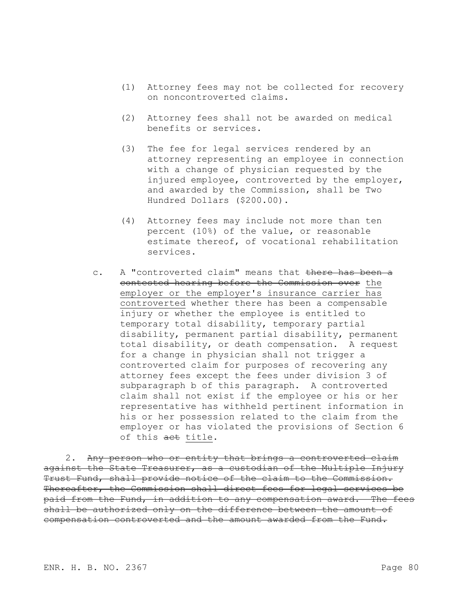- (1) Attorney fees may not be collected for recovery on noncontroverted claims.
- (2) Attorney fees shall not be awarded on medical benefits or services.
- (3) The fee for legal services rendered by an attorney representing an employee in connection with a change of physician requested by the injured employee, controverted by the employer, and awarded by the Commission, shall be Two Hundred Dollars (\$200.00).
- (4) Attorney fees may include not more than ten percent (10%) of the value, or reasonable estimate thereof, of vocational rehabilitation services.
- c. A "controverted claim" means that there has been a contested hearing before the Commission over the employer or the employer's insurance carrier has controverted whether there has been a compensable injury or whether the employee is entitled to temporary total disability, temporary partial disability, permanent partial disability, permanent total disability, or death compensation. A request for a change in physician shall not trigger a controverted claim for purposes of recovering any attorney fees except the fees under division 3 of subparagraph b of this paragraph. A controverted claim shall not exist if the employee or his or her representative has withheld pertinent information in his or her possession related to the claim from the employer or has violated the provisions of Section 6 of this act title.

2. Any person who or entity that brings a controverted claim against the State Treasurer, as a custodian of the Multiple Injury Trust Fund, shall provide notice of the claim to the Commission. Thereafter, the Commission shall direct fees for legal services be paid from the Fund, in addition to any compensation award. The fees shall be authorized only on the difference between the amount of compensation controverted and the amount awarded from the Fund.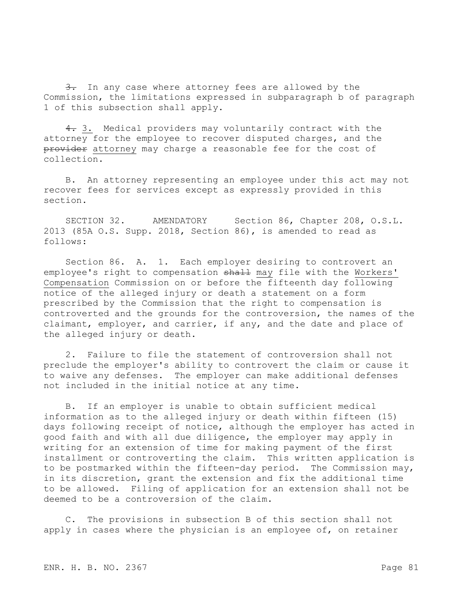3. In any case where attorney fees are allowed by the Commission, the limitations expressed in subparagraph b of paragraph 1 of this subsection shall apply.

4. 3. Medical providers may voluntarily contract with the attorney for the employee to recover disputed charges, and the provider attorney may charge a reasonable fee for the cost of collection.

B. An attorney representing an employee under this act may not recover fees for services except as expressly provided in this section.

SECTION 32. AMENDATORY Section 86, Chapter 208, O.S.L. 2013 (85A O.S. Supp. 2018, Section 86), is amended to read as follows:

Section 86. A. 1. Each employer desiring to controvert an employee's right to compensation shall may file with the Workers' Compensation Commission on or before the fifteenth day following notice of the alleged injury or death a statement on a form prescribed by the Commission that the right to compensation is controverted and the grounds for the controversion, the names of the claimant, employer, and carrier, if any, and the date and place of the alleged injury or death.

2. Failure to file the statement of controversion shall not preclude the employer's ability to controvert the claim or cause it to waive any defenses. The employer can make additional defenses not included in the initial notice at any time.

B. If an employer is unable to obtain sufficient medical information as to the alleged injury or death within fifteen (15) days following receipt of notice, although the employer has acted in good faith and with all due diligence, the employer may apply in writing for an extension of time for making payment of the first installment or controverting the claim. This written application is to be postmarked within the fifteen-day period. The Commission may, in its discretion, grant the extension and fix the additional time to be allowed. Filing of application for an extension shall not be deemed to be a controversion of the claim.

C. The provisions in subsection B of this section shall not apply in cases where the physician is an employee of, on retainer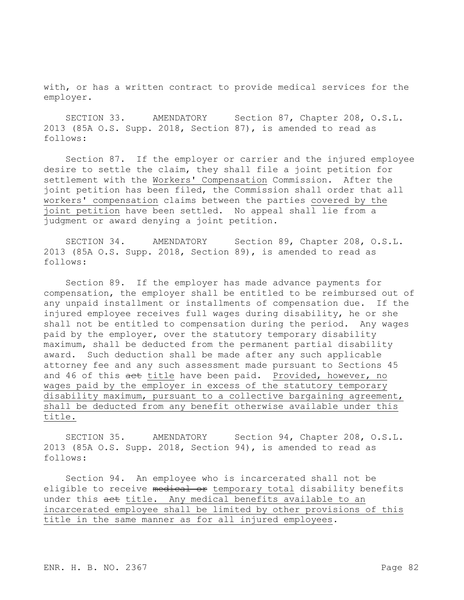with, or has a written contract to provide medical services for the employer.

SECTION 33. AMENDATORY Section 87, Chapter 208, O.S.L. 2013 (85A O.S. Supp. 2018, Section 87), is amended to read as follows:

Section 87. If the employer or carrier and the injured employee desire to settle the claim, they shall file a joint petition for settlement with the Workers' Compensation Commission. After the joint petition has been filed, the Commission shall order that all workers' compensation claims between the parties covered by the joint petition have been settled. No appeal shall lie from a judgment or award denying a joint petition.

SECTION 34. AMENDATORY Section 89, Chapter 208, O.S.L. 2013 (85A O.S. Supp. 2018, Section 89), is amended to read as follows:

Section 89. If the employer has made advance payments for compensation, the employer shall be entitled to be reimbursed out of any unpaid installment or installments of compensation due. If the injured employee receives full wages during disability, he or she shall not be entitled to compensation during the period. Any wages paid by the employer, over the statutory temporary disability maximum, shall be deducted from the permanent partial disability award. Such deduction shall be made after any such applicable attorney fee and any such assessment made pursuant to Sections 45 and 46 of this act title have been paid. Provided, however, no wages paid by the employer in excess of the statutory temporary disability maximum, pursuant to a collective bargaining agreement, shall be deducted from any benefit otherwise available under this title.

SECTION 35. AMENDATORY Section 94, Chapter 208, O.S.L. 2013 (85A O.S. Supp. 2018, Section 94), is amended to read as follows:

Section 94. An employee who is incarcerated shall not be eligible to receive medical or temporary total disability benefits under this act title. Any medical benefits available to an incarcerated employee shall be limited by other provisions of this title in the same manner as for all injured employees.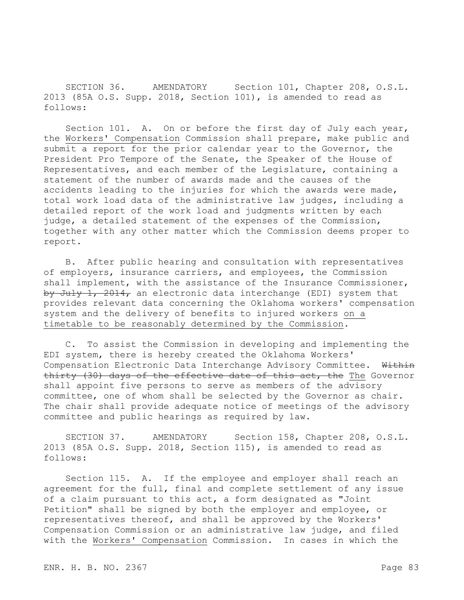SECTION 36. AMENDATORY Section 101, Chapter 208, O.S.L. 2013 (85A O.S. Supp. 2018, Section 101), is amended to read as follows:

Section 101. A. On or before the first day of July each year, the Workers' Compensation Commission shall prepare, make public and submit a report for the prior calendar year to the Governor, the President Pro Tempore of the Senate, the Speaker of the House of Representatives, and each member of the Legislature, containing a statement of the number of awards made and the causes of the accidents leading to the injuries for which the awards were made, total work load data of the administrative law judges, including a detailed report of the work load and judgments written by each judge, a detailed statement of the expenses of the Commission, together with any other matter which the Commission deems proper to report.

B. After public hearing and consultation with representatives of employers, insurance carriers, and employees, the Commission shall implement, with the assistance of the Insurance Commissioner, by July 1, 2014, an electronic data interchange (EDI) system that provides relevant data concerning the Oklahoma workers' compensation system and the delivery of benefits to injured workers on a timetable to be reasonably determined by the Commission.

C. To assist the Commission in developing and implementing the EDI system, there is hereby created the Oklahoma Workers' Compensation Electronic Data Interchange Advisory Committee. Within thirty (30) days of the effective date of this act, the The Governor shall appoint five persons to serve as members of the advisory committee, one of whom shall be selected by the Governor as chair. The chair shall provide adequate notice of meetings of the advisory committee and public hearings as required by law.

SECTION 37. AMENDATORY Section 158, Chapter 208, O.S.L. 2013 (85A O.S. Supp. 2018, Section 115), is amended to read as follows:

Section 115. A. If the employee and employer shall reach an agreement for the full, final and complete settlement of any issue of a claim pursuant to this act, a form designated as "Joint Petition" shall be signed by both the employer and employee, or representatives thereof, and shall be approved by the Workers' Compensation Commission or an administrative law judge, and filed with the Workers' Compensation Commission. In cases in which the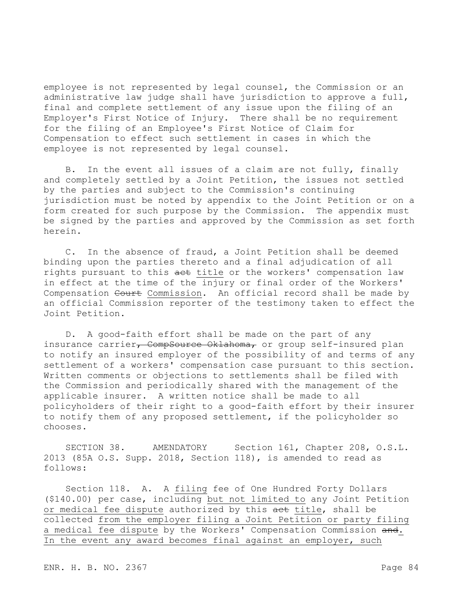employee is not represented by legal counsel, the Commission or an administrative law judge shall have jurisdiction to approve a full, final and complete settlement of any issue upon the filing of an Employer's First Notice of Injury. There shall be no requirement for the filing of an Employee's First Notice of Claim for Compensation to effect such settlement in cases in which the employee is not represented by legal counsel.

B. In the event all issues of a claim are not fully, finally and completely settled by a Joint Petition, the issues not settled by the parties and subject to the Commission's continuing jurisdiction must be noted by appendix to the Joint Petition or on a form created for such purpose by the Commission. The appendix must be signed by the parties and approved by the Commission as set forth herein.

C. In the absence of fraud, a Joint Petition shall be deemed binding upon the parties thereto and a final adjudication of all rights pursuant to this act title or the workers' compensation law in effect at the time of the injury or final order of the Workers' Compensation Court Commission. An official record shall be made by an official Commission reporter of the testimony taken to effect the Joint Petition.

D. A good-faith effort shall be made on the part of any insurance carrier, CompSource Oklahoma, or group self-insured plan to notify an insured employer of the possibility of and terms of any settlement of a workers' compensation case pursuant to this section. Written comments or objections to settlements shall be filed with the Commission and periodically shared with the management of the applicable insurer. A written notice shall be made to all policyholders of their right to a good-faith effort by their insurer to notify them of any proposed settlement, if the policyholder so chooses.

SECTION 38. AMENDATORY Section 161, Chapter 208, O.S.L. 2013 (85A O.S. Supp. 2018, Section 118), is amended to read as follows:

Section 118. A. A filing fee of One Hundred Forty Dollars (\$140.00) per case, including but not limited to any Joint Petition or medical fee dispute authorized by this act title, shall be collected from the employer filing a Joint Petition or party filing a medical fee dispute by the Workers' Compensation Commission and. In the event any award becomes final against an employer, such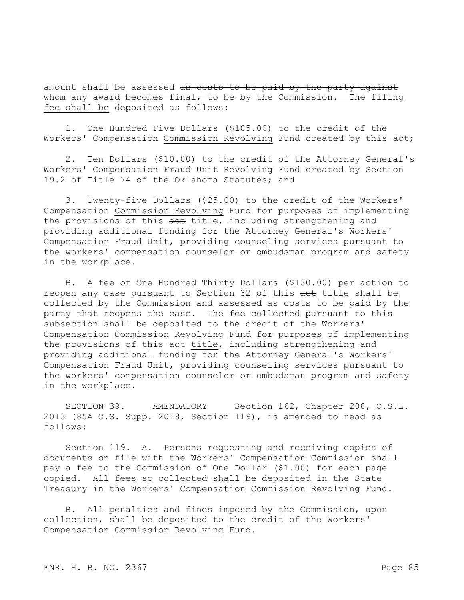amount shall be assessed as costs to be paid by the party against whom any award becomes final, to be by the Commission. The filing fee shall be deposited as follows:

1. One Hundred Five Dollars (\$105.00) to the credit of the Workers' Compensation Commission Revolving Fund ereated by this act;

2. Ten Dollars (\$10.00) to the credit of the Attorney General's Workers' Compensation Fraud Unit Revolving Fund created by Section 19.2 of Title 74 of the Oklahoma Statutes; and

3. Twenty-five Dollars (\$25.00) to the credit of the Workers' Compensation Commission Revolving Fund for purposes of implementing the provisions of this aet title, including strengthening and providing additional funding for the Attorney General's Workers' Compensation Fraud Unit, providing counseling services pursuant to the workers' compensation counselor or ombudsman program and safety in the workplace.

B. A fee of One Hundred Thirty Dollars (\$130.00) per action to reopen any case pursuant to Section 32 of this aet title shall be collected by the Commission and assessed as costs to be paid by the party that reopens the case. The fee collected pursuant to this subsection shall be deposited to the credit of the Workers' Compensation Commission Revolving Fund for purposes of implementing the provisions of this aet title, including strengthening and providing additional funding for the Attorney General's Workers' Compensation Fraud Unit, providing counseling services pursuant to the workers' compensation counselor or ombudsman program and safety in the workplace.

SECTION 39. AMENDATORY Section 162, Chapter 208, O.S.L. 2013 (85A O.S. Supp. 2018, Section 119), is amended to read as follows:

Section 119. A. Persons requesting and receiving copies of documents on file with the Workers' Compensation Commission shall pay a fee to the Commission of One Dollar (\$1.00) for each page copied. All fees so collected shall be deposited in the State Treasury in the Workers' Compensation Commission Revolving Fund.

B. All penalties and fines imposed by the Commission, upon collection, shall be deposited to the credit of the Workers' Compensation Commission Revolving Fund.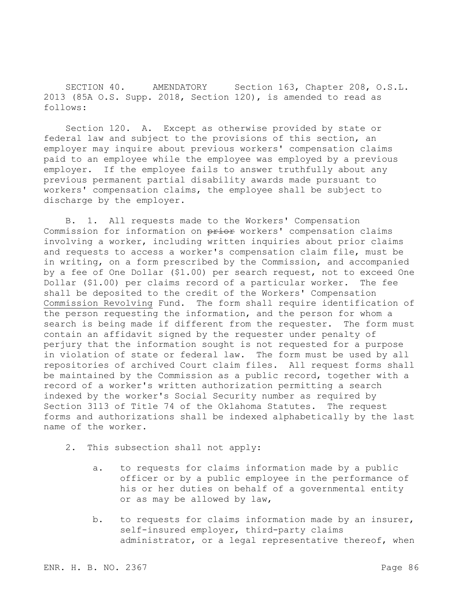SECTION 40. AMENDATORY Section 163, Chapter 208, O.S.L. 2013 (85A O.S. Supp. 2018, Section 120), is amended to read as follows:

Section 120. A. Except as otherwise provided by state or federal law and subject to the provisions of this section, an employer may inquire about previous workers' compensation claims paid to an employee while the employee was employed by a previous employer. If the employee fails to answer truthfully about any previous permanent partial disability awards made pursuant to workers' compensation claims, the employee shall be subject to discharge by the employer.

B. 1. All requests made to the Workers' Compensation Commission for information on prior workers' compensation claims involving a worker, including written inquiries about prior claims and requests to access a worker's compensation claim file, must be in writing, on a form prescribed by the Commission, and accompanied by a fee of One Dollar (\$1.00) per search request, not to exceed One Dollar (\$1.00) per claims record of a particular worker. The fee shall be deposited to the credit of the Workers' Compensation Commission Revolving Fund. The form shall require identification of the person requesting the information, and the person for whom a search is being made if different from the requester. The form must contain an affidavit signed by the requester under penalty of perjury that the information sought is not requested for a purpose in violation of state or federal law. The form must be used by all repositories of archived Court claim files. All request forms shall be maintained by the Commission as a public record, together with a record of a worker's written authorization permitting a search indexed by the worker's Social Security number as required by Section 3113 of Title 74 of the Oklahoma Statutes. The request forms and authorizations shall be indexed alphabetically by the last name of the worker.

- 2. This subsection shall not apply:
	- a. to requests for claims information made by a public officer or by a public employee in the performance of his or her duties on behalf of a governmental entity or as may be allowed by law,
	- b. to requests for claims information made by an insurer, self-insured employer, third-party claims administrator, or a legal representative thereof, when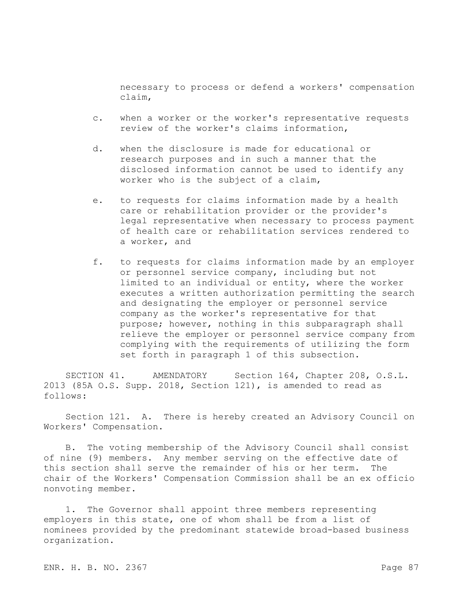necessary to process or defend a workers' compensation claim,

- c. when a worker or the worker's representative requests review of the worker's claims information,
- d. when the disclosure is made for educational or research purposes and in such a manner that the disclosed information cannot be used to identify any worker who is the subject of a claim,
- e. to requests for claims information made by a health care or rehabilitation provider or the provider's legal representative when necessary to process payment of health care or rehabilitation services rendered to a worker, and
- f. to requests for claims information made by an employer or personnel service company, including but not limited to an individual or entity, where the worker executes a written authorization permitting the search and designating the employer or personnel service company as the worker's representative for that purpose; however, nothing in this subparagraph shall relieve the employer or personnel service company from complying with the requirements of utilizing the form set forth in paragraph 1 of this subsection.

SECTION 41. AMENDATORY Section 164, Chapter 208, O.S.L. 2013 (85A O.S. Supp. 2018, Section 121), is amended to read as follows:

Section 121. A. There is hereby created an Advisory Council on Workers' Compensation.

B. The voting membership of the Advisory Council shall consist of nine (9) members. Any member serving on the effective date of this section shall serve the remainder of his or her term. The chair of the Workers' Compensation Commission shall be an ex officio nonvoting member.

1. The Governor shall appoint three members representing employers in this state, one of whom shall be from a list of nominees provided by the predominant statewide broad-based business organization.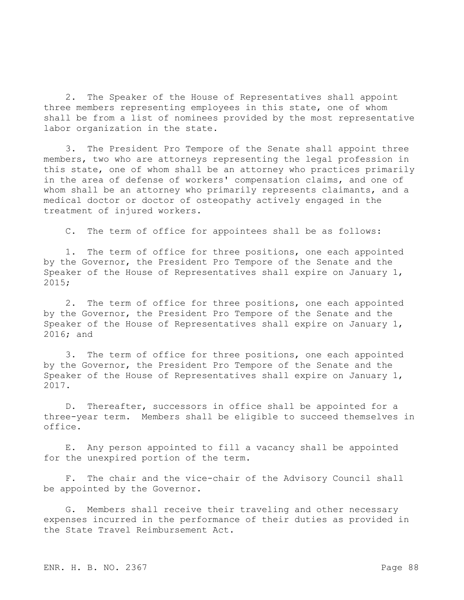2. The Speaker of the House of Representatives shall appoint three members representing employees in this state, one of whom shall be from a list of nominees provided by the most representative labor organization in the state.

3. The President Pro Tempore of the Senate shall appoint three members, two who are attorneys representing the legal profession in this state, one of whom shall be an attorney who practices primarily in the area of defense of workers' compensation claims, and one of whom shall be an attorney who primarily represents claimants, and a medical doctor or doctor of osteopathy actively engaged in the treatment of injured workers.

C. The term of office for appointees shall be as follows:

1. The term of office for three positions, one each appointed by the Governor, the President Pro Tempore of the Senate and the Speaker of the House of Representatives shall expire on January 1, 2015;

2. The term of office for three positions, one each appointed by the Governor, the President Pro Tempore of the Senate and the Speaker of the House of Representatives shall expire on January 1, 2016; and

3. The term of office for three positions, one each appointed by the Governor, the President Pro Tempore of the Senate and the Speaker of the House of Representatives shall expire on January 1, 2017.

D. Thereafter, successors in office shall be appointed for a three-year term. Members shall be eligible to succeed themselves in office.

E. Any person appointed to fill a vacancy shall be appointed for the unexpired portion of the term.

F. The chair and the vice-chair of the Advisory Council shall be appointed by the Governor.

G. Members shall receive their traveling and other necessary expenses incurred in the performance of their duties as provided in the State Travel Reimbursement Act.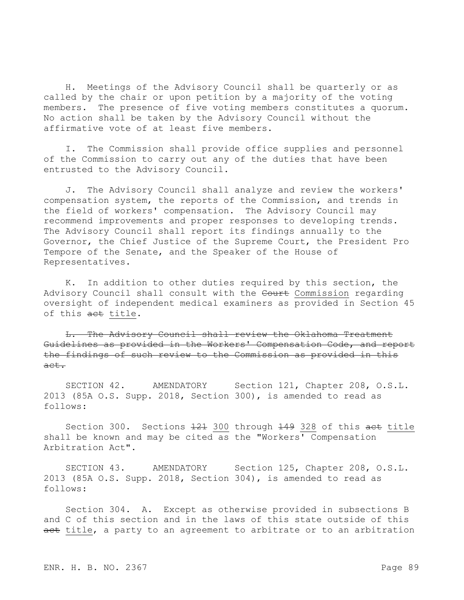H. Meetings of the Advisory Council shall be quarterly or as called by the chair or upon petition by a majority of the voting members. The presence of five voting members constitutes a quorum. No action shall be taken by the Advisory Council without the affirmative vote of at least five members.

I. The Commission shall provide office supplies and personnel of the Commission to carry out any of the duties that have been entrusted to the Advisory Council.

J. The Advisory Council shall analyze and review the workers' compensation system, the reports of the Commission, and trends in the field of workers' compensation. The Advisory Council may recommend improvements and proper responses to developing trends. The Advisory Council shall report its findings annually to the Governor, the Chief Justice of the Supreme Court, the President Pro Tempore of the Senate, and the Speaker of the House of Representatives.

K. In addition to other duties required by this section, the Advisory Council shall consult with the Court Commission regarding oversight of independent medical examiners as provided in Section 45 of this act title.

L. The Advisory Council shall review the Oklahoma Treatment Guidelines as provided in the Workers' Compensation Code, and report the findings of such review to the Commission as provided in this act.

SECTION 42. AMENDATORY Section 121, Chapter 208, O.S.L. 2013 (85A O.S. Supp. 2018, Section 300), is amended to read as follows:

Section 300. Sections 121 300 through 149 328 of this act title shall be known and may be cited as the "Workers' Compensation Arbitration Act".

SECTION 43. AMENDATORY Section 125, Chapter 208, O.S.L. 2013 (85A O.S. Supp. 2018, Section 304), is amended to read as follows:

Section 304. A. Except as otherwise provided in subsections B and C of this section and in the laws of this state outside of this act title, a party to an agreement to arbitrate or to an arbitration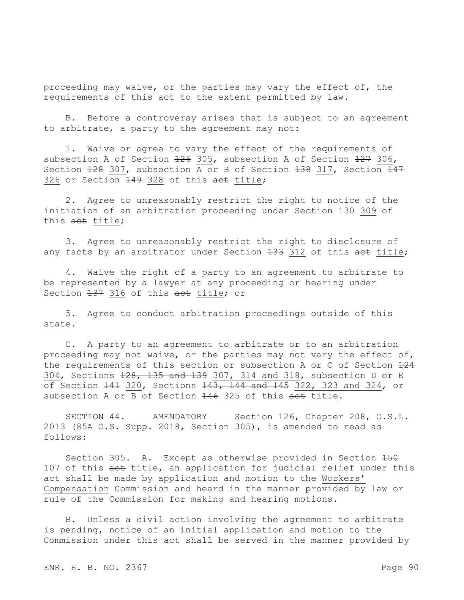proceeding may waive, or the parties may vary the effect of, the requirements of this act to the extent permitted by law.

B. Before a controversy arises that is subject to an agreement to arbitrate, a party to the agreement may not:

1. Waive or agree to vary the effect of the requirements of subsection A of Section 126 305, subsection A of Section 127 306, Section  $128$  307, subsection A or B of Section  $138$  317, Section  $147$ 326 or Section 449 328 of this aet title;

2. Agree to unreasonably restrict the right to notice of the initiation of an arbitration proceeding under Section 130 309 of this act title;

3. Agree to unreasonably restrict the right to disclosure of any facts by an arbitrator under Section 133 312 of this aet title;

4. Waive the right of a party to an agreement to arbitrate to be represented by a lawyer at any proceeding or hearing under Section  $137$  316 of this act title; or

5. Agree to conduct arbitration proceedings outside of this state.

C. A party to an agreement to arbitrate or to an arbitration proceeding may not waive, or the parties may not vary the effect of, the requirements of this section or subsection A or C of Section  $124$ 304, Sections 128, 135 and 139 307, 314 and 318, subsection D or E  $\overline{0.05}$  Section  $\overline{141}$  320, Sections  $\overline{143}$ ,  $\overline{144}$  and  $\overline{145}$  322, 323 and 324, or subsection A or B of Section 146 325 of this act title.

SECTION 44. AMENDATORY Section 126, Chapter 208, O.S.L. 2013 (85A O.S. Supp. 2018, Section 305), is amended to read as follows:

Section 305. A. Except as otherwise provided in Section  $150$ 107 of this aet title, an application for judicial relief under this act shall be made by application and motion to the Workers' Compensation Commission and heard in the manner provided by law or rule of the Commission for making and hearing motions.

B. Unless a civil action involving the agreement to arbitrate is pending, notice of an initial application and motion to the Commission under this act shall be served in the manner provided by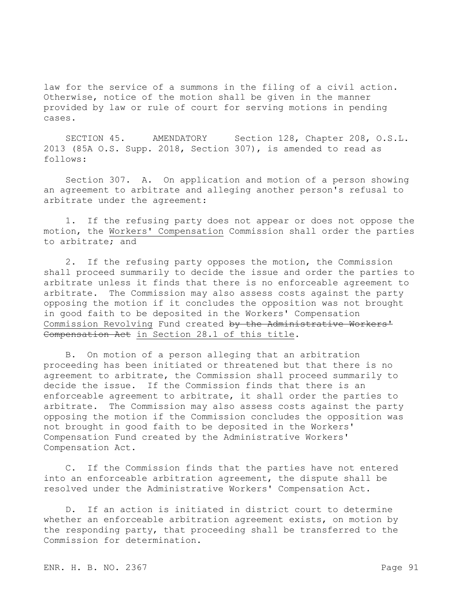law for the service of a summons in the filing of a civil action. Otherwise, notice of the motion shall be given in the manner provided by law or rule of court for serving motions in pending cases.

SECTION 45. AMENDATORY Section 128, Chapter 208, O.S.L. 2013 (85A O.S. Supp. 2018, Section 307), is amended to read as follows:

Section 307. A. On application and motion of a person showing an agreement to arbitrate and alleging another person's refusal to arbitrate under the agreement:

1. If the refusing party does not appear or does not oppose the motion, the Workers' Compensation Commission shall order the parties to arbitrate; and

2. If the refusing party opposes the motion, the Commission shall proceed summarily to decide the issue and order the parties to arbitrate unless it finds that there is no enforceable agreement to arbitrate. The Commission may also assess costs against the party opposing the motion if it concludes the opposition was not brought in good faith to be deposited in the Workers' Compensation Commission Revolving Fund created by the Administrative Workers' Compensation Act in Section 28.1 of this title.

B. On motion of a person alleging that an arbitration proceeding has been initiated or threatened but that there is no agreement to arbitrate, the Commission shall proceed summarily to decide the issue. If the Commission finds that there is an enforceable agreement to arbitrate, it shall order the parties to arbitrate. The Commission may also assess costs against the party opposing the motion if the Commission concludes the opposition was not brought in good faith to be deposited in the Workers' Compensation Fund created by the Administrative Workers' Compensation Act.

C. If the Commission finds that the parties have not entered into an enforceable arbitration agreement, the dispute shall be resolved under the Administrative Workers' Compensation Act.

D. If an action is initiated in district court to determine whether an enforceable arbitration agreement exists, on motion by the responding party, that proceeding shall be transferred to the Commission for determination.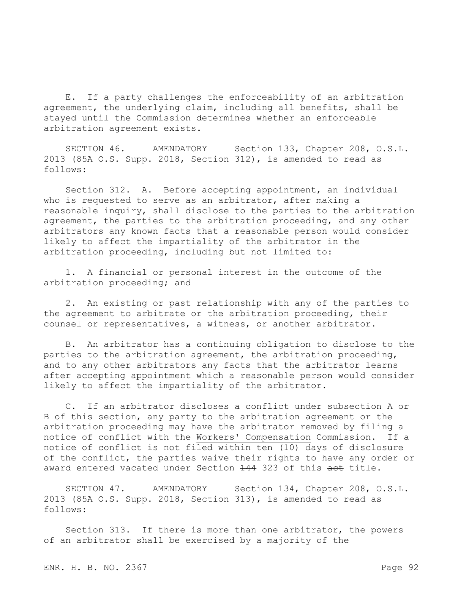E. If a party challenges the enforceability of an arbitration agreement, the underlying claim, including all benefits, shall be stayed until the Commission determines whether an enforceable arbitration agreement exists.

SECTION 46. AMENDATORY Section 133, Chapter 208, O.S.L. 2013 (85A O.S. Supp. 2018, Section 312), is amended to read as follows:

Section 312. A. Before accepting appointment, an individual who is requested to serve as an arbitrator, after making a reasonable inquiry, shall disclose to the parties to the arbitration agreement, the parties to the arbitration proceeding, and any other arbitrators any known facts that a reasonable person would consider likely to affect the impartiality of the arbitrator in the arbitration proceeding, including but not limited to:

1. A financial or personal interest in the outcome of the arbitration proceeding; and

2. An existing or past relationship with any of the parties to the agreement to arbitrate or the arbitration proceeding, their counsel or representatives, a witness, or another arbitrator.

B. An arbitrator has a continuing obligation to disclose to the parties to the arbitration agreement, the arbitration proceeding, and to any other arbitrators any facts that the arbitrator learns after accepting appointment which a reasonable person would consider likely to affect the impartiality of the arbitrator.

C. If an arbitrator discloses a conflict under subsection A or B of this section, any party to the arbitration agreement or the arbitration proceeding may have the arbitrator removed by filing a notice of conflict with the Workers' Compensation Commission. If a notice of conflict is not filed within ten (10) days of disclosure of the conflict, the parties waive their rights to have any order or award entered vacated under Section 144 323 of this act title.

SECTION 47. AMENDATORY Section 134, Chapter 208, O.S.L. 2013 (85A O.S. Supp. 2018, Section 313), is amended to read as follows:

Section 313. If there is more than one arbitrator, the powers of an arbitrator shall be exercised by a majority of the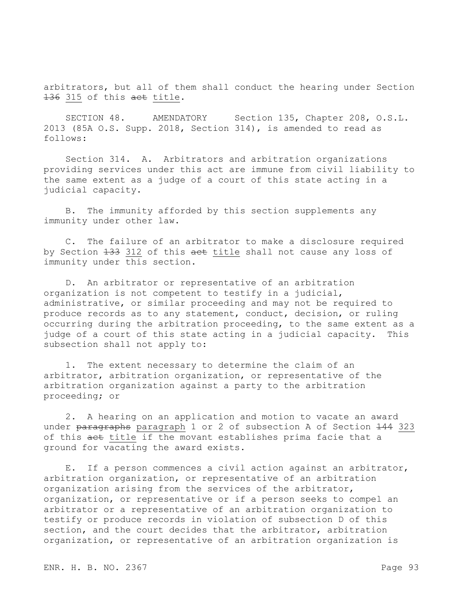arbitrators, but all of them shall conduct the hearing under Section 136 315 of this act title.

SECTION 48. AMENDATORY Section 135, Chapter 208, O.S.L. 2013 (85A O.S. Supp. 2018, Section 314), is amended to read as follows:

Section 314. A. Arbitrators and arbitration organizations providing services under this act are immune from civil liability to the same extent as a judge of a court of this state acting in a judicial capacity.

B. The immunity afforded by this section supplements any immunity under other law.

C. The failure of an arbitrator to make a disclosure required by Section 133 312 of this aet title shall not cause any loss of immunity under this section.

D. An arbitrator or representative of an arbitration organization is not competent to testify in a judicial, administrative, or similar proceeding and may not be required to produce records as to any statement, conduct, decision, or ruling occurring during the arbitration proceeding, to the same extent as a judge of a court of this state acting in a judicial capacity. This subsection shall not apply to:

1. The extent necessary to determine the claim of an arbitrator, arbitration organization, or representative of the arbitration organization against a party to the arbitration proceeding; or

2. A hearing on an application and motion to vacate an award under paragraphs paragraph 1 or 2 of subsection A of Section 144 323 of this act title if the movant establishes prima facie that a ground for vacating the award exists.

E. If a person commences a civil action against an arbitrator, arbitration organization, or representative of an arbitration organization arising from the services of the arbitrator, organization, or representative or if a person seeks to compel an arbitrator or a representative of an arbitration organization to testify or produce records in violation of subsection D of this section, and the court decides that the arbitrator, arbitration organization, or representative of an arbitration organization is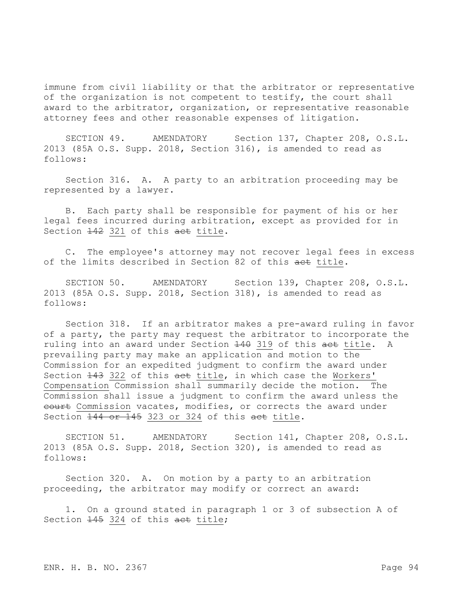immune from civil liability or that the arbitrator or representative of the organization is not competent to testify, the court shall award to the arbitrator, organization, or representative reasonable attorney fees and other reasonable expenses of litigation.

SECTION 49. AMENDATORY Section 137, Chapter 208, O.S.L. 2013 (85A O.S. Supp. 2018, Section 316), is amended to read as follows:

Section 316. A. A party to an arbitration proceeding may be represented by a lawyer.

B. Each party shall be responsible for payment of his or her legal fees incurred during arbitration, except as provided for in Section  $\frac{142}{12}$  321 of this act title.

C. The employee's attorney may not recover legal fees in excess of the limits described in Section 82 of this act title.

SECTION 50. AMENDATORY Section 139, Chapter 208, O.S.L. 2013 (85A O.S. Supp. 2018, Section 318), is amended to read as follows:

Section 318. If an arbitrator makes a pre-award ruling in favor of a party, the party may request the arbitrator to incorporate the ruling into an award under Section 140 319 of this act title. A prevailing party may make an application and motion to the Commission for an expedited judgment to confirm the award under Section  $143$  322 of this act title, in which case the Workers' Compensation Commission shall summarily decide the motion. The Commission shall issue a judgment to confirm the award unless the eourt Commission vacates, modifies, or corrects the award under Section 144 or 145 323 or 324 of this act title.

SECTION 51. AMENDATORY Section 141, Chapter 208, O.S.L. 2013 (85A O.S. Supp. 2018, Section 320), is amended to read as follows:

Section 320. A. On motion by a party to an arbitration proceeding, the arbitrator may modify or correct an award:

1. On a ground stated in paragraph 1 or 3 of subsection A of Section  $\frac{145}{145}$  324 of this act title;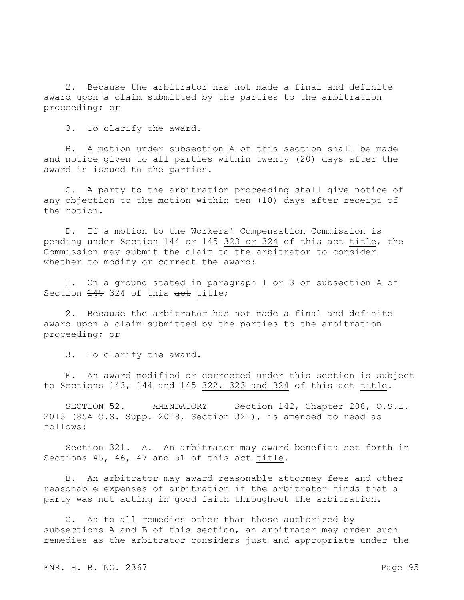2. Because the arbitrator has not made a final and definite award upon a claim submitted by the parties to the arbitration proceeding; or

3. To clarify the award.

B. A motion under subsection A of this section shall be made and notice given to all parties within twenty (20) days after the award is issued to the parties.

C. A party to the arbitration proceeding shall give notice of any objection to the motion within ten (10) days after receipt of the motion.

D. If a motion to the Workers' Compensation Commission is pending under Section 144 or 145 323 or 324 of this act title, the Commission may submit the claim to the arbitrator to consider whether to modify or correct the award:

1. On a ground stated in paragraph 1 or 3 of subsection A of Section  $\frac{145}{145}$  324 of this act title;

2. Because the arbitrator has not made a final and definite award upon a claim submitted by the parties to the arbitration proceeding; or

3. To clarify the award.

E. An award modified or corrected under this section is subject to Sections  $143, 144$  and  $145$  322, 323 and 324 of this act title.

SECTION 52. AMENDATORY Section 142, Chapter 208, O.S.L. 2013 (85A O.S. Supp. 2018, Section 321), is amended to read as follows:

Section 321. A. An arbitrator may award benefits set forth in Sections 45, 46, 47 and 51 of this act title.

B. An arbitrator may award reasonable attorney fees and other reasonable expenses of arbitration if the arbitrator finds that a party was not acting in good faith throughout the arbitration.

C. As to all remedies other than those authorized by subsections A and B of this section, an arbitrator may order such remedies as the arbitrator considers just and appropriate under the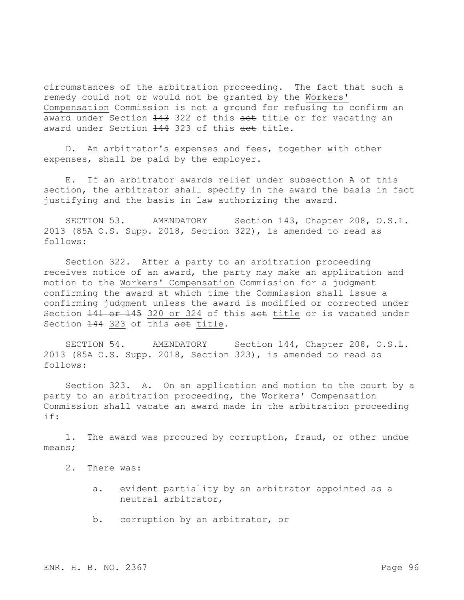circumstances of the arbitration proceeding. The fact that such a remedy could not or would not be granted by the Workers' Compensation Commission is not a ground for refusing to confirm an award under Section 143 322 of this aet title or for vacating an award under Section 144 323 of this act title.

D. An arbitrator's expenses and fees, together with other expenses, shall be paid by the employer.

E. If an arbitrator awards relief under subsection A of this section, the arbitrator shall specify in the award the basis in fact justifying and the basis in law authorizing the award.

SECTION 53. AMENDATORY Section 143, Chapter 208, O.S.L. 2013 (85A O.S. Supp. 2018, Section 322), is amended to read as follows:

Section 322. After a party to an arbitration proceeding receives notice of an award, the party may make an application and motion to the Workers' Compensation Commission for a judgment confirming the award at which time the Commission shall issue a confirming judgment unless the award is modified or corrected under Section 141 or 145 320 or 324 of this act title or is vacated under Section  $144$  323 of this act title.

SECTION 54. AMENDATORY Section 144, Chapter 208, O.S.L. 2013 (85A O.S. Supp. 2018, Section 323), is amended to read as follows:

Section 323. A. On an application and motion to the court by a party to an arbitration proceeding, the Workers' Compensation Commission shall vacate an award made in the arbitration proceeding if:

1. The award was procured by corruption, fraud, or other undue means;

- 2. There was:
	- a. evident partiality by an arbitrator appointed as a neutral arbitrator,
	- b. corruption by an arbitrator, or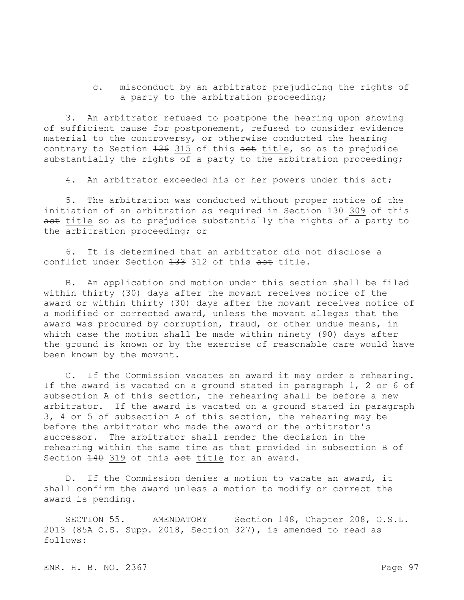c. misconduct by an arbitrator prejudicing the rights of a party to the arbitration proceeding;

3. An arbitrator refused to postpone the hearing upon showing of sufficient cause for postponement, refused to consider evidence material to the controversy, or otherwise conducted the hearing contrary to Section 136 315 of this aet title, so as to prejudice substantially the rights of a party to the arbitration proceeding;

4. An arbitrator exceeded his or her powers under this act;

5. The arbitration was conducted without proper notice of the initiation of an arbitration as required in Section  $\overline{130}$  309 of this act title so as to prejudice substantially the rights of a party to the arbitration proceeding; or

6. It is determined that an arbitrator did not disclose a conflict under Section 133 312 of this act title.

B. An application and motion under this section shall be filed within thirty (30) days after the movant receives notice of the award or within thirty (30) days after the movant receives notice of a modified or corrected award, unless the movant alleges that the award was procured by corruption, fraud, or other undue means, in which case the motion shall be made within ninety (90) days after the ground is known or by the exercise of reasonable care would have been known by the movant.

C. If the Commission vacates an award it may order a rehearing. If the award is vacated on a ground stated in paragraph 1, 2 or 6 of subsection A of this section, the rehearing shall be before a new arbitrator. If the award is vacated on a ground stated in paragraph 3, 4 or 5 of subsection A of this section, the rehearing may be before the arbitrator who made the award or the arbitrator's successor. The arbitrator shall render the decision in the rehearing within the same time as that provided in subsection B of Section  $\frac{140}{19}$  319 of this aet title for an award.

D. If the Commission denies a motion to vacate an award, it shall confirm the award unless a motion to modify or correct the award is pending.

SECTION 55. AMENDATORY Section 148, Chapter 208, O.S.L. 2013 (85A O.S. Supp. 2018, Section 327), is amended to read as follows: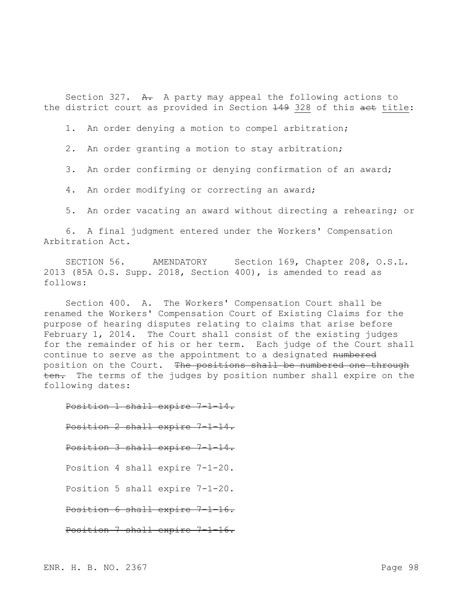Section 327.  $A$ . A party may appeal the following actions to the district court as provided in Section 149 328 of this act title:

1. An order denying a motion to compel arbitration;

2. An order granting a motion to stay arbitration;

3. An order confirming or denying confirmation of an award;

4. An order modifying or correcting an award;

5. An order vacating an award without directing a rehearing; or

6. A final judgment entered under the Workers' Compensation Arbitration Act.

SECTION 56. AMENDATORY Section 169, Chapter 208, O.S.L. 2013 (85A O.S. Supp. 2018, Section 400), is amended to read as follows:

Section 400. A. The Workers' Compensation Court shall be renamed the Workers' Compensation Court of Existing Claims for the purpose of hearing disputes relating to claims that arise before February 1, 2014. The Court shall consist of the existing judges for the remainder of his or her term. Each judge of the Court shall continue to serve as the appointment to a designated numbered position on the Court. The positions shall be numbered one through ten. The terms of the judges by position number shall expire on the following dates:

Position 1 shall expire 7-1-14. Position 2 shall expire 7-1-14. Position 3 shall expire 7-1-14. Position 4 shall expire 7-1-20. Position 5 shall expire 7-1-20. Position 6 shall expire 7-1-16. Position 7 shall expire 7-1-16.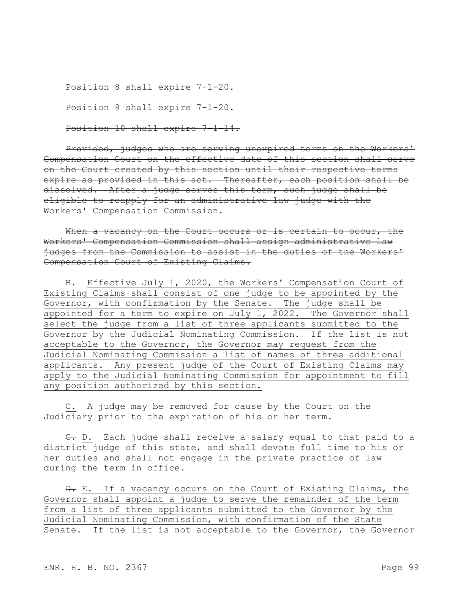```
Position 8 shall expire 7-1-20.
Position 9 shall expire 7-1-20.
Position 10 shall expire 7-1-14.
```
Provided, judges who are serving unexpired terms on the Workers' Compensation Court on the effective date of this section shall serve on the Court created by this section until their respective terms expire as provided in this act. Thereafter, each position shall be dissolved. After a judge serves this term, such judge shall be eligible to reapply for an administrative law judge with the Workers' Compensation Commission.

When a vacancy on the Court occurs or is certain to occur, the Workers' Compensation Commission shall assign administrative law judges from the Commission to assist in the duties of the Workers' Compensation Court of Existing Claims.

B. Effective July 1, 2020, the Workers' Compensation Court of Existing Claims shall consist of one judge to be appointed by the Governor, with confirmation by the Senate. The judge shall be appointed for a term to expire on July 1, 2022. The Governor shall select the judge from a list of three applicants submitted to the Governor by the Judicial Nominating Commission. If the list is not acceptable to the Governor, the Governor may request from the Judicial Nominating Commission a list of names of three additional applicants. Any present judge of the Court of Existing Claims may apply to the Judicial Nominating Commission for appointment to fill any position authorized by this section.

C. A judge may be removed for cause by the Court on the Judiciary prior to the expiration of his or her term.

C. D. Each judge shall receive a salary equal to that paid to a district judge of this state, and shall devote full time to his or her duties and shall not engage in the private practice of law during the term in office.

 $\theta$ . E. If a vacancy occurs on the Court of Existing Claims, the Governor shall appoint a judge to serve the remainder of the term from a list of three applicants submitted to the Governor by the Judicial Nominating Commission, with confirmation of the State Senate. If the list is not acceptable to the Governor, the Governor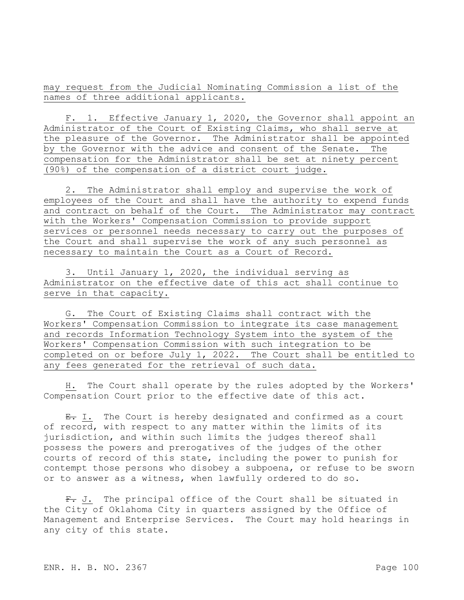may request from the Judicial Nominating Commission a list of the names of three additional applicants.

F. 1. Effective January 1, 2020, the Governor shall appoint an Administrator of the Court of Existing Claims, who shall serve at the pleasure of the Governor. The Administrator shall be appointed by the Governor with the advice and consent of the Senate. The compensation for the Administrator shall be set at ninety percent (90%) of the compensation of a district court judge.

2. The Administrator shall employ and supervise the work of employees of the Court and shall have the authority to expend funds and contract on behalf of the Court. The Administrator may contract with the Workers' Compensation Commission to provide support services or personnel needs necessary to carry out the purposes of the Court and shall supervise the work of any such personnel as necessary to maintain the Court as a Court of Record.

3. Until January 1, 2020, the individual serving as Administrator on the effective date of this act shall continue to serve in that capacity.

G. The Court of Existing Claims shall contract with the Workers' Compensation Commission to integrate its case management and records Information Technology System into the system of the Workers' Compensation Commission with such integration to be completed on or before July 1, 2022. The Court shall be entitled to any fees generated for the retrieval of such data.

H. The Court shall operate by the rules adopted by the Workers' Compensation Court prior to the effective date of this act.

 $E. I.$  The Court is hereby designated and confirmed as a court of record, with respect to any matter within the limits of its jurisdiction, and within such limits the judges thereof shall possess the powers and prerogatives of the judges of the other courts of record of this state, including the power to punish for contempt those persons who disobey a subpoena, or refuse to be sworn or to answer as a witness, when lawfully ordered to do so.

F. J. The principal office of the Court shall be situated in the City of Oklahoma City in quarters assigned by the Office of Management and Enterprise Services. The Court may hold hearings in any city of this state.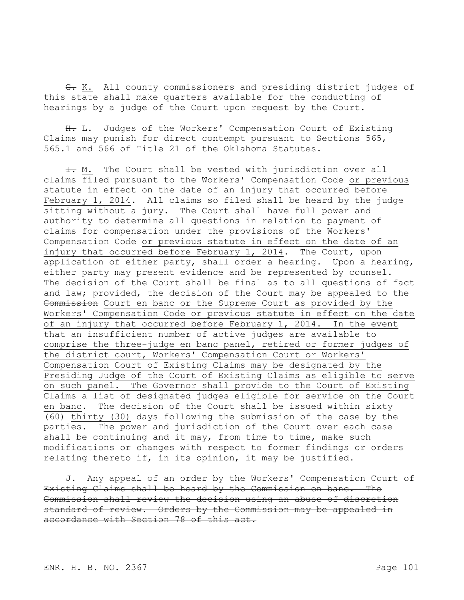G. K. All county commissioners and presiding district judges of this state shall make quarters available for the conducting of hearings by a judge of the Court upon request by the Court.

H. L. Judges of the Workers' Compensation Court of Existing Claims may punish for direct contempt pursuant to Sections 565, 565.1 and 566 of Title 21 of the Oklahoma Statutes.

 $\pm$ . M. The Court shall be vested with jurisdiction over all claims filed pursuant to the Workers' Compensation Code or previous statute in effect on the date of an injury that occurred before February 1, 2014. All claims so filed shall be heard by the judge sitting without a jury. The Court shall have full power and authority to determine all questions in relation to payment of claims for compensation under the provisions of the Workers' Compensation Code or previous statute in effect on the date of an injury that occurred before February 1, 2014. The Court, upon application of either party, shall order a hearing. Upon a hearing, either party may present evidence and be represented by counsel. The decision of the Court shall be final as to all questions of fact and law; provided, the decision of the Court may be appealed to the Commission Court en banc or the Supreme Court as provided by the Workers' Compensation Code or previous statute in effect on the date of an injury that occurred before February 1, 2014. In the event that an insufficient number of active judges are available to comprise the three-judge en banc panel, retired or former judges of the district court, Workers' Compensation Court or Workers' Compensation Court of Existing Claims may be designated by the Presiding Judge of the Court of Existing Claims as eligible to serve on such panel. The Governor shall provide to the Court of Existing Claims a list of designated judges eligible for service on the Court en banc. The decision of the Court shall be issued within sixty (60) thirty (30) days following the submission of the case by the parties. The power and jurisdiction of the Court over each case shall be continuing and it may, from time to time, make such modifications or changes with respect to former findings or orders relating thereto if, in its opinion, it may be justified.

J. Any appeal of an order by the Workers' Compensation Court of Existing Claims shall be heard by the Commission en banc. The Commission shall review the decision using an abuse of discretion standard of review. Orders by the Commission may be appealed in accordance with Section 78 of this act.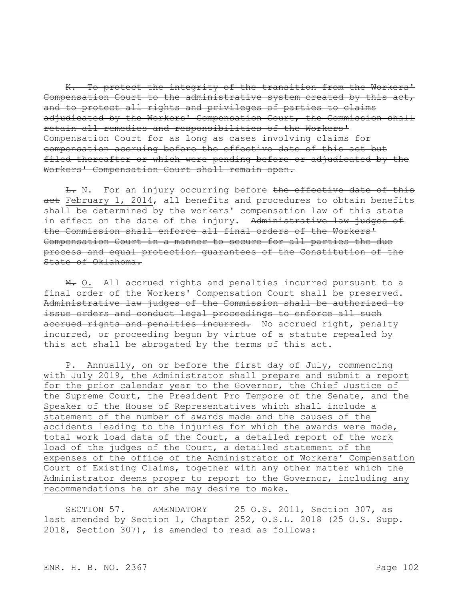K. To protect the integrity of the transition from the Workers' Compensation Court to the administrative system created by this act, and to protect all rights and privileges of parties to claims adjudicated by the Workers' Compensation Court, the Commission shall retain all remedies and responsibilities of the Workers' Compensation Court for as long as cases involving claims for compensation accruing before the effective date of this act but filed thereafter or which were pending before or adjudicated by the Workers' Compensation Court shall remain open.

 $L_r$  N. For an injury occurring before the effective date of this act February 1, 2014, all benefits and procedures to obtain benefits shall be determined by the workers' compensation law of this state in effect on the date of the injury. Administrative law judges of the Commission shall enforce all final orders of the Workers' Compensation Court in a manner to secure for all parties the due process and equal protection guarantees of the Constitution of the State of Oklahoma.

M. O. All accrued rights and penalties incurred pursuant to a final order of the Workers' Compensation Court shall be preserved. Administrative law judges of the Commission shall be authorized to issue orders and conduct legal proceedings to enforce all such accrued rights and penalties incurred. No accrued right, penalty incurred, or proceeding begun by virtue of a statute repealed by this act shall be abrogated by the terms of this act.

P. Annually, on or before the first day of July, commencing with July 2019, the Administrator shall prepare and submit a report for the prior calendar year to the Governor, the Chief Justice of the Supreme Court, the President Pro Tempore of the Senate, and the Speaker of the House of Representatives which shall include a statement of the number of awards made and the causes of the accidents leading to the injuries for which the awards were made, total work load data of the Court, a detailed report of the work load of the judges of the Court, a detailed statement of the expenses of the office of the Administrator of Workers' Compensation Court of Existing Claims, together with any other matter which the Administrator deems proper to report to the Governor, including any recommendations he or she may desire to make.

SECTION 57. AMENDATORY 25 O.S. 2011, Section 307, as last amended by Section 1, Chapter 252, O.S.L. 2018 (25 O.S. Supp. 2018, Section 307), is amended to read as follows: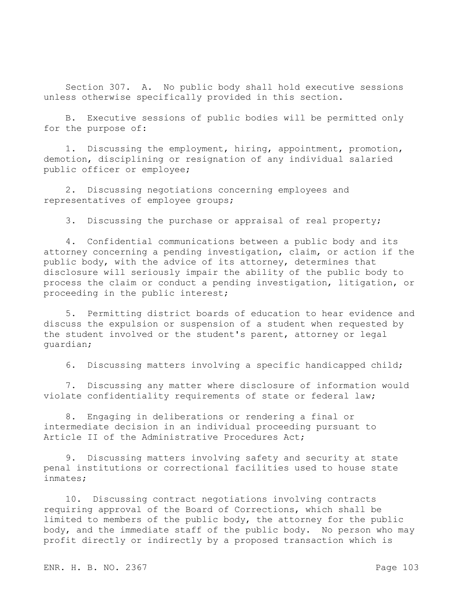Section 307. A. No public body shall hold executive sessions unless otherwise specifically provided in this section.

B. Executive sessions of public bodies will be permitted only for the purpose of:

1. Discussing the employment, hiring, appointment, promotion, demotion, disciplining or resignation of any individual salaried public officer or employee;

2. Discussing negotiations concerning employees and representatives of employee groups;

3. Discussing the purchase or appraisal of real property;

4. Confidential communications between a public body and its attorney concerning a pending investigation, claim, or action if the public body, with the advice of its attorney, determines that disclosure will seriously impair the ability of the public body to process the claim or conduct a pending investigation, litigation, or proceeding in the public interest;

5. Permitting district boards of education to hear evidence and discuss the expulsion or suspension of a student when requested by the student involved or the student's parent, attorney or legal guardian;

6. Discussing matters involving a specific handicapped child;

7. Discussing any matter where disclosure of information would violate confidentiality requirements of state or federal law;

8. Engaging in deliberations or rendering a final or intermediate decision in an individual proceeding pursuant to Article II of the Administrative Procedures Act;

9. Discussing matters involving safety and security at state penal institutions or correctional facilities used to house state inmates;

10. Discussing contract negotiations involving contracts requiring approval of the Board of Corrections, which shall be limited to members of the public body, the attorney for the public body, and the immediate staff of the public body. No person who may profit directly or indirectly by a proposed transaction which is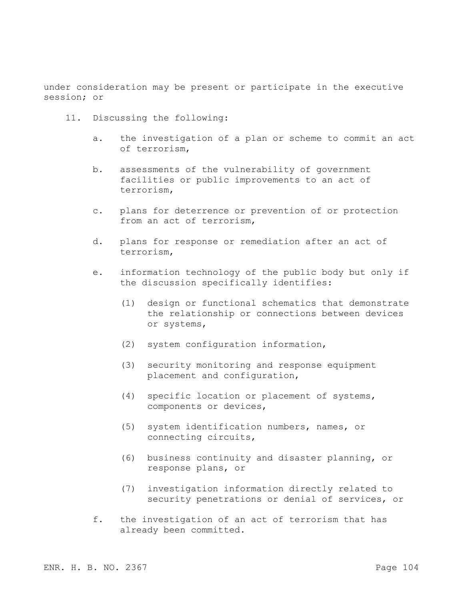under consideration may be present or participate in the executive session; or

- 11. Discussing the following:
	- a. the investigation of a plan or scheme to commit an act of terrorism,
	- b. assessments of the vulnerability of government facilities or public improvements to an act of terrorism,
	- c. plans for deterrence or prevention of or protection from an act of terrorism,
	- d. plans for response or remediation after an act of terrorism,
	- e. information technology of the public body but only if the discussion specifically identifies:
		- (1) design or functional schematics that demonstrate the relationship or connections between devices or systems,
		- (2) system configuration information,
		- (3) security monitoring and response equipment placement and configuration,
		- (4) specific location or placement of systems, components or devices,
		- (5) system identification numbers, names, or connecting circuits,
		- (6) business continuity and disaster planning, or response plans, or
		- (7) investigation information directly related to security penetrations or denial of services, or
	- f. the investigation of an act of terrorism that has already been committed.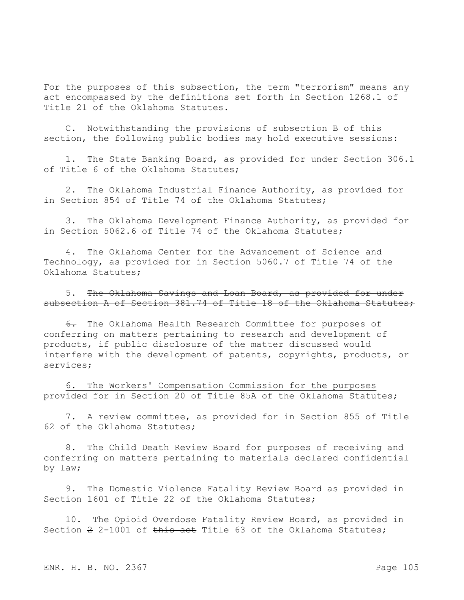For the purposes of this subsection, the term "terrorism" means any act encompassed by the definitions set forth in Section 1268.1 of Title 21 of the Oklahoma Statutes.

C. Notwithstanding the provisions of subsection B of this section, the following public bodies may hold executive sessions:

1. The State Banking Board, as provided for under Section 306.1 of Title 6 of the Oklahoma Statutes;

The Oklahoma Industrial Finance Authority, as provided for in Section 854 of Title 74 of the Oklahoma Statutes;

3. The Oklahoma Development Finance Authority, as provided for in Section 5062.6 of Title 74 of the Oklahoma Statutes;

4. The Oklahoma Center for the Advancement of Science and Technology, as provided for in Section 5060.7 of Title 74 of the Oklahoma Statutes;

5. The Oklahoma Savings and Loan Board, as provided for under subsection A of Section 381.74 of Title 18 of the Oklahoma Statutes;

6. The Oklahoma Health Research Committee for purposes of conferring on matters pertaining to research and development of products, if public disclosure of the matter discussed would interfere with the development of patents, copyrights, products, or services;

6. The Workers' Compensation Commission for the purposes provided for in Section 20 of Title 85A of the Oklahoma Statutes;

7. A review committee, as provided for in Section 855 of Title 62 of the Oklahoma Statutes;

8. The Child Death Review Board for purposes of receiving and conferring on matters pertaining to materials declared confidential by law;

9. The Domestic Violence Fatality Review Board as provided in Section 1601 of Title 22 of the Oklahoma Statutes;

10. The Opioid Overdose Fatality Review Board, as provided in Section 2 2-1001 of this act Title 63 of the Oklahoma Statutes;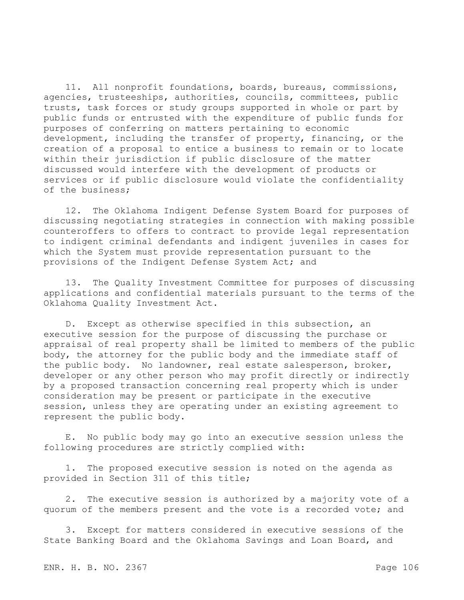11. All nonprofit foundations, boards, bureaus, commissions, agencies, trusteeships, authorities, councils, committees, public trusts, task forces or study groups supported in whole or part by public funds or entrusted with the expenditure of public funds for purposes of conferring on matters pertaining to economic development, including the transfer of property, financing, or the creation of a proposal to entice a business to remain or to locate within their jurisdiction if public disclosure of the matter discussed would interfere with the development of products or services or if public disclosure would violate the confidentiality of the business;

12. The Oklahoma Indigent Defense System Board for purposes of discussing negotiating strategies in connection with making possible counteroffers to offers to contract to provide legal representation to indigent criminal defendants and indigent juveniles in cases for which the System must provide representation pursuant to the provisions of the Indigent Defense System Act; and

13. The Quality Investment Committee for purposes of discussing applications and confidential materials pursuant to the terms of the Oklahoma Quality Investment Act.

D. Except as otherwise specified in this subsection, an executive session for the purpose of discussing the purchase or appraisal of real property shall be limited to members of the public body, the attorney for the public body and the immediate staff of the public body. No landowner, real estate salesperson, broker, developer or any other person who may profit directly or indirectly by a proposed transaction concerning real property which is under consideration may be present or participate in the executive session, unless they are operating under an existing agreement to represent the public body.

E. No public body may go into an executive session unless the following procedures are strictly complied with:

1. The proposed executive session is noted on the agenda as provided in Section 311 of this title;

2. The executive session is authorized by a majority vote of a quorum of the members present and the vote is a recorded vote; and

3. Except for matters considered in executive sessions of the State Banking Board and the Oklahoma Savings and Loan Board, and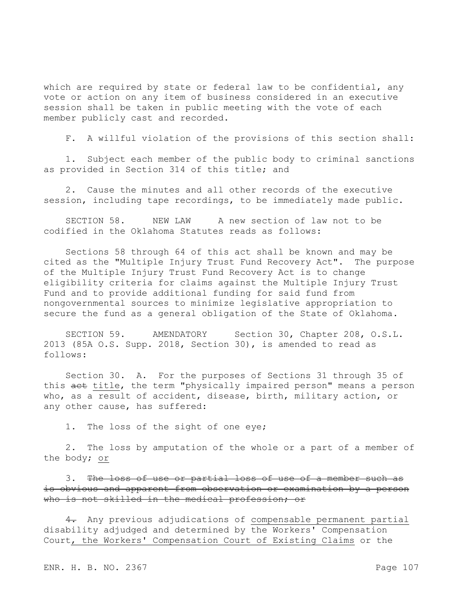which are required by state or federal law to be confidential, any vote or action on any item of business considered in an executive session shall be taken in public meeting with the vote of each member publicly cast and recorded.

F. A willful violation of the provisions of this section shall:

1. Subject each member of the public body to criminal sanctions as provided in Section 314 of this title; and

2. Cause the minutes and all other records of the executive session, including tape recordings, to be immediately made public.

SECTION 58. NEW LAW A new section of law not to be codified in the Oklahoma Statutes reads as follows:

Sections 58 through 64 of this act shall be known and may be cited as the "Multiple Injury Trust Fund Recovery Act". The purpose of the Multiple Injury Trust Fund Recovery Act is to change eligibility criteria for claims against the Multiple Injury Trust Fund and to provide additional funding for said fund from nongovernmental sources to minimize legislative appropriation to secure the fund as a general obligation of the State of Oklahoma.

SECTION 59. AMENDATORY Section 30, Chapter 208, O.S.L. 2013 (85A O.S. Supp. 2018, Section 30), is amended to read as follows:

Section 30. A. For the purposes of Sections 31 through 35 of this act title, the term "physically impaired person" means a person who, as a result of accident, disease, birth, military action, or any other cause, has suffered:

1. The loss of the sight of one eye;

2. The loss by amputation of the whole or a part of a member of the body; or

3. The loss of use or partial loss of use of a member such as is obvious and apparent from observation or examination by a person who is not skilled in the medical profession; or

4. Any previous adjudications of compensable permanent partial disability adjudged and determined by the Workers' Compensation Court, the Workers' Compensation Court of Existing Claims or the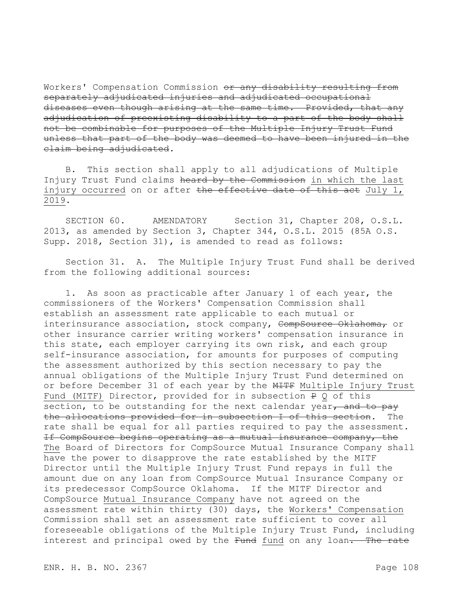Workers' Compensation Commission or any disability resulting from separately adjudicated injuries and adjudicated occupational diseases even though arising at the same time. Provided, that any adjudication of preexisting disability to a part of the body shall not be combinable for purposes of the Multiple Injury Trust Fund unless that part of the body was deemed to have been injured in the claim being adjudicated.

B. This section shall apply to all adjudications of Multiple Injury Trust Fund claims heard by the Commission in which the last injury occurred on or after the effective date of this act July 1, 2019.

SECTION 60. AMENDATORY Section 31, Chapter 208, O.S.L. 2013, as amended by Section 3, Chapter 344, O.S.L. 2015 (85A O.S. Supp. 2018, Section 31), is amended to read as follows:

Section 31. A. The Multiple Injury Trust Fund shall be derived from the following additional sources:

1. As soon as practicable after January 1 of each year, the commissioners of the Workers' Compensation Commission shall establish an assessment rate applicable to each mutual or interinsurance association, stock company, CompSource Oklahoma, or other insurance carrier writing workers' compensation insurance in this state, each employer carrying its own risk, and each group self-insurance association, for amounts for purposes of computing the assessment authorized by this section necessary to pay the annual obligations of the Multiple Injury Trust Fund determined on or before December 31 of each year by the MITF Multiple Injury Trust Fund (MITF) Director, provided for in subsection P Q of this section, to be outstanding for the next calendar year, and to pay the allocations provided for in subsection I of this section. The rate shall be equal for all parties required to pay the assessment. If CompSource begins operating as a mutual insurance company, the The Board of Directors for CompSource Mutual Insurance Company shall have the power to disapprove the rate established by the MITF Director until the Multiple Injury Trust Fund repays in full the amount due on any loan from CompSource Mutual Insurance Company or its predecessor CompSource Oklahoma. If the MITF Director and CompSource Mutual Insurance Company have not agreed on the assessment rate within thirty (30) days, the Workers' Compensation Commission shall set an assessment rate sufficient to cover all foreseeable obligations of the Multiple Injury Trust Fund, including interest and principal owed by the Fund fund on any loan. The rate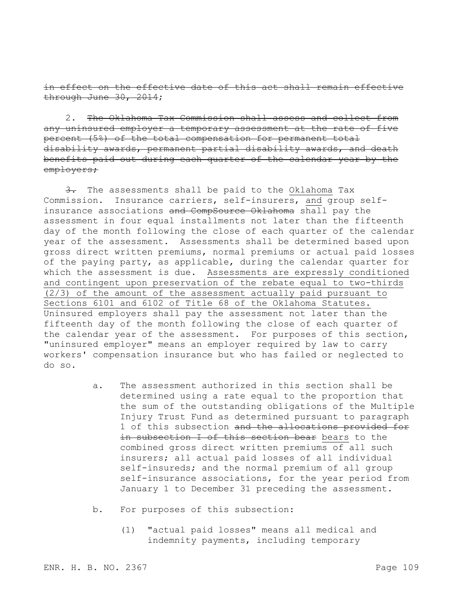in effect on the effective date of this act shall remain effective through June 30, 2014;

2. The Oklahoma Tax Commission shall assess and collect from any uninsured employer a temporary assessment at the rate of five percent (5%) of the total compensation for permanent total disability awards, permanent partial disability awards, and death benefits paid out during each quarter of the calendar year by the employers;

3. The assessments shall be paid to the Oklahoma Tax Commission. Insurance carriers, self-insurers, and group selfinsurance associations and CompSource Oklahoma shall pay the assessment in four equal installments not later than the fifteenth day of the month following the close of each quarter of the calendar year of the assessment. Assessments shall be determined based upon gross direct written premiums, normal premiums or actual paid losses of the paying party, as applicable, during the calendar quarter for which the assessment is due. Assessments are expressly conditioned and contingent upon preservation of the rebate equal to two-thirds (2/3) of the amount of the assessment actually paid pursuant to Sections 6101 and 6102 of Title 68 of the Oklahoma Statutes. Uninsured employers shall pay the assessment not later than the fifteenth day of the month following the close of each quarter of the calendar year of the assessment. For purposes of this section, "uninsured employer" means an employer required by law to carry workers' compensation insurance but who has failed or neglected to do so.

- a. The assessment authorized in this section shall be determined using a rate equal to the proportion that the sum of the outstanding obligations of the Multiple Injury Trust Fund as determined pursuant to paragraph 1 of this subsection and the allocations provided for in subsection I of this section bear bears to the combined gross direct written premiums of all such insurers; all actual paid losses of all individual self-insureds; and the normal premium of all group self-insurance associations, for the year period from January 1 to December 31 preceding the assessment.
- b. For purposes of this subsection:
	- (1) "actual paid losses" means all medical and indemnity payments, including temporary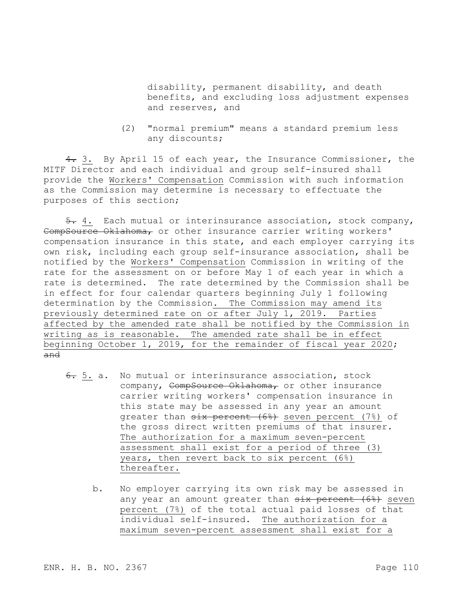disability, permanent disability, and death benefits, and excluding loss adjustment expenses and reserves, and

(2) "normal premium" means a standard premium less any discounts;

4. 3. By April 15 of each year, the Insurance Commissioner, the MITF Director and each individual and group self-insured shall provide the Workers' Compensation Commission with such information as the Commission may determine is necessary to effectuate the purposes of this section;

5. 4. Each mutual or interinsurance association, stock company, CompSource Oklahoma, or other insurance carrier writing workers' compensation insurance in this state, and each employer carrying its own risk, including each group self-insurance association, shall be notified by the Workers' Compensation Commission in writing of the rate for the assessment on or before May 1 of each year in which a rate is determined. The rate determined by the Commission shall be in effect for four calendar quarters beginning July 1 following determination by the Commission. The Commission may amend its previously determined rate on or after July 1, 2019. Parties affected by the amended rate shall be notified by the Commission in writing as is reasonable. The amended rate shall be in effect beginning October 1, 2019, for the remainder of fiscal year 2020; and

- 6. 5. a. No mutual or interinsurance association, stock company, CompSource Oklahoma, or other insurance carrier writing workers' compensation insurance in this state may be assessed in any year an amount greater than  $six$  percent (6%) seven percent (7%) of the gross direct written premiums of that insurer. The authorization for a maximum seven-percent assessment shall exist for a period of three (3) years, then revert back to six percent (6%) thereafter.
	- b. No employer carrying its own risk may be assessed in any year an amount greater than six percent (6%) seven percent (7%) of the total actual paid losses of that individual self-insured. The authorization for a maximum seven-percent assessment shall exist for a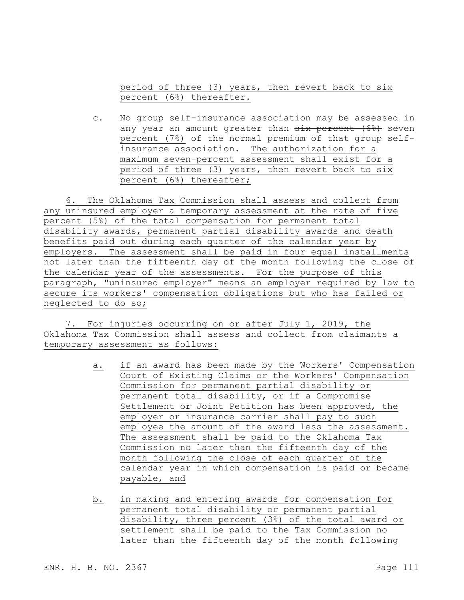period of three (3) years, then revert back to six percent (6%) thereafter.

c. No group self-insurance association may be assessed in any year an amount greater than six percent (6%) seven percent (7%) of the normal premium of that group selfinsurance association. The authorization for a maximum seven-percent assessment shall exist for a period of three (3) years, then revert back to six percent (6%) thereafter;

6. The Oklahoma Tax Commission shall assess and collect from any uninsured employer a temporary assessment at the rate of five percent (5%) of the total compensation for permanent total disability awards, permanent partial disability awards and death benefits paid out during each quarter of the calendar year by employers. The assessment shall be paid in four equal installments not later than the fifteenth day of the month following the close of the calendar year of the assessments. For the purpose of this paragraph, "uninsured employer" means an employer required by law to secure its workers' compensation obligations but who has failed or neglected to do so;

7. For injuries occurring on or after July 1, 2019, the Oklahoma Tax Commission shall assess and collect from claimants a temporary assessment as follows:

- a. if an award has been made by the Workers' Compensation Court of Existing Claims or the Workers' Compensation Commission for permanent partial disability or permanent total disability, or if a Compromise Settlement or Joint Petition has been approved, the employer or insurance carrier shall pay to such employee the amount of the award less the assessment. The assessment shall be paid to the Oklahoma Tax Commission no later than the fifteenth day of the month following the close of each quarter of the calendar year in which compensation is paid or became payable, and
- b. in making and entering awards for compensation for permanent total disability or permanent partial disability, three percent (3%) of the total award or settlement shall be paid to the Tax Commission no later than the fifteenth day of the month following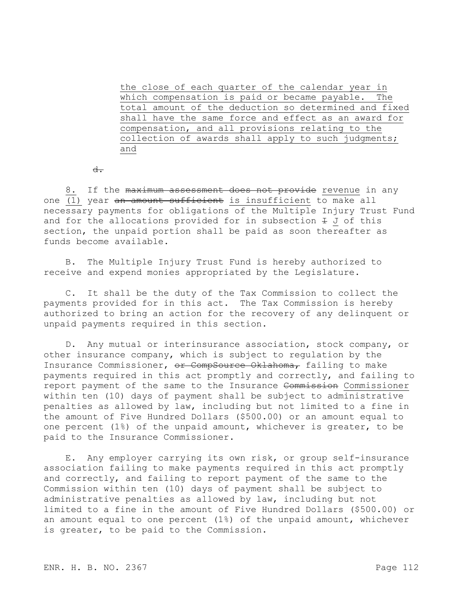the close of each quarter of the calendar year in which compensation is paid or became payable. The total amount of the deduction so determined and fixed shall have the same force and effect as an award for compensation, and all provisions relating to the collection of awards shall apply to such judgments; and

 $d$ .

8. If the maximum assessment does not provide revenue in any one  $\overline{(1)}$  year an amount sufficient is insufficient to make all necessary payments for obligations of the Multiple Injury Trust Fund and for the allocations provided for in subsection  $\pm$  J of this section, the unpaid portion shall be paid as soon thereafter as funds become available.

B. The Multiple Injury Trust Fund is hereby authorized to receive and expend monies appropriated by the Legislature.

C. It shall be the duty of the Tax Commission to collect the payments provided for in this act. The Tax Commission is hereby authorized to bring an action for the recovery of any delinquent or unpaid payments required in this section.

D. Any mutual or interinsurance association, stock company, or other insurance company, which is subject to regulation by the Insurance Commissioner, or CompSource Oklahoma, failing to make payments required in this act promptly and correctly, and failing to report payment of the same to the Insurance Commission Commissioner within ten (10) days of payment shall be subject to administrative penalties as allowed by law, including but not limited to a fine in the amount of Five Hundred Dollars (\$500.00) or an amount equal to one percent (1%) of the unpaid amount, whichever is greater, to be paid to the Insurance Commissioner.

E. Any employer carrying its own risk, or group self-insurance association failing to make payments required in this act promptly and correctly, and failing to report payment of the same to the Commission within ten (10) days of payment shall be subject to administrative penalties as allowed by law, including but not limited to a fine in the amount of Five Hundred Dollars (\$500.00) or an amount equal to one percent (1%) of the unpaid amount, whichever is greater, to be paid to the Commission.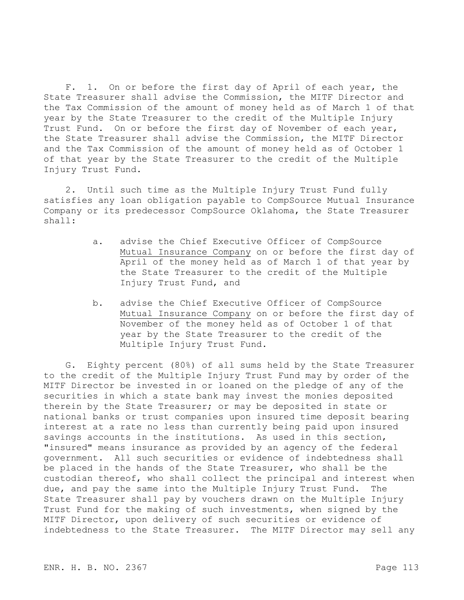F. 1. On or before the first day of April of each year, the State Treasurer shall advise the Commission, the MITF Director and the Tax Commission of the amount of money held as of March 1 of that year by the State Treasurer to the credit of the Multiple Injury Trust Fund. On or before the first day of November of each year, the State Treasurer shall advise the Commission, the MITF Director and the Tax Commission of the amount of money held as of October 1 of that year by the State Treasurer to the credit of the Multiple Injury Trust Fund.

2. Until such time as the Multiple Injury Trust Fund fully satisfies any loan obligation payable to CompSource Mutual Insurance Company or its predecessor CompSource Oklahoma, the State Treasurer shall:

- a. advise the Chief Executive Officer of CompSource Mutual Insurance Company on or before the first day of April of the money held as of March 1 of that year by the State Treasurer to the credit of the Multiple Injury Trust Fund, and
- b. advise the Chief Executive Officer of CompSource Mutual Insurance Company on or before the first day of November of the money held as of October 1 of that year by the State Treasurer to the credit of the Multiple Injury Trust Fund.

G. Eighty percent (80%) of all sums held by the State Treasurer to the credit of the Multiple Injury Trust Fund may by order of the MITF Director be invested in or loaned on the pledge of any of the securities in which a state bank may invest the monies deposited therein by the State Treasurer; or may be deposited in state or national banks or trust companies upon insured time deposit bearing interest at a rate no less than currently being paid upon insured savings accounts in the institutions. As used in this section, "insured" means insurance as provided by an agency of the federal government. All such securities or evidence of indebtedness shall be placed in the hands of the State Treasurer, who shall be the custodian thereof, who shall collect the principal and interest when due, and pay the same into the Multiple Injury Trust Fund. The State Treasurer shall pay by vouchers drawn on the Multiple Injury Trust Fund for the making of such investments, when signed by the MITF Director, upon delivery of such securities or evidence of indebtedness to the State Treasurer. The MITF Director may sell any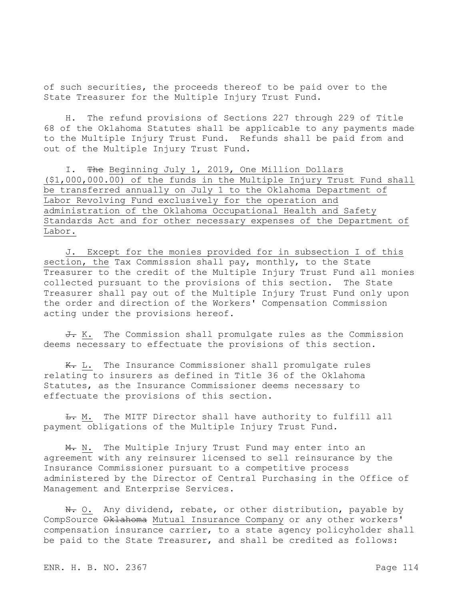of such securities, the proceeds thereof to be paid over to the State Treasurer for the Multiple Injury Trust Fund.

H. The refund provisions of Sections 227 through 229 of Title 68 of the Oklahoma Statutes shall be applicable to any payments made to the Multiple Injury Trust Fund. Refunds shall be paid from and out of the Multiple Injury Trust Fund.

I. The Beginning July 1, 2019, One Million Dollars (\$1,000,000.00) of the funds in the Multiple Injury Trust Fund shall be transferred annually on July 1 to the Oklahoma Department of Labor Revolving Fund exclusively for the operation and administration of the Oklahoma Occupational Health and Safety Standards Act and for other necessary expenses of the Department of Labor.

J. Except for the monies provided for in subsection I of this section, the Tax Commission shall pay, monthly, to the State Treasurer to the credit of the Multiple Injury Trust Fund all monies collected pursuant to the provisions of this section. The State Treasurer shall pay out of the Multiple Injury Trust Fund only upon the order and direction of the Workers' Compensation Commission acting under the provisions hereof.

J. K. The Commission shall promulgate rules as the Commission deems necessary to effectuate the provisions of this section.

K. L. The Insurance Commissioner shall promulgate rules relating to insurers as defined in Title 36 of the Oklahoma Statutes, as the Insurance Commissioner deems necessary to effectuate the provisions of this section.

 $L$ . M. The MITF Director shall have authority to fulfill all payment obligations of the Multiple Injury Trust Fund.

M. N. The Multiple Injury Trust Fund may enter into an agreement with any reinsurer licensed to sell reinsurance by the Insurance Commissioner pursuant to a competitive process administered by the Director of Central Purchasing in the Office of Management and Enterprise Services.

N. O. Any dividend, rebate, or other distribution, payable by CompSource Oklahoma Mutual Insurance Company or any other workers' compensation insurance carrier, to a state agency policyholder shall be paid to the State Treasurer, and shall be credited as follows: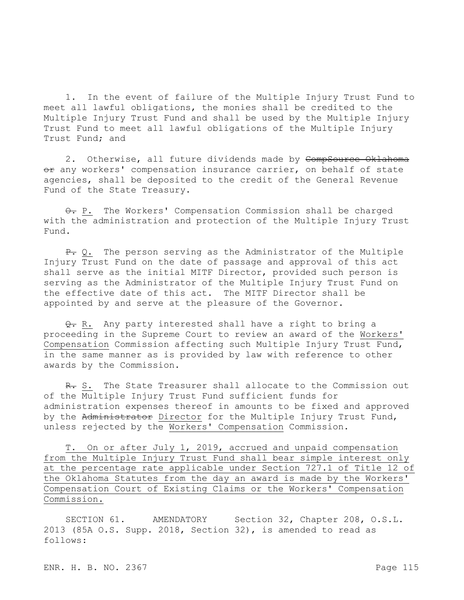1. In the event of failure of the Multiple Injury Trust Fund to meet all lawful obligations, the monies shall be credited to the Multiple Injury Trust Fund and shall be used by the Multiple Injury Trust Fund to meet all lawful obligations of the Multiple Injury Trust Fund; and

2. Otherwise, all future dividends made by CompSource Oklahoma  $er$  any workers' compensation insurance carrier, on behalf of state agencies, shall be deposited to the credit of the General Revenue Fund of the State Treasury.

 $\theta$ . P. The Workers' Compensation Commission shall be charged with the administration and protection of the Multiple Injury Trust Fund.

 $P_{\tau}$  Q. The person serving as the Administrator of the Multiple Injury Trust Fund on the date of passage and approval of this act shall serve as the initial MITF Director, provided such person is serving as the Administrator of the Multiple Injury Trust Fund on the effective date of this act. The MITF Director shall be appointed by and serve at the pleasure of the Governor.

Q. R. Any party interested shall have a right to bring a proceeding in the Supreme Court to review an award of the Workers' Compensation Commission affecting such Multiple Injury Trust Fund, in the same manner as is provided by law with reference to other awards by the Commission.

R. S. The State Treasurer shall allocate to the Commission out of the Multiple Injury Trust Fund sufficient funds for administration expenses thereof in amounts to be fixed and approved by the Administrator Director for the Multiple Injury Trust Fund, unless rejected by the Workers' Compensation Commission.

T. On or after July 1, 2019, accrued and unpaid compensation from the Multiple Injury Trust Fund shall bear simple interest only at the percentage rate applicable under Section 727.1 of Title 12 of the Oklahoma Statutes from the day an award is made by the Workers' Compensation Court of Existing Claims or the Workers' Compensation Commission.

SECTION 61. AMENDATORY Section 32, Chapter 208, O.S.L. 2013 (85A O.S. Supp. 2018, Section 32), is amended to read as follows: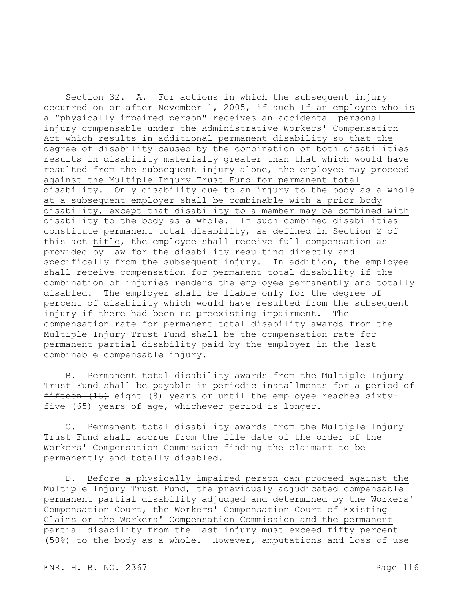Section 32. A. For actions in which the subsequent injury occurred on or after November 1, 2005, if such If an employee who is a "physically impaired person" receives an accidental personal injury compensable under the Administrative Workers' Compensation Act which results in additional permanent disability so that the degree of disability caused by the combination of both disabilities results in disability materially greater than that which would have resulted from the subsequent injury alone, the employee may proceed against the Multiple Injury Trust Fund for permanent total disability. Only disability due to an injury to the body as a whole at a subsequent employer shall be combinable with a prior body disability, except that disability to a member may be combined with disability to the body as a whole. If such combined disabilities constitute permanent total disability, as defined in Section 2 of this act title, the employee shall receive full compensation as provided by law for the disability resulting directly and specifically from the subsequent injury. In addition, the employee shall receive compensation for permanent total disability if the combination of injuries renders the employee permanently and totally disabled. The employer shall be liable only for the degree of percent of disability which would have resulted from the subsequent injury if there had been no preexisting impairment. The compensation rate for permanent total disability awards from the Multiple Injury Trust Fund shall be the compensation rate for permanent partial disability paid by the employer in the last combinable compensable injury.

B. Permanent total disability awards from the Multiple Injury Trust Fund shall be payable in periodic installments for a period of fifteen (15) eight (8) years or until the employee reaches sixtyfive (65) years of age, whichever period is longer.

C. Permanent total disability awards from the Multiple Injury Trust Fund shall accrue from the file date of the order of the Workers' Compensation Commission finding the claimant to be permanently and totally disabled.

D. Before a physically impaired person can proceed against the Multiple Injury Trust Fund, the previously adjudicated compensable permanent partial disability adjudged and determined by the Workers' Compensation Court, the Workers' Compensation Court of Existing Claims or the Workers' Compensation Commission and the permanent partial disability from the last injury must exceed fifty percent (50%) to the body as a whole. However, amputations and loss of use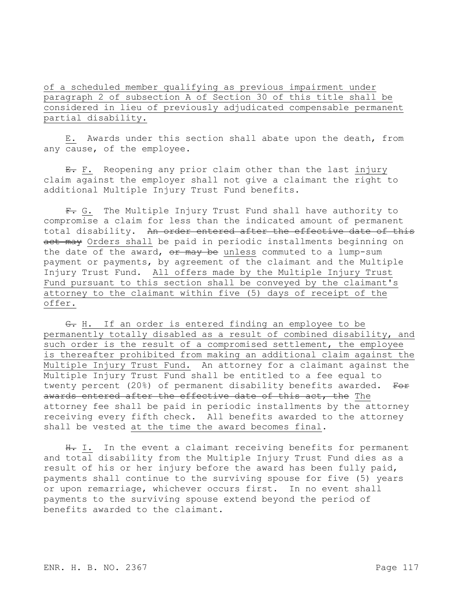of a scheduled member qualifying as previous impairment under paragraph 2 of subsection A of Section 30 of this title shall be considered in lieu of previously adjudicated compensable permanent partial disability.

E. Awards under this section shall abate upon the death, from any cause, of the employee.

E. F. Reopening any prior claim other than the last injury claim against the employer shall not give a claimant the right to additional Multiple Injury Trust Fund benefits.

F. G. The Multiple Injury Trust Fund shall have authority to compromise a claim for less than the indicated amount of permanent total disability. An order entered after the effective date of this act may Orders shall be paid in periodic installments beginning on the date of the award,  $or$  may be unless commuted to a lump-sum payment or payments, by agreement of the claimant and the Multiple Injury Trust Fund. All offers made by the Multiple Injury Trust Fund pursuant to this section shall be conveyed by the claimant's attorney to the claimant within five (5) days of receipt of the offer.

G. H. If an order is entered finding an employee to be permanently totally disabled as a result of combined disability, and such order is the result of a compromised settlement, the employee is thereafter prohibited from making an additional claim against the Multiple Injury Trust Fund. An attorney for a claimant against the Multiple Injury Trust Fund shall be entitled to a fee equal to twenty percent (20%) of permanent disability benefits awarded. For awards entered after the effective date of this act, the The attorney fee shall be paid in periodic installments by the attorney receiving every fifth check. All benefits awarded to the attorney shall be vested at the time the award becomes final.

H. I. In the event a claimant receiving benefits for permanent and total disability from the Multiple Injury Trust Fund dies as a result of his or her injury before the award has been fully paid, payments shall continue to the surviving spouse for five (5) years or upon remarriage, whichever occurs first. In no event shall payments to the surviving spouse extend beyond the period of benefits awarded to the claimant.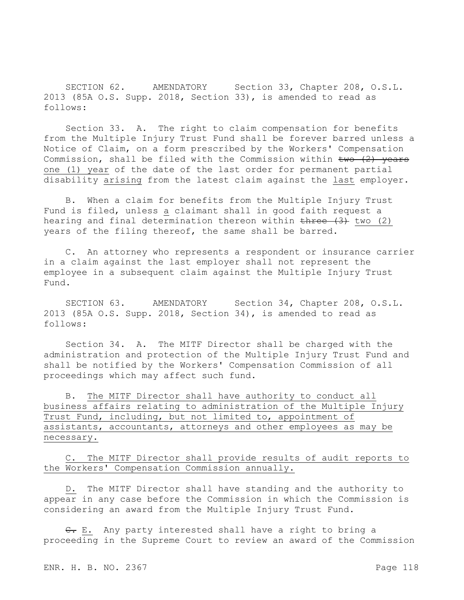SECTION 62. AMENDATORY Section 33, Chapter 208, O.S.L. 2013 (85A O.S. Supp. 2018, Section 33), is amended to read as follows:

Section 33. A. The right to claim compensation for benefits from the Multiple Injury Trust Fund shall be forever barred unless a Notice of Claim, on a form prescribed by the Workers' Compensation Commission, shall be filed with the Commission within  $t_{\text{WO}}$  (2) years one (1) year of the date of the last order for permanent partial disability arising from the latest claim against the last employer.

B. When a claim for benefits from the Multiple Injury Trust Fund is filed, unless a claimant shall in good faith request a hearing and final determination thereon within three (3) two (2) years of the filing thereof, the same shall be barred.

C. An attorney who represents a respondent or insurance carrier in a claim against the last employer shall not represent the employee in a subsequent claim against the Multiple Injury Trust Fund.

SECTION 63. AMENDATORY Section 34, Chapter 208, O.S.L. 2013 (85A O.S. Supp. 2018, Section 34), is amended to read as follows:

Section 34. A. The MITF Director shall be charged with the administration and protection of the Multiple Injury Trust Fund and shall be notified by the Workers' Compensation Commission of all proceedings which may affect such fund.

B. The MITF Director shall have authority to conduct all business affairs relating to administration of the Multiple Injury Trust Fund, including, but not limited to, appointment of assistants, accountants, attorneys and other employees as may be necessary.

C. The MITF Director shall provide results of audit reports to the Workers' Compensation Commission annually.

D. The MITF Director shall have standing and the authority to appear in any case before the Commission in which the Commission is considering an award from the Multiple Injury Trust Fund.

 $\epsilon$ . E. Any party interested shall have a right to bring a proceeding in the Supreme Court to review an award of the Commission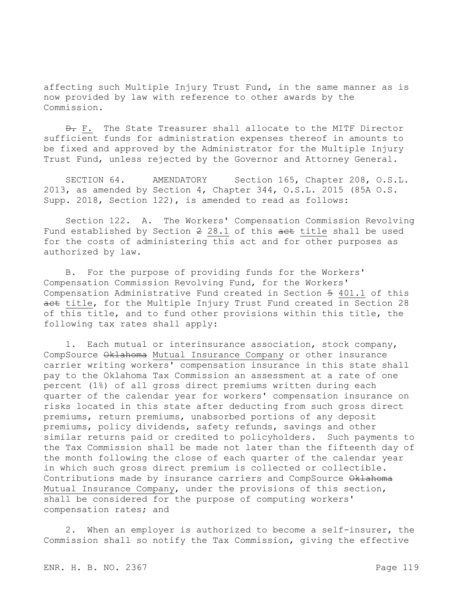affecting such Multiple Injury Trust Fund, in the same manner as is now provided by law with reference to other awards by the Commission.

 $\theta$ . F. The State Treasurer shall allocate to the MITF Director sufficient funds for administration expenses thereof in amounts to be fixed and approved by the Administrator for the Multiple Injury Trust Fund, unless rejected by the Governor and Attorney General.

SECTION 64. AMENDATORY Section 165, Chapter 208, O.S.L. 2013, as amended by Section 4, Chapter 344, O.S.L. 2015 (85A O.S. Supp. 2018, Section 122), is amended to read as follows:

Section 122. A. The Workers' Compensation Commission Revolving Fund established by Section 2 28.1 of this act title shall be used for the costs of administering this act and for other purposes as authorized by law.

B. For the purpose of providing funds for the Workers' Compensation Commission Revolving Fund, for the Workers' Compensation Administrative Fund created in Section 5 401.1 of this act title, for the Multiple Injury Trust Fund created in Section 28 of this title, and to fund other provisions within this title, the following tax rates shall apply:

1. Each mutual or interinsurance association, stock company, CompSource Oklahoma Mutual Insurance Company or other insurance carrier writing workers' compensation insurance in this state shall pay to the Oklahoma Tax Commission an assessment at a rate of one percent (1%) of all gross direct premiums written during each quarter of the calendar year for workers' compensation insurance on risks located in this state after deducting from such gross direct premiums, return premiums, unabsorbed portions of any deposit premiums, policy dividends, safety refunds, savings and other similar returns paid or credited to policyholders. Such payments to the Tax Commission shall be made not later than the fifteenth day of the month following the close of each quarter of the calendar year in which such gross direct premium is collected or collectible. Contributions made by insurance carriers and CompSource Oklahoma Mutual Insurance Company, under the provisions of this section, shall be considered for the purpose of computing workers' compensation rates; and

2. When an employer is authorized to become a self-insurer, the Commission shall so notify the Tax Commission, giving the effective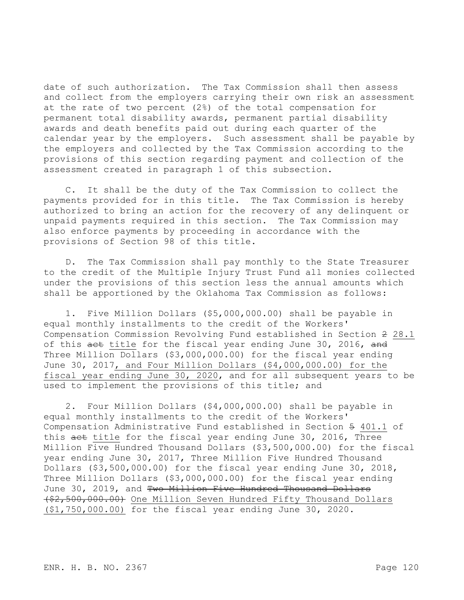date of such authorization. The Tax Commission shall then assess and collect from the employers carrying their own risk an assessment at the rate of two percent (2%) of the total compensation for permanent total disability awards, permanent partial disability awards and death benefits paid out during each quarter of the calendar year by the employers. Such assessment shall be payable by the employers and collected by the Tax Commission according to the provisions of this section regarding payment and collection of the assessment created in paragraph 1 of this subsection.

C. It shall be the duty of the Tax Commission to collect the payments provided for in this title. The Tax Commission is hereby authorized to bring an action for the recovery of any delinquent or unpaid payments required in this section. The Tax Commission may also enforce payments by proceeding in accordance with the provisions of Section 98 of this title.

D. The Tax Commission shall pay monthly to the State Treasurer to the credit of the Multiple Injury Trust Fund all monies collected under the provisions of this section less the annual amounts which shall be apportioned by the Oklahoma Tax Commission as follows:

1. Five Million Dollars (\$5,000,000.00) shall be payable in equal monthly installments to the credit of the Workers' Compensation Commission Revolving Fund established in Section 2 28.1 of this aet title for the fiscal year ending June 30, 2016, and Three Million Dollars (\$3,000,000.00) for the fiscal year ending June 30, 2017, and Four Million Dollars (\$4,000,000.00) for the fiscal year ending June 30, 2020, and for all subsequent years to be used to implement the provisions of this title; and

2. Four Million Dollars (\$4,000,000.00) shall be payable in equal monthly installments to the credit of the Workers' Compensation Administrative Fund established in Section 5 401.1 of this act title for the fiscal year ending June 30, 2016, Three Million Five Hundred Thousand Dollars (\$3,500,000.00) for the fiscal year ending June 30, 2017, Three Million Five Hundred Thousand Dollars (\$3,500,000.00) for the fiscal year ending June 30, 2018, Three Million Dollars (\$3,000,000.00) for the fiscal year ending June 30, 2019, and Two Million Five Hundred Thousand Dollars (\$2,500,000.00) One Million Seven Hundred Fifty Thousand Dollars (\$1,750,000.00) for the fiscal year ending June 30, 2020.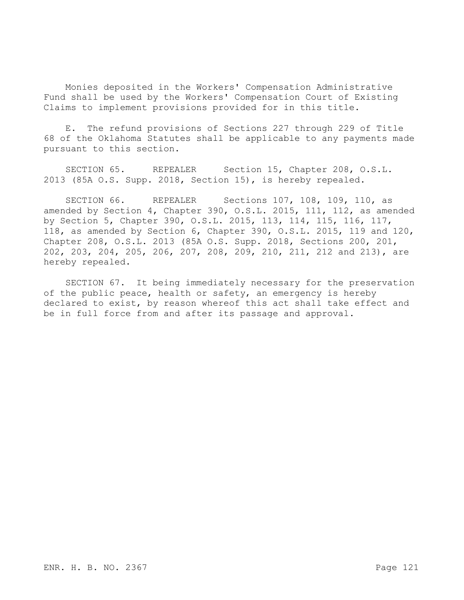Monies deposited in the Workers' Compensation Administrative Fund shall be used by the Workers' Compensation Court of Existing Claims to implement provisions provided for in this title.

E. The refund provisions of Sections 227 through 229 of Title 68 of the Oklahoma Statutes shall be applicable to any payments made pursuant to this section.

SECTION 65. REPEALER Section 15, Chapter 208, O.S.L. 2013 (85A O.S. Supp. 2018, Section 15), is hereby repealed.

SECTION 66. REPEALER Sections 107, 108, 109, 110, as amended by Section 4, Chapter 390, O.S.L. 2015, 111, 112, as amended by Section 5, Chapter 390, O.S.L. 2015, 113, 114, 115, 116, 117, 118, as amended by Section 6, Chapter 390, O.S.L. 2015, 119 and 120, Chapter 208, O.S.L. 2013 (85A O.S. Supp. 2018, Sections 200, 201, 202, 203, 204, 205, 206, 207, 208, 209, 210, 211, 212 and 213), are hereby repealed.

SECTION 67. It being immediately necessary for the preservation of the public peace, health or safety, an emergency is hereby declared to exist, by reason whereof this act shall take effect and be in full force from and after its passage and approval.